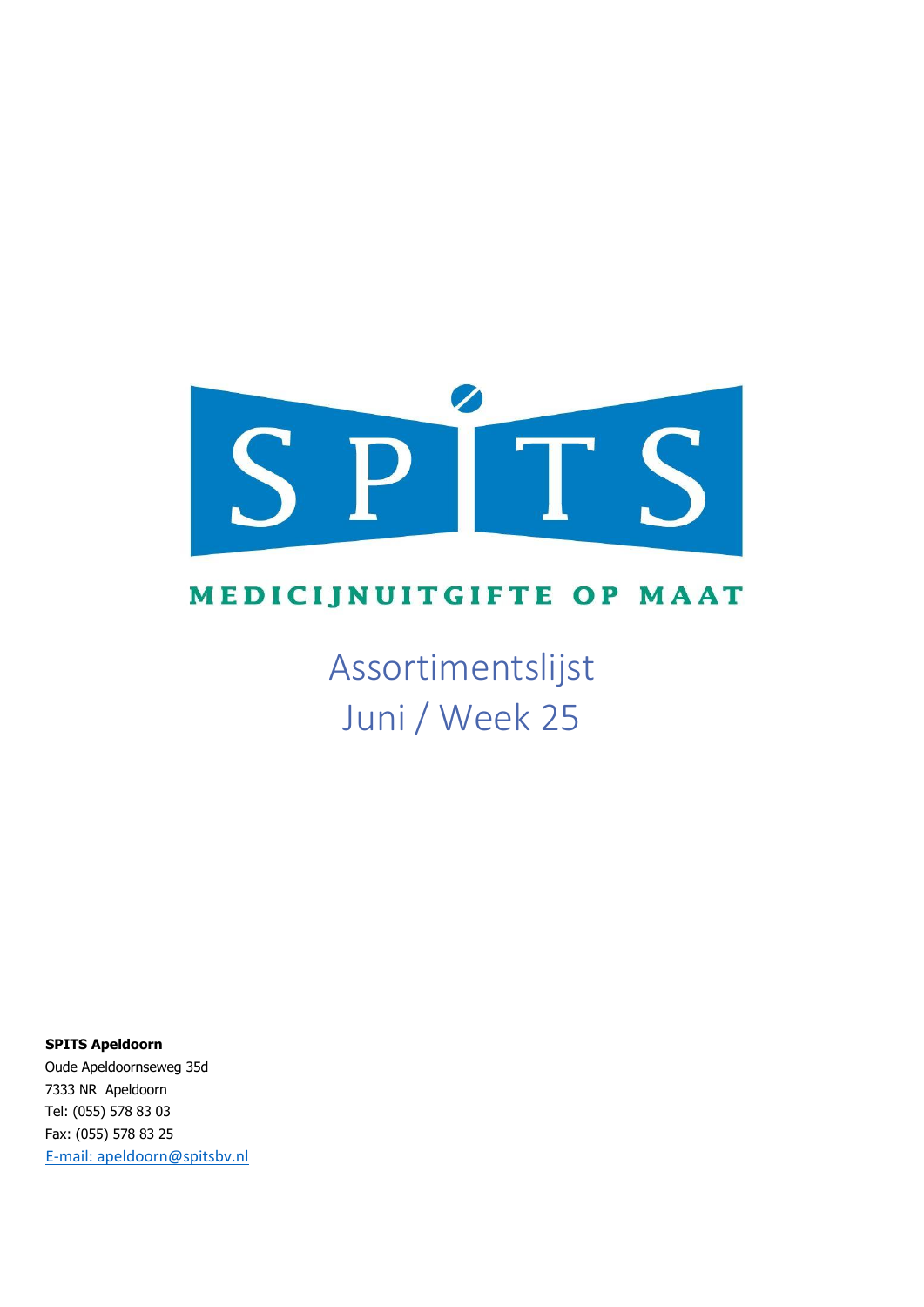# $\blacktriangledown$  $\boldsymbol{\varsigma}$

#### MEDICIJNUITGIFTE OP MAAT

Assortimentslijst Juni / Week 25

**SPITS Apeldoorn** Oude Apeldoornseweg 35d 7333 NR Apeldoorn Tel: (055) 578 83 03 Fax: (055) 578 83 25 [E-mail: apeldoorn@spitsbv.nl](mailto:apeldoorn@spitsbv.nl)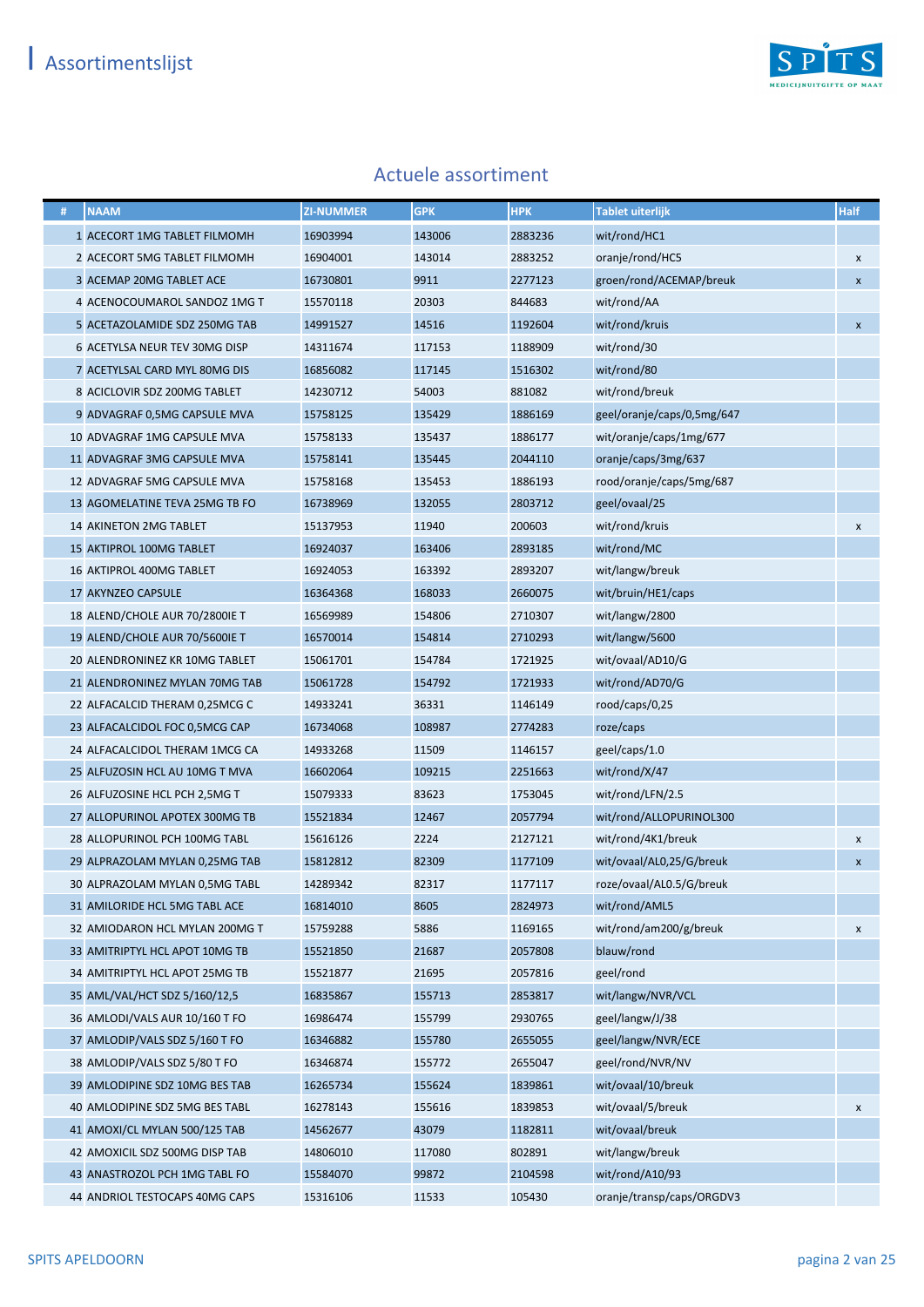

#### Actuele assortiment

| # | <b>NAAM</b>                    | <b>ZI-NUMMER</b> | <b>GPK</b> | <b>HPK</b> | <b>Tablet uiterlijk</b>    | <b>Half</b> |
|---|--------------------------------|------------------|------------|------------|----------------------------|-------------|
|   | 1 ACECORT 1MG TABLET FILMOMH   | 16903994         | 143006     | 2883236    | wit/rond/HC1               |             |
|   | 2 ACECORT 5MG TABLET FILMOMH   | 16904001         | 143014     | 2883252    | oranje/rond/HC5            | X           |
|   | 3 ACEMAP 20MG TABLET ACE       | 16730801         | 9911       | 2277123    | groen/rond/ACEMAP/breuk    | X           |
|   | 4 ACENOCOUMAROL SANDOZ 1MG T   | 15570118         | 20303      | 844683     | wit/rond/AA                |             |
|   | 5 ACETAZOLAMIDE SDZ 250MG TAB  | 14991527         | 14516      | 1192604    | wit/rond/kruis             | X           |
|   | 6 ACETYLSA NEUR TEV 30MG DISP  | 14311674         | 117153     | 1188909    | wit/rond/30                |             |
|   | 7 ACETYLSAL CARD MYL 80MG DIS  | 16856082         | 117145     | 1516302    | wit/rond/80                |             |
|   | 8 ACICLOVIR SDZ 200MG TABLET   | 14230712         | 54003      | 881082     | wit/rond/breuk             |             |
|   | 9 ADVAGRAF 0,5MG CAPSULE MVA   | 15758125         | 135429     | 1886169    | geel/oranje/caps/0,5mg/647 |             |
|   | 10 ADVAGRAF 1MG CAPSULE MVA    | 15758133         | 135437     | 1886177    | wit/oranje/caps/1mg/677    |             |
|   | 11 ADVAGRAF 3MG CAPSULE MVA    | 15758141         | 135445     | 2044110    | oranje/caps/3mg/637        |             |
|   | 12 ADVAGRAF 5MG CAPSULE MVA    | 15758168         | 135453     | 1886193    | rood/oranje/caps/5mg/687   |             |
|   | 13 AGOMELATINE TEVA 25MG TB FO | 16738969         | 132055     | 2803712    | geel/ovaal/25              |             |
|   | <b>14 AKINETON 2MG TABLET</b>  | 15137953         | 11940      | 200603     | wit/rond/kruis             | X           |
|   | 15 AKTIPROL 100MG TABLET       | 16924037         | 163406     | 2893185    | wit/rond/MC                |             |
|   | 16 AKTIPROL 400MG TABLET       | 16924053         | 163392     | 2893207    | wit/langw/breuk            |             |
|   | 17 AKYNZEO CAPSULE             | 16364368         | 168033     | 2660075    | wit/bruin/HE1/caps         |             |
|   | 18 ALEND/CHOLE AUR 70/2800IE T | 16569989         | 154806     | 2710307    | wit/langw/2800             |             |
|   | 19 ALEND/CHOLE AUR 70/5600IE T | 16570014         | 154814     | 2710293    | wit/langw/5600             |             |
|   | 20 ALENDRONINEZ KR 10MG TABLET | 15061701         | 154784     | 1721925    | wit/ovaal/AD10/G           |             |
|   | 21 ALENDRONINEZ MYLAN 70MG TAB | 15061728         | 154792     | 1721933    | wit/rond/AD70/G            |             |
|   | 22 ALFACALCID THERAM 0,25MCG C | 14933241         | 36331      | 1146149    | rood/caps/0,25             |             |
|   | 23 ALFACALCIDOL FOC 0,5MCG CAP | 16734068         | 108987     | 2774283    | roze/caps                  |             |
|   | 24 ALFACALCIDOL THERAM 1MCG CA | 14933268         | 11509      | 1146157    | geel/caps/1.0              |             |
|   | 25 ALFUZOSIN HCL AU 10MG T MVA | 16602064         | 109215     | 2251663    | wit/rond/X/47              |             |
|   | 26 ALFUZOSINE HCL PCH 2,5MG T  | 15079333         | 83623      | 1753045    | wit/rond/LFN/2.5           |             |
|   | 27 ALLOPURINOL APOTEX 300MG TB | 15521834         | 12467      | 2057794    | wit/rond/ALLOPURINOL300    |             |
|   | 28 ALLOPURINOL PCH 100MG TABL  | 15616126         | 2224       | 2127121    | wit/rond/4K1/breuk         | x           |
|   | 29 ALPRAZOLAM MYLAN 0,25MG TAB | 15812812         | 82309      | 1177109    | wit/ovaal/AL0,25/G/breuk   | X           |
|   | 30 ALPRAZOLAM MYLAN 0,5MG TABL | 14289342         | 82317      | 1177117    | roze/ovaal/AL0.5/G/breuk   |             |
|   | 31 AMILORIDE HCL 5MG TABL ACE  | 16814010         | 8605       | 2824973    | wit/rond/AML5              |             |
|   | 32 AMIODARON HCL MYLAN 200MG T | 15759288         | 5886       | 1169165    | wit/rond/am200/g/breuk     | X           |
|   | 33 AMITRIPTYL HCL APOT 10MG TB | 15521850         | 21687      | 2057808    | blauw/rond                 |             |
|   | 34 AMITRIPTYL HCL APOT 25MG TB | 15521877         | 21695      | 2057816    | geel/rond                  |             |
|   | 35 AML/VAL/HCT SDZ 5/160/12,5  | 16835867         | 155713     | 2853817    | wit/langw/NVR/VCL          |             |
|   | 36 AMLODI/VALS AUR 10/160 T FO | 16986474         | 155799     | 2930765    | geel/langw/J/38            |             |
|   | 37 AMLODIP/VALS SDZ 5/160 T FO | 16346882         | 155780     | 2655055    | geel/langw/NVR/ECE         |             |
|   | 38 AMLODIP/VALS SDZ 5/80 T FO  | 16346874         | 155772     | 2655047    | geel/rond/NVR/NV           |             |
|   | 39 AMLODIPINE SDZ 10MG BES TAB | 16265734         | 155624     | 1839861    | wit/ovaal/10/breuk         |             |
|   | 40 AMLODIPINE SDZ 5MG BES TABL | 16278143         | 155616     | 1839853    | wit/ovaal/5/breuk          | x           |
|   | 41 AMOXI/CL MYLAN 500/125 TAB  | 14562677         | 43079      | 1182811    | wit/ovaal/breuk            |             |
|   | 42 AMOXICIL SDZ 500MG DISP TAB | 14806010         | 117080     | 802891     | wit/langw/breuk            |             |
|   | 43 ANASTROZOL PCH 1MG TABL FO  | 15584070         | 99872      | 2104598    | wit/rond/A10/93            |             |
|   | 44 ANDRIOL TESTOCAPS 40MG CAPS | 15316106         | 11533      | 105430     | oranje/transp/caps/ORGDV3  |             |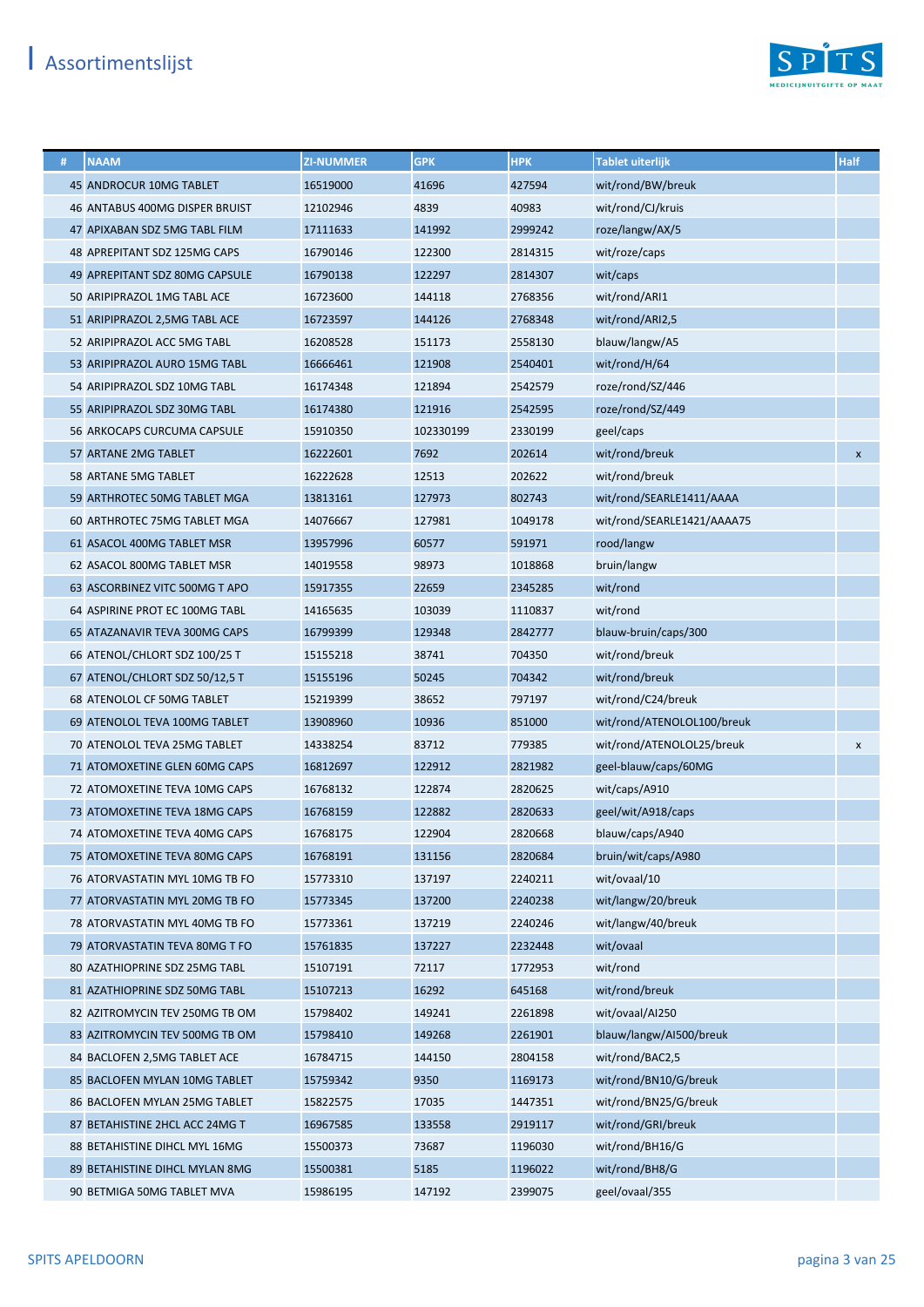

| # | <b>NAAM</b>                    | <b>ZI-NUMMER</b> | <b>GPK</b> | <b>HPK</b> | <b>Tablet uiterlijk</b>    | <b>Half</b>        |
|---|--------------------------------|------------------|------------|------------|----------------------------|--------------------|
|   | 45 ANDROCUR 10MG TABLET        | 16519000         | 41696      | 427594     | wit/rond/BW/breuk          |                    |
|   | 46 ANTABUS 400MG DISPER BRUIST | 12102946         | 4839       | 40983      | wit/rond/CJ/kruis          |                    |
|   | 47 APIXABAN SDZ 5MG TABL FILM  | 17111633         | 141992     | 2999242    | roze/langw/AX/5            |                    |
|   | 48 APREPITANT SDZ 125MG CAPS   | 16790146         | 122300     | 2814315    | wit/roze/caps              |                    |
|   | 49 APREPITANT SDZ 80MG CAPSULE | 16790138         | 122297     | 2814307    | wit/caps                   |                    |
|   | 50 ARIPIPRAZOL 1MG TABL ACE    | 16723600         | 144118     | 2768356    | wit/rond/ARI1              |                    |
|   | 51 ARIPIPRAZOL 2,5MG TABL ACE  | 16723597         | 144126     | 2768348    | wit/rond/ARI2,5            |                    |
|   | 52 ARIPIPRAZOL ACC 5MG TABL    | 16208528         | 151173     | 2558130    | blauw/langw/A5             |                    |
|   | 53 ARIPIPRAZOL AURO 15MG TABL  | 16666461         | 121908     | 2540401    | wit/rond/H/64              |                    |
|   | 54 ARIPIPRAZOL SDZ 10MG TABL   | 16174348         | 121894     | 2542579    | roze/rond/SZ/446           |                    |
|   | 55 ARIPIPRAZOL SDZ 30MG TABL   | 16174380         | 121916     | 2542595    | roze/rond/SZ/449           |                    |
|   | 56 ARKOCAPS CURCUMA CAPSULE    | 15910350         | 102330199  | 2330199    | geel/caps                  |                    |
|   | 57 ARTANE 2MG TABLET           | 16222601         | 7692       | 202614     | wit/rond/breuk             | $\pmb{\mathsf{X}}$ |
|   | 58 ARTANE 5MG TABLET           | 16222628         | 12513      | 202622     | wit/rond/breuk             |                    |
|   | 59 ARTHROTEC 50MG TABLET MGA   | 13813161         | 127973     | 802743     | wit/rond/SEARLE1411/AAAA   |                    |
|   | 60 ARTHROTEC 75MG TABLET MGA   | 14076667         | 127981     | 1049178    | wit/rond/SEARLE1421/AAAA75 |                    |
|   | 61 ASACOL 400MG TABLET MSR     | 13957996         | 60577      | 591971     | rood/langw                 |                    |
|   | 62 ASACOL 800MG TABLET MSR     | 14019558         | 98973      | 1018868    | bruin/langw                |                    |
|   | 63 ASCORBINEZ VITC 500MG T APO | 15917355         | 22659      | 2345285    | wit/rond                   |                    |
|   | 64 ASPIRINE PROT EC 100MG TABL | 14165635         | 103039     | 1110837    | wit/rond                   |                    |
|   | 65 ATAZANAVIR TEVA 300MG CAPS  | 16799399         | 129348     | 2842777    | blauw-bruin/caps/300       |                    |
|   | 66 ATENOL/CHLORT SDZ 100/25 T  | 15155218         | 38741      | 704350     | wit/rond/breuk             |                    |
|   | 67 ATENOL/CHLORT SDZ 50/12,5 T | 15155196         | 50245      | 704342     | wit/rond/breuk             |                    |
|   | 68 ATENOLOL CF 50MG TABLET     | 15219399         | 38652      | 797197     | wit/rond/C24/breuk         |                    |
|   | 69 ATENOLOL TEVA 100MG TABLET  | 13908960         | 10936      | 851000     | wit/rond/ATENOLOL100/breuk |                    |
|   | 70 ATENOLOL TEVA 25MG TABLET   | 14338254         | 83712      | 779385     | wit/rond/ATENOLOL25/breuk  | X                  |
|   | 71 ATOMOXETINE GLEN 60MG CAPS  | 16812697         | 122912     | 2821982    | geel-blauw/caps/60MG       |                    |
|   | 72 ATOMOXETINE TEVA 10MG CAPS  | 16768132         | 122874     | 2820625    | wit/caps/A910              |                    |
|   | 73 ATOMOXETINE TEVA 18MG CAPS  | 16768159         | 122882     | 2820633    | geel/wit/A918/caps         |                    |
|   | 74 ATOMOXETINE TEVA 40MG CAPS  | 16768175         | 122904     | 2820668    | blauw/caps/A940            |                    |
|   | 75 ATOMOXETINE TEVA 80MG CAPS  | 16768191         | 131156     | 2820684    | bruin/wit/caps/A980        |                    |
|   | 76 ATORVASTATIN MYL 10MG TB FO | 15773310         | 137197     | 2240211    | wit/ovaal/10               |                    |
|   | 77 ATORVASTATIN MYL 20MG TB FO | 15773345         | 137200     | 2240238    | wit/langw/20/breuk         |                    |
|   | 78 ATORVASTATIN MYL 40MG TB FO | 15773361         | 137219     | 2240246    | wit/langw/40/breuk         |                    |
|   | 79 ATORVASTATIN TEVA 80MG T FO | 15761835         | 137227     | 2232448    | wit/ovaal                  |                    |
|   | 80 AZATHIOPRINE SDZ 25MG TABL  | 15107191         | 72117      | 1772953    | wit/rond                   |                    |
|   | 81 AZATHIOPRINE SDZ 50MG TABL  | 15107213         | 16292      | 645168     | wit/rond/breuk             |                    |
|   | 82 AZITROMYCIN TEV 250MG TB OM | 15798402         | 149241     | 2261898    | wit/ovaal/AI250            |                    |
|   | 83 AZITROMYCIN TEV 500MG TB OM | 15798410         | 149268     | 2261901    | blauw/langw/AI500/breuk    |                    |
|   | 84 BACLOFEN 2,5MG TABLET ACE   | 16784715         | 144150     | 2804158    | wit/rond/BAC2,5            |                    |
|   | 85 BACLOFEN MYLAN 10MG TABLET  | 15759342         | 9350       | 1169173    | wit/rond/BN10/G/breuk      |                    |
|   | 86 BACLOFEN MYLAN 25MG TABLET  | 15822575         | 17035      | 1447351    | wit/rond/BN25/G/breuk      |                    |
|   | 87 BETAHISTINE 2HCL ACC 24MG T | 16967585         | 133558     | 2919117    | wit/rond/GRI/breuk         |                    |
|   | 88 BETAHISTINE DIHCL MYL 16MG  | 15500373         | 73687      | 1196030    | wit/rond/BH16/G            |                    |
|   | 89 BETAHISTINE DIHCL MYLAN 8MG | 15500381         | 5185       | 1196022    | wit/rond/BH8/G             |                    |
|   | 90 BETMIGA 50MG TABLET MVA     | 15986195         | 147192     | 2399075    | geel/ovaal/355             |                    |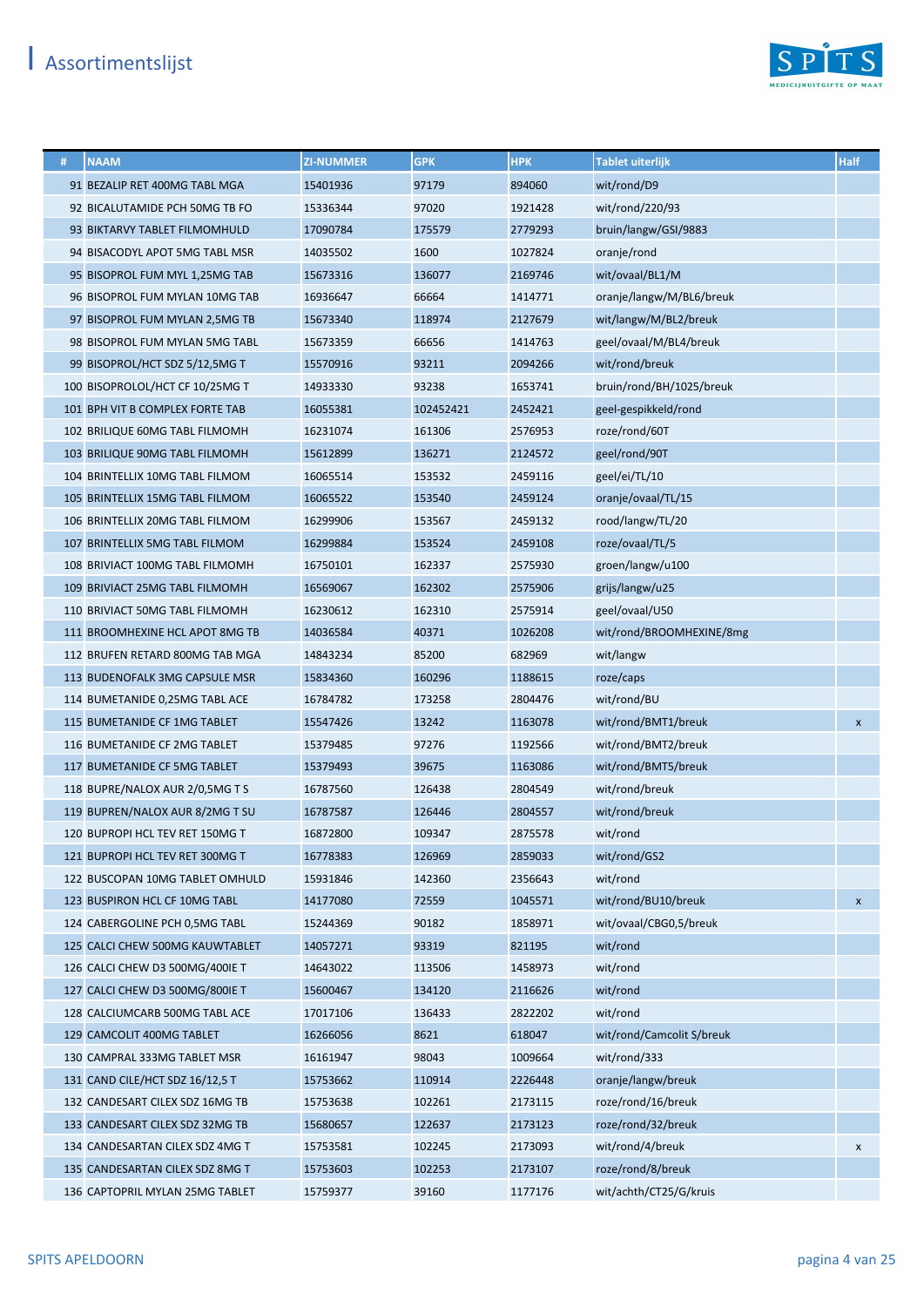

| # | <b>NAAM</b>                     | <b>ZI-NUMMER</b> | <b>GPK</b> | <b>HPK</b> | <b>Tablet uiterlijk</b>   | <b>Half</b>  |
|---|---------------------------------|------------------|------------|------------|---------------------------|--------------|
|   | 91 BEZALIP RET 400MG TABL MGA   | 15401936         | 97179      | 894060     | wit/rond/D9               |              |
|   | 92 BICALUTAMIDE PCH 50MG TB FO  | 15336344         | 97020      | 1921428    | wit/rond/220/93           |              |
|   | 93 BIKTARVY TABLET FILMOMHULD   | 17090784         | 175579     | 2779293    | bruin/langw/GSI/9883      |              |
|   | 94 BISACODYL APOT 5MG TABL MSR  | 14035502         | 1600       | 1027824    | oranje/rond               |              |
|   | 95 BISOPROL FUM MYL 1,25MG TAB  | 15673316         | 136077     | 2169746    | wit/ovaal/BL1/M           |              |
|   | 96 BISOPROL FUM MYLAN 10MG TAB  | 16936647         | 66664      | 1414771    | oranje/langw/M/BL6/breuk  |              |
|   | 97 BISOPROL FUM MYLAN 2,5MG TB  | 15673340         | 118974     | 2127679    | wit/langw/M/BL2/breuk     |              |
|   | 98 BISOPROL FUM MYLAN 5MG TABL  | 15673359         | 66656      | 1414763    | geel/ovaal/M/BL4/breuk    |              |
|   | 99 BISOPROL/HCT SDZ 5/12,5MG T  | 15570916         | 93211      | 2094266    | wit/rond/breuk            |              |
|   | 100 BISOPROLOL/HCT CF 10/25MG T | 14933330         | 93238      | 1653741    | bruin/rond/BH/1025/breuk  |              |
|   | 101 BPH VIT B COMPLEX FORTE TAB | 16055381         | 102452421  | 2452421    | geel-gespikkeld/rond      |              |
|   | 102 BRILIQUE 60MG TABL FILMOMH  | 16231074         | 161306     | 2576953    | roze/rond/60T             |              |
|   | 103 BRILIQUE 90MG TABL FILMOMH  | 15612899         | 136271     | 2124572    | geel/rond/90T             |              |
|   | 104 BRINTELLIX 10MG TABL FILMOM | 16065514         | 153532     | 2459116    | geel/ei/TL/10             |              |
|   | 105 BRINTELLIX 15MG TABL FILMOM | 16065522         | 153540     | 2459124    | oranje/ovaal/TL/15        |              |
|   | 106 BRINTELLIX 20MG TABL FILMOM | 16299906         | 153567     | 2459132    | rood/langw/TL/20          |              |
|   | 107 BRINTELLIX 5MG TABL FILMOM  | 16299884         | 153524     | 2459108    | roze/ovaal/TL/5           |              |
|   | 108 BRIVIACT 100MG TABL FILMOMH | 16750101         | 162337     | 2575930    | groen/langw/u100          |              |
|   | 109 BRIVIACT 25MG TABL FILMOMH  | 16569067         | 162302     | 2575906    | grijs/langw/u25           |              |
|   | 110 BRIVIACT 50MG TABL FILMOMH  | 16230612         | 162310     | 2575914    | geel/ovaal/U50            |              |
|   | 111 BROOMHEXINE HCL APOT 8MG TB | 14036584         | 40371      | 1026208    | wit/rond/BROOMHEXINE/8mg  |              |
|   | 112 BRUFEN RETARD 800MG TAB MGA | 14843234         | 85200      | 682969     | wit/langw                 |              |
|   | 113 BUDENOFALK 3MG CAPSULE MSR  | 15834360         | 160296     | 1188615    | roze/caps                 |              |
|   | 114 BUMETANIDE 0,25MG TABL ACE  | 16784782         | 173258     | 2804476    | wit/rond/BU               |              |
|   | 115 BUMETANIDE CF 1MG TABLET    | 15547426         | 13242      | 1163078    | wit/rond/BMT1/breuk       | $\mathsf{x}$ |
|   | 116 BUMETANIDE CF 2MG TABLET    | 15379485         | 97276      | 1192566    | wit/rond/BMT2/breuk       |              |
|   | 117 BUMETANIDE CF 5MG TABLET    | 15379493         | 39675      | 1163086    | wit/rond/BMT5/breuk       |              |
|   | 118 BUPRE/NALOX AUR 2/0,5MG T S | 16787560         | 126438     | 2804549    | wit/rond/breuk            |              |
|   | 119 BUPREN/NALOX AUR 8/2MG T SU | 16787587         | 126446     | 2804557    | wit/rond/breuk            |              |
|   | 120 BUPROPI HCL TEV RET 150MG T | 16872800         | 109347     | 2875578    | wit/rond                  |              |
|   | 121 BUPROPI HCL TEV RET 300MG T | 16778383         | 126969     | 2859033    | wit/rond/GS2              |              |
|   | 122 BUSCOPAN 10MG TABLET OMHULD | 15931846         | 142360     | 2356643    | wit/rond                  |              |
|   | 123 BUSPIRON HCL CF 10MG TABL   | 14177080         | 72559      | 1045571    | wit/rond/BU10/breuk       | X            |
|   | 124 CABERGOLINE PCH 0,5MG TABL  | 15244369         | 90182      | 1858971    | wit/ovaal/CBG0,5/breuk    |              |
|   | 125 CALCI CHEW 500MG KAUWTABLET | 14057271         | 93319      | 821195     | wit/rond                  |              |
|   | 126 CALCI CHEW D3 500MG/400IE T | 14643022         | 113506     | 1458973    | wit/rond                  |              |
|   | 127 CALCI CHEW D3 500MG/800IE T | 15600467         | 134120     | 2116626    | wit/rond                  |              |
|   | 128 CALCIUMCARB 500MG TABL ACE  | 17017106         | 136433     | 2822202    | wit/rond                  |              |
|   | 129 CAMCOLIT 400MG TABLET       | 16266056         | 8621       | 618047     | wit/rond/Camcolit S/breuk |              |
|   | 130 CAMPRAL 333MG TABLET MSR    | 16161947         | 98043      | 1009664    | wit/rond/333              |              |
|   | 131 CAND CILE/HCT SDZ 16/12,5 T | 15753662         | 110914     | 2226448    | oranje/langw/breuk        |              |
|   | 132 CANDESART CILEX SDZ 16MG TB | 15753638         | 102261     | 2173115    | roze/rond/16/breuk        |              |
|   | 133 CANDESART CILEX SDZ 32MG TB | 15680657         | 122637     | 2173123    | roze/rond/32/breuk        |              |
|   | 134 CANDESARTAN CILEX SDZ 4MG T | 15753581         | 102245     | 2173093    | wit/rond/4/breuk          | X            |
|   | 135 CANDESARTAN CILEX SDZ 8MG T | 15753603         | 102253     | 2173107    | roze/rond/8/breuk         |              |
|   | 136 CAPTOPRIL MYLAN 25MG TABLET | 15759377         | 39160      | 1177176    | wit/achth/CT25/G/kruis    |              |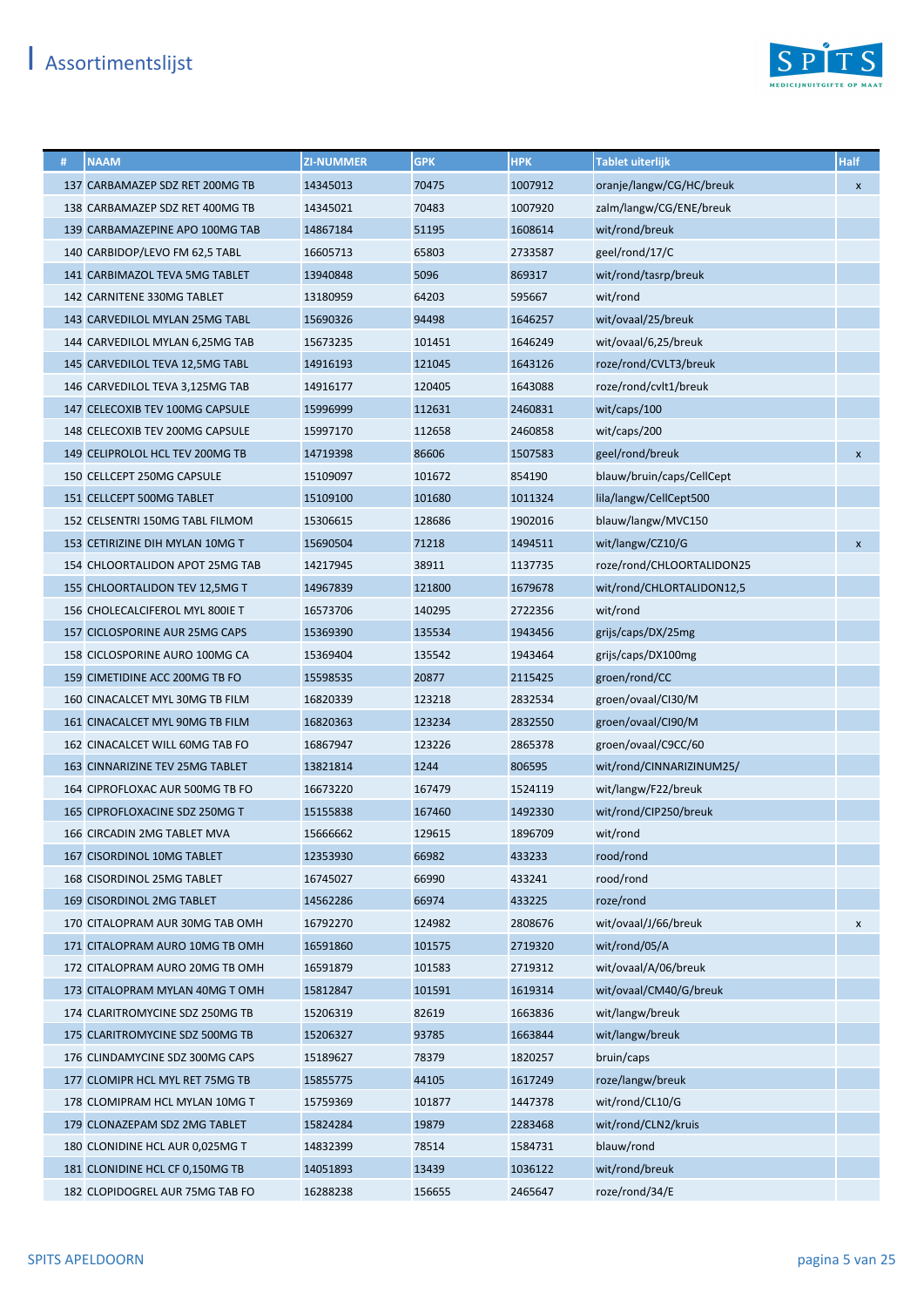

| # | <b>NAAM</b>                     | <b>ZI-NUMMER</b> | <b>GPK</b> | <b>HPK</b> | <b>Tablet uiterlijk</b>   | <b>Half</b>        |
|---|---------------------------------|------------------|------------|------------|---------------------------|--------------------|
|   | 137 CARBAMAZEP SDZ RET 200MG TB | 14345013         | 70475      | 1007912    | oranje/langw/CG/HC/breuk  | $\pmb{\mathsf{X}}$ |
|   | 138 CARBAMAZEP SDZ RET 400MG TB | 14345021         | 70483      | 1007920    | zalm/langw/CG/ENE/breuk   |                    |
|   | 139 CARBAMAZEPINE APO 100MG TAB | 14867184         | 51195      | 1608614    | wit/rond/breuk            |                    |
|   | 140 CARBIDOP/LEVO FM 62,5 TABL  | 16605713         | 65803      | 2733587    | geel/rond/17/C            |                    |
|   | 141 CARBIMAZOL TEVA 5MG TABLET  | 13940848         | 5096       | 869317     | wit/rond/tasrp/breuk      |                    |
|   | 142 CARNITENE 330MG TABLET      | 13180959         | 64203      | 595667     | wit/rond                  |                    |
|   | 143 CARVEDILOL MYLAN 25MG TABL  | 15690326         | 94498      | 1646257    | wit/ovaal/25/breuk        |                    |
|   | 144 CARVEDILOL MYLAN 6,25MG TAB | 15673235         | 101451     | 1646249    | wit/ovaal/6,25/breuk      |                    |
|   | 145 CARVEDILOL TEVA 12,5MG TABL | 14916193         | 121045     | 1643126    | roze/rond/CVLT3/breuk     |                    |
|   | 146 CARVEDILOL TEVA 3,125MG TAB | 14916177         | 120405     | 1643088    | roze/rond/cvlt1/breuk     |                    |
|   | 147 CELECOXIB TEV 100MG CAPSULE | 15996999         | 112631     | 2460831    | wit/caps/100              |                    |
|   | 148 CELECOXIB TEV 200MG CAPSULE | 15997170         | 112658     | 2460858    | wit/caps/200              |                    |
|   | 149 CELIPROLOL HCL TEV 200MG TB | 14719398         | 86606      | 1507583    | geel/rond/breuk           | $\pmb{\mathsf{X}}$ |
|   | 150 CELLCEPT 250MG CAPSULE      | 15109097         | 101672     | 854190     | blauw/bruin/caps/CellCept |                    |
|   | 151 CELLCEPT 500MG TABLET       | 15109100         | 101680     | 1011324    | lila/langw/CellCept500    |                    |
|   | 152 CELSENTRI 150MG TABL FILMOM | 15306615         | 128686     | 1902016    | blauw/langw/MVC150        |                    |
|   | 153 CETIRIZINE DIH MYLAN 10MG T | 15690504         | 71218      | 1494511    | wit/langw/CZ10/G          | $\pmb{\mathsf{X}}$ |
|   | 154 CHLOORTALIDON APOT 25MG TAB | 14217945         | 38911      | 1137735    | roze/rond/CHLOORTALIDON25 |                    |
|   | 155 CHLOORTALIDON TEV 12,5MG T  | 14967839         | 121800     | 1679678    | wit/rond/CHLORTALIDON12,5 |                    |
|   | 156 CHOLECALCIFEROL MYL 800IE T | 16573706         | 140295     | 2722356    | wit/rond                  |                    |
|   | 157 CICLOSPORINE AUR 25MG CAPS  | 15369390         | 135534     | 1943456    | grijs/caps/DX/25mg        |                    |
|   | 158 CICLOSPORINE AURO 100MG CA  | 15369404         | 135542     | 1943464    | grijs/caps/DX100mg        |                    |
|   | 159 CIMETIDINE ACC 200MG TB FO  | 15598535         | 20877      | 2115425    | groen/rond/CC             |                    |
|   | 160 CINACALCET MYL 30MG TB FILM | 16820339         | 123218     | 2832534    | groen/ovaal/CI30/M        |                    |
|   | 161 CINACALCET MYL 90MG TB FILM | 16820363         | 123234     | 2832550    | groen/ovaal/CI90/M        |                    |
|   | 162 CINACALCET WILL 60MG TAB FO | 16867947         | 123226     | 2865378    | groen/ovaal/C9CC/60       |                    |
|   | 163 CINNARIZINE TEV 25MG TABLET | 13821814         | 1244       | 806595     | wit/rond/CINNARIZINUM25/  |                    |
|   | 164 CIPROFLOXAC AUR 500MG TB FO | 16673220         | 167479     | 1524119    | wit/langw/F22/breuk       |                    |
|   | 165 CIPROFLOXACINE SDZ 250MG T  | 15155838         | 167460     | 1492330    | wit/rond/CIP250/breuk     |                    |
|   | 166 CIRCADIN 2MG TABLET MVA     | 15666662         | 129615     | 1896709    | wit/rond                  |                    |
|   | 167 CISORDINOL 10MG TABLET      | 12353930         | 66982      | 433233     | rood/rond                 |                    |
|   | 168 CISORDINOL 25MG TABLET      | 16745027         | 66990      | 433241     | rood/rond                 |                    |
|   | 169 CISORDINOL 2MG TABLET       | 14562286         | 66974      | 433225     | roze/rond                 |                    |
|   | 170 CITALOPRAM AUR 30MG TAB OMH | 16792270         | 124982     | 2808676    | wit/ovaal/J/66/breuk      | X                  |
|   | 171 CITALOPRAM AURO 10MG TB OMH | 16591860         | 101575     | 2719320    | wit/rond/05/A             |                    |
|   | 172 CITALOPRAM AURO 20MG TB OMH | 16591879         | 101583     | 2719312    | wit/ovaal/A/06/breuk      |                    |
|   | 173 CITALOPRAM MYLAN 40MG TOMH  | 15812847         | 101591     | 1619314    | wit/ovaal/CM40/G/breuk    |                    |
|   | 174 CLARITROMYCINE SDZ 250MG TB | 15206319         | 82619      | 1663836    | wit/langw/breuk           |                    |
|   | 175 CLARITROMYCINE SDZ 500MG TB | 15206327         | 93785      | 1663844    | wit/langw/breuk           |                    |
|   | 176 CLINDAMYCINE SDZ 300MG CAPS | 15189627         | 78379      | 1820257    | bruin/caps                |                    |
|   | 177 CLOMIPR HCL MYL RET 75MG TB | 15855775         | 44105      | 1617249    | roze/langw/breuk          |                    |
|   | 178 CLOMIPRAM HCL MYLAN 10MG T  | 15759369         | 101877     | 1447378    | wit/rond/CL10/G           |                    |
|   | 179 CLONAZEPAM SDZ 2MG TABLET   | 15824284         | 19879      | 2283468    | wit/rond/CLN2/kruis       |                    |
|   | 180 CLONIDINE HCL AUR 0,025MG T | 14832399         | 78514      | 1584731    | blauw/rond                |                    |
|   | 181 CLONIDINE HCL CF 0,150MG TB | 14051893         | 13439      | 1036122    | wit/rond/breuk            |                    |
|   | 182 CLOPIDOGREL AUR 75MG TAB FO | 16288238         | 156655     | 2465647    | roze/rond/34/E            |                    |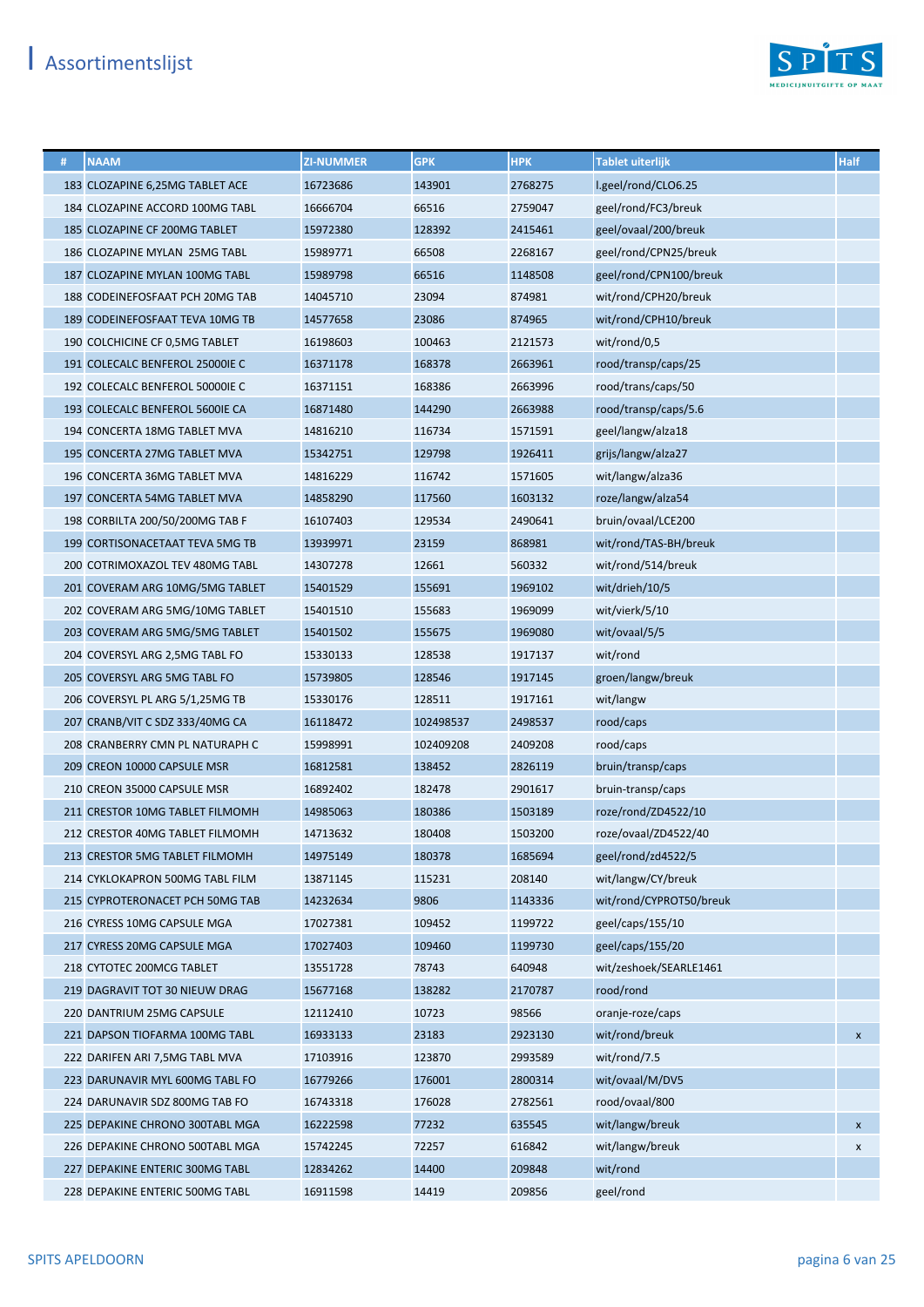

| # | <b>NAAM</b>                     | <b>ZI-NUMMER</b> | <b>GPK</b> | <b>HPK</b> | <b>Tablet uiterlijk</b> | <b>Half</b>        |
|---|---------------------------------|------------------|------------|------------|-------------------------|--------------------|
|   | 183 CLOZAPINE 6,25MG TABLET ACE | 16723686         | 143901     | 2768275    | l.geel/rond/CLO6.25     |                    |
|   | 184 CLOZAPINE ACCORD 100MG TABL | 16666704         | 66516      | 2759047    | geel/rond/FC3/breuk     |                    |
|   | 185 CLOZAPINE CF 200MG TABLET   | 15972380         | 128392     | 2415461    | geel/ovaal/200/breuk    |                    |
|   | 186 CLOZAPINE MYLAN 25MG TABL   | 15989771         | 66508      | 2268167    | geel/rond/CPN25/breuk   |                    |
|   | 187 CLOZAPINE MYLAN 100MG TABL  | 15989798         | 66516      | 1148508    | geel/rond/CPN100/breuk  |                    |
|   | 188 CODEINEFOSFAAT PCH 20MG TAB | 14045710         | 23094      | 874981     | wit/rond/CPH20/breuk    |                    |
|   | 189 CODEINEFOSFAAT TEVA 10MG TB | 14577658         | 23086      | 874965     | wit/rond/CPH10/breuk    |                    |
|   | 190 COLCHICINE CF 0,5MG TABLET  | 16198603         | 100463     | 2121573    | wit/rond/0,5            |                    |
|   | 191 COLECALC BENFEROL 25000IE C | 16371178         | 168378     | 2663961    | rood/transp/caps/25     |                    |
|   | 192 COLECALC BENFEROL 50000IE C | 16371151         | 168386     | 2663996    | rood/trans/caps/50      |                    |
|   | 193 COLECALC BENFEROL 5600IE CA | 16871480         | 144290     | 2663988    | rood/transp/caps/5.6    |                    |
|   | 194 CONCERTA 18MG TABLET MVA    | 14816210         | 116734     | 1571591    | geel/langw/alza18       |                    |
|   | 195 CONCERTA 27MG TABLET MVA    | 15342751         | 129798     | 1926411    | grijs/langw/alza27      |                    |
|   | 196 CONCERTA 36MG TABLET MVA    | 14816229         | 116742     | 1571605    | wit/langw/alza36        |                    |
|   | 197 CONCERTA 54MG TABLET MVA    | 14858290         | 117560     | 1603132    | roze/langw/alza54       |                    |
|   | 198 CORBILTA 200/50/200MG TAB F | 16107403         | 129534     | 2490641    | bruin/ovaal/LCE200      |                    |
|   | 199 CORTISONACETAAT TEVA 5MG TB | 13939971         | 23159      | 868981     | wit/rond/TAS-BH/breuk   |                    |
|   | 200 COTRIMOXAZOL TEV 480MG TABL | 14307278         | 12661      | 560332     | wit/rond/514/breuk      |                    |
|   | 201 COVERAM ARG 10MG/5MG TABLET | 15401529         | 155691     | 1969102    | wit/drieh/10/5          |                    |
|   | 202 COVERAM ARG 5MG/10MG TABLET | 15401510         | 155683     | 1969099    | wit/vierk/5/10          |                    |
|   | 203 COVERAM ARG 5MG/5MG TABLET  | 15401502         | 155675     | 1969080    | wit/ovaal/5/5           |                    |
|   | 204 COVERSYL ARG 2,5MG TABL FO  | 15330133         | 128538     | 1917137    | wit/rond                |                    |
|   | 205 COVERSYL ARG 5MG TABL FO    | 15739805         | 128546     | 1917145    | groen/langw/breuk       |                    |
|   | 206 COVERSYL PL ARG 5/1,25MG TB | 15330176         | 128511     | 1917161    | wit/langw               |                    |
|   | 207 CRANB/VIT C SDZ 333/40MG CA | 16118472         | 102498537  | 2498537    | rood/caps               |                    |
|   | 208 CRANBERRY CMN PL NATURAPH C | 15998991         | 102409208  | 2409208    | rood/caps               |                    |
|   | 209 CREON 10000 CAPSULE MSR     | 16812581         | 138452     | 2826119    | bruin/transp/caps       |                    |
|   | 210 CREON 35000 CAPSULE MSR     | 16892402         | 182478     | 2901617    | bruin-transp/caps       |                    |
|   | 211 CRESTOR 10MG TABLET FILMOMH | 14985063         | 180386     | 1503189    | roze/rond/ZD4522/10     |                    |
|   | 212 CRESTOR 40MG TABLET FILMOMH | 14713632         | 180408     | 1503200    | roze/ovaal/ZD4522/40    |                    |
|   | 213 CRESTOR 5MG TABLET FILMOMH  | 14975149         | 180378     | 1685694    | geel/rond/zd4522/5      |                    |
|   | 214 CYKLOKAPRON 500MG TABL FILM | 13871145         | 115231     | 208140     | wit/langw/CY/breuk      |                    |
|   | 215 CYPROTERONACET PCH 50MG TAB | 14232634         | 9806       | 1143336    | wit/rond/CYPROT50/breuk |                    |
|   | 216 CYRESS 10MG CAPSULE MGA     | 17027381         | 109452     | 1199722    | geel/caps/155/10        |                    |
|   | 217 CYRESS 20MG CAPSULE MGA     | 17027403         | 109460     | 1199730    | geel/caps/155/20        |                    |
|   | 218 CYTOTEC 200MCG TABLET       | 13551728         | 78743      | 640948     | wit/zeshoek/SEARLE1461  |                    |
|   | 219 DAGRAVIT TOT 30 NIEUW DRAG  | 15677168         | 138282     | 2170787    | rood/rond               |                    |
|   | 220 DANTRIUM 25MG CAPSULE       | 12112410         | 10723      | 98566      | oranje-roze/caps        |                    |
|   | 221 DAPSON TIOFARMA 100MG TABL  | 16933133         | 23183      | 2923130    | wit/rond/breuk          | $\pmb{\mathsf{X}}$ |
|   | 222 DARIFEN ARI 7,5MG TABL MVA  | 17103916         | 123870     | 2993589    | wit/rond/7.5            |                    |
|   | 223 DARUNAVIR MYL 600MG TABL FO | 16779266         | 176001     | 2800314    | wit/ovaal/M/DV5         |                    |
|   | 224 DARUNAVIR SDZ 800MG TAB FO  | 16743318         | 176028     | 2782561    | rood/ovaal/800          |                    |
|   | 225 DEPAKINE CHRONO 300TABL MGA | 16222598         | 77232      | 635545     | wit/langw/breuk         | $\pmb{\mathsf{x}}$ |
|   | 226 DEPAKINE CHRONO 500TABL MGA | 15742245         | 72257      | 616842     | wit/langw/breuk         | X                  |
|   | 227 DEPAKINE ENTERIC 300MG TABL | 12834262         | 14400      | 209848     | wit/rond                |                    |
|   | 228 DEPAKINE ENTERIC 500MG TABL | 16911598         | 14419      | 209856     | geel/rond               |                    |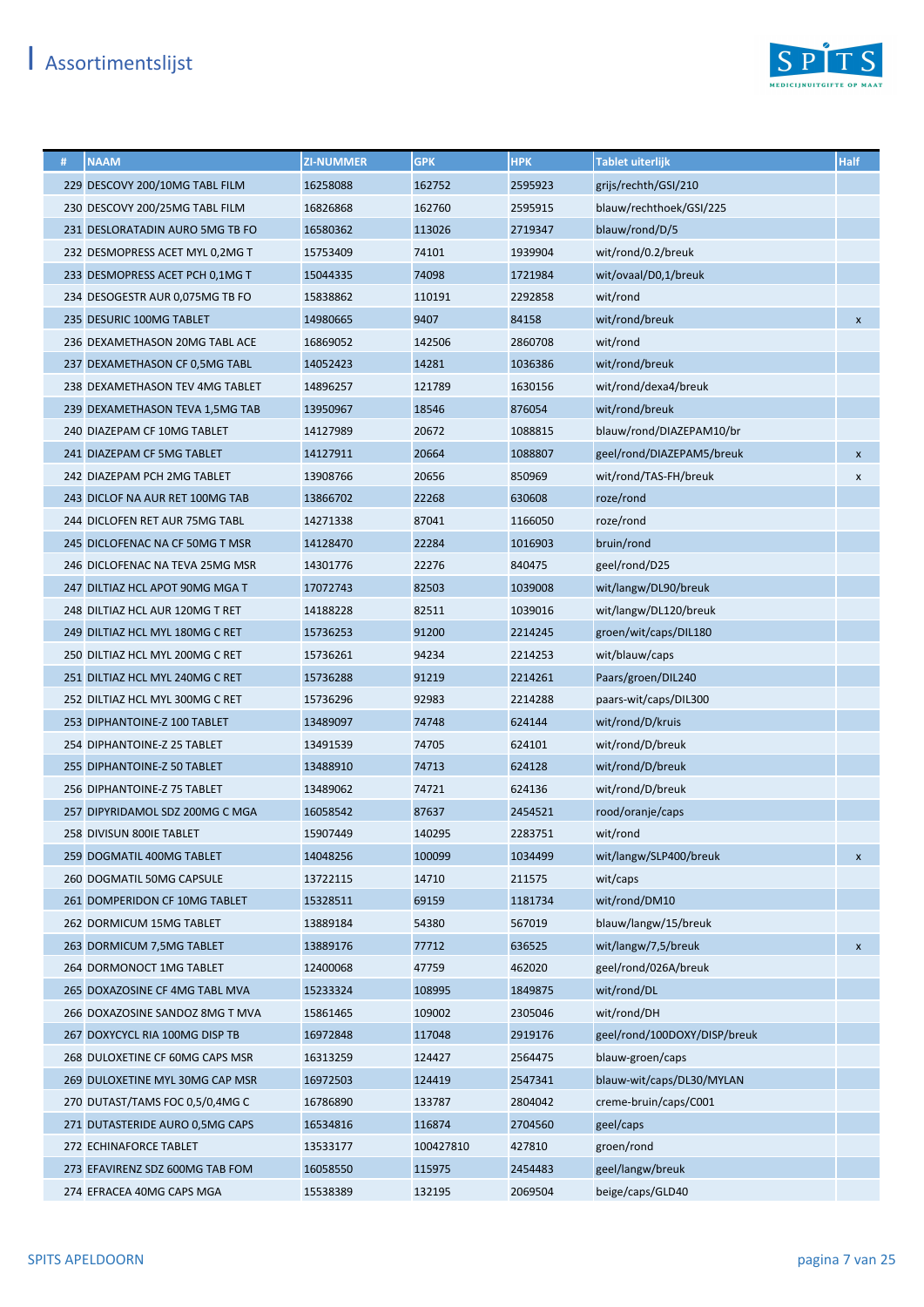

| # | <b>NAAM</b>                     | <b>ZI-NUMMER</b> | <b>GPK</b> | <b>HPK</b> | <b>Tablet uiterlijk</b>      | <b>Half</b>        |
|---|---------------------------------|------------------|------------|------------|------------------------------|--------------------|
|   | 229 DESCOVY 200/10MG TABL FILM  | 16258088         | 162752     | 2595923    | grijs/rechth/GSI/210         |                    |
|   | 230 DESCOVY 200/25MG TABL FILM  | 16826868         | 162760     | 2595915    | blauw/rechthoek/GSI/225      |                    |
|   | 231 DESLORATADIN AURO 5MG TB FO | 16580362         | 113026     | 2719347    | blauw/rond/D/5               |                    |
|   | 232 DESMOPRESS ACET MYL 0,2MG T | 15753409         | 74101      | 1939904    | wit/rond/0.2/breuk           |                    |
|   | 233 DESMOPRESS ACET PCH 0,1MG T | 15044335         | 74098      | 1721984    | wit/ovaal/D0,1/breuk         |                    |
|   | 234 DESOGESTR AUR 0,075MG TB FO | 15838862         | 110191     | 2292858    | wit/rond                     |                    |
|   | 235 DESURIC 100MG TABLET        | 14980665         | 9407       | 84158      | wit/rond/breuk               | $\pmb{\mathsf{x}}$ |
|   | 236 DEXAMETHASON 20MG TABL ACE  | 16869052         | 142506     | 2860708    | wit/rond                     |                    |
|   | 237 DEXAMETHASON CF 0,5MG TABL  | 14052423         | 14281      | 1036386    | wit/rond/breuk               |                    |
|   | 238 DEXAMETHASON TEV 4MG TABLET | 14896257         | 121789     | 1630156    | wit/rond/dexa4/breuk         |                    |
|   | 239 DEXAMETHASON TEVA 1,5MG TAB | 13950967         | 18546      | 876054     | wit/rond/breuk               |                    |
|   | 240 DIAZEPAM CF 10MG TABLET     | 14127989         | 20672      | 1088815    | blauw/rond/DIAZEPAM10/br     |                    |
|   | 241 DIAZEPAM CF 5MG TABLET      | 14127911         | 20664      | 1088807    | geel/rond/DIAZEPAM5/breuk    | $\mathsf{x}$       |
|   | 242 DIAZEPAM PCH 2MG TABLET     | 13908766         | 20656      | 850969     | wit/rond/TAS-FH/breuk        | X                  |
|   | 243 DICLOF NA AUR RET 100MG TAB | 13866702         | 22268      | 630608     | roze/rond                    |                    |
|   | 244 DICLOFEN RET AUR 75MG TABL  | 14271338         | 87041      | 1166050    | roze/rond                    |                    |
|   | 245 DICLOFENAC NA CF 50MG T MSR | 14128470         | 22284      | 1016903    | bruin/rond                   |                    |
|   | 246 DICLOFENAC NA TEVA 25MG MSR | 14301776         | 22276      | 840475     | geel/rond/D25                |                    |
|   | 247 DILTIAZ HCL APOT 90MG MGA T | 17072743         | 82503      | 1039008    | wit/langw/DL90/breuk         |                    |
|   | 248 DILTIAZ HCL AUR 120MG T RET | 14188228         | 82511      | 1039016    | wit/langw/DL120/breuk        |                    |
|   | 249 DILTIAZ HCL MYL 180MG C RET | 15736253         | 91200      | 2214245    | groen/wit/caps/DIL180        |                    |
|   | 250 DILTIAZ HCL MYL 200MG C RET | 15736261         | 94234      | 2214253    | wit/blauw/caps               |                    |
|   | 251 DILTIAZ HCL MYL 240MG C RET | 15736288         | 91219      | 2214261    | Paars/groen/DIL240           |                    |
|   | 252 DILTIAZ HCL MYL 300MG C RET | 15736296         | 92983      | 2214288    | paars-wit/caps/DIL300        |                    |
|   | 253 DIPHANTOINE-Z 100 TABLET    | 13489097         | 74748      | 624144     | wit/rond/D/kruis             |                    |
|   | 254 DIPHANTOINE-Z 25 TABLET     | 13491539         | 74705      | 624101     | wit/rond/D/breuk             |                    |
|   | 255 DIPHANTOINE-Z 50 TABLET     | 13488910         | 74713      | 624128     | wit/rond/D/breuk             |                    |
|   | 256 DIPHANTOINE-Z 75 TABLET     | 13489062         | 74721      | 624136     | wit/rond/D/breuk             |                    |
|   | 257 DIPYRIDAMOL SDZ 200MG C MGA | 16058542         | 87637      | 2454521    | rood/oranje/caps             |                    |
|   | 258 DIVISUN 800IE TABLET        | 15907449         | 140295     | 2283751    | wit/rond                     |                    |
|   | 259 DOGMATIL 400MG TABLET       | 14048256         | 100099     | 1034499    | wit/langw/SLP400/breuk       | X                  |
|   | 260 DOGMATIL 50MG CAPSULE       | 13722115         | 14710      | 211575     | wit/caps                     |                    |
|   | 261 DOMPERIDON CF 10MG TABLET   | 15328511         | 69159      | 1181734    | wit/rond/DM10                |                    |
|   | 262 DORMICUM 15MG TABLET        | 13889184         | 54380      | 567019     | blauw/langw/15/breuk         |                    |
|   | 263 DORMICUM 7,5MG TABLET       | 13889176         | 77712      | 636525     | wit/langw/7,5/breuk          | $\mathsf{x}$       |
|   | 264 DORMONOCT 1MG TABLET        | 12400068         | 47759      | 462020     | geel/rond/026A/breuk         |                    |
|   | 265 DOXAZOSINE CF 4MG TABL MVA  | 15233324         | 108995     | 1849875    | wit/rond/DL                  |                    |
|   | 266 DOXAZOSINE SANDOZ 8MG T MVA | 15861465         | 109002     | 2305046    | wit/rond/DH                  |                    |
|   | 267 DOXYCYCL RIA 100MG DISP TB  | 16972848         | 117048     | 2919176    | geel/rond/100DOXY/DISP/breuk |                    |
|   | 268 DULOXETINE CF 60MG CAPS MSR | 16313259         | 124427     | 2564475    | blauw-groen/caps             |                    |
|   | 269 DULOXETINE MYL 30MG CAP MSR | 16972503         | 124419     | 2547341    | blauw-wit/caps/DL30/MYLAN    |                    |
|   | 270 DUTAST/TAMS FOC 0,5/0,4MG C | 16786890         | 133787     | 2804042    | creme-bruin/caps/C001        |                    |
|   | 271 DUTASTERIDE AURO 0,5MG CAPS | 16534816         | 116874     | 2704560    | geel/caps                    |                    |
|   | 272 ECHINAFORCE TABLET          | 13533177         | 100427810  | 427810     | groen/rond                   |                    |
|   | 273 EFAVIRENZ SDZ 600MG TAB FOM | 16058550         | 115975     | 2454483    | geel/langw/breuk             |                    |
|   | 274 EFRACEA 40MG CAPS MGA       | 15538389         | 132195     | 2069504    | beige/caps/GLD40             |                    |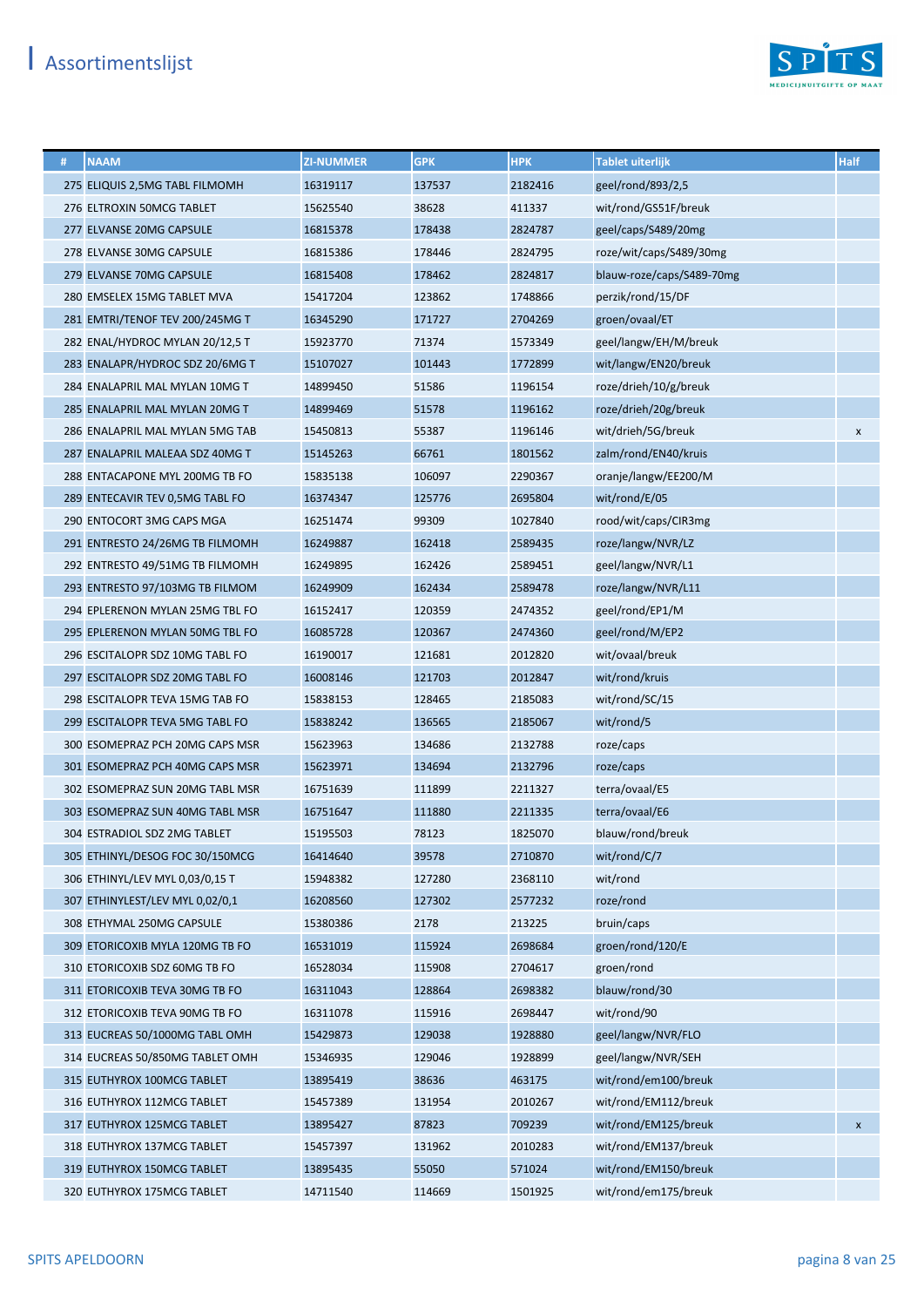

| # | <b>NAAM</b>                     | <b>ZI-NUMMER</b> | <b>GPK</b> | <b>HPK</b> | <b>Tablet uiterlijk</b>   | Half         |
|---|---------------------------------|------------------|------------|------------|---------------------------|--------------|
|   | 275 ELIQUIS 2,5MG TABL FILMOMH  | 16319117         | 137537     | 2182416    | geel/rond/893/2,5         |              |
|   | 276 ELTROXIN 50MCG TABLET       | 15625540         | 38628      | 411337     | wit/rond/GS51F/breuk      |              |
|   | 277 ELVANSE 20MG CAPSULE        | 16815378         | 178438     | 2824787    | geel/caps/S489/20mg       |              |
|   | 278 ELVANSE 30MG CAPSULE        | 16815386         | 178446     | 2824795    | roze/wit/caps/S489/30mg   |              |
|   | 279 ELVANSE 70MG CAPSULE        | 16815408         | 178462     | 2824817    | blauw-roze/caps/S489-70mg |              |
|   | 280 EMSELEX 15MG TABLET MVA     | 15417204         | 123862     | 1748866    | perzik/rond/15/DF         |              |
|   | 281 EMTRI/TENOF TEV 200/245MG T | 16345290         | 171727     | 2704269    | groen/ovaal/ET            |              |
|   | 282 ENAL/HYDROC MYLAN 20/12,5 T | 15923770         | 71374      | 1573349    | geel/langw/EH/M/breuk     |              |
|   | 283 ENALAPR/HYDROC SDZ 20/6MG T | 15107027         | 101443     | 1772899    | wit/langw/EN20/breuk      |              |
|   | 284 ENALAPRIL MAL MYLAN 10MG T  | 14899450         | 51586      | 1196154    | roze/drieh/10/g/breuk     |              |
|   | 285 ENALAPRIL MAL MYLAN 20MG T  | 14899469         | 51578      | 1196162    | roze/drieh/20g/breuk      |              |
|   | 286 ENALAPRIL MAL MYLAN 5MG TAB | 15450813         | 55387      | 1196146    | wit/drieh/5G/breuk        | X            |
|   | 287 ENALAPRIL MALEAA SDZ 40MG T | 15145263         | 66761      | 1801562    | zalm/rond/EN40/kruis      |              |
|   | 288 ENTACAPONE MYL 200MG TB FO  | 15835138         | 106097     | 2290367    | oranje/langw/EE200/M      |              |
|   | 289 ENTECAVIR TEV 0,5MG TABL FO | 16374347         | 125776     | 2695804    | wit/rond/E/05             |              |
|   | 290 ENTOCORT 3MG CAPS MGA       | 16251474         | 99309      | 1027840    | rood/wit/caps/CIR3mg      |              |
|   | 291 ENTRESTO 24/26MG TB FILMOMH | 16249887         | 162418     | 2589435    | roze/langw/NVR/LZ         |              |
|   | 292 ENTRESTO 49/51MG TB FILMOMH | 16249895         | 162426     | 2589451    | geel/langw/NVR/L1         |              |
|   | 293 ENTRESTO 97/103MG TB FILMOM | 16249909         | 162434     | 2589478    | roze/langw/NVR/L11        |              |
|   | 294 EPLERENON MYLAN 25MG TBL FO | 16152417         | 120359     | 2474352    | geel/rond/EP1/M           |              |
|   | 295 EPLERENON MYLAN 50MG TBL FO | 16085728         | 120367     | 2474360    | geel/rond/M/EP2           |              |
|   | 296 ESCITALOPR SDZ 10MG TABL FO | 16190017         | 121681     | 2012820    | wit/ovaal/breuk           |              |
|   | 297 ESCITALOPR SDZ 20MG TABL FO | 16008146         | 121703     | 2012847    | wit/rond/kruis            |              |
|   | 298 ESCITALOPR TEVA 15MG TAB FO | 15838153         | 128465     | 2185083    | wit/rond/SC/15            |              |
|   | 299 ESCITALOPR TEVA 5MG TABL FO | 15838242         | 136565     | 2185067    | wit/rond/5                |              |
|   | 300 ESOMEPRAZ PCH 20MG CAPS MSR | 15623963         | 134686     | 2132788    | roze/caps                 |              |
|   | 301 ESOMEPRAZ PCH 40MG CAPS MSR | 15623971         | 134694     | 2132796    | roze/caps                 |              |
|   | 302 ESOMEPRAZ SUN 20MG TABL MSR | 16751639         | 111899     | 2211327    | terra/ovaal/E5            |              |
|   | 303 ESOMEPRAZ SUN 40MG TABL MSR | 16751647         | 111880     | 2211335    | terra/ovaal/E6            |              |
|   | 304 ESTRADIOL SDZ 2MG TABLET    | 15195503         | 78123      | 1825070    | blauw/rond/breuk          |              |
|   | 305 ETHINYL/DESOG FOC 30/150MCG | 16414640         | 39578      | 2710870    | wit/rond/C/7              |              |
|   | 306 ETHINYL/LEV MYL 0,03/0,15 T | 15948382         | 127280     | 2368110    | wit/rond                  |              |
|   | 307 ETHINYLEST/LEV MYL 0,02/0,1 | 16208560         | 127302     | 2577232    | roze/rond                 |              |
|   | 308 ETHYMAL 250MG CAPSULE       | 15380386         | 2178       | 213225     | bruin/caps                |              |
|   | 309 ETORICOXIB MYLA 120MG TB FO | 16531019         | 115924     | 2698684    | groen/rond/120/E          |              |
|   | 310 ETORICOXIB SDZ 60MG TB FO   | 16528034         | 115908     | 2704617    | groen/rond                |              |
|   | 311 ETORICOXIB TEVA 30MG TB FO  | 16311043         | 128864     | 2698382    | blauw/rond/30             |              |
|   | 312 ETORICOXIB TEVA 90MG TB FO  | 16311078         | 115916     | 2698447    | wit/rond/90               |              |
|   | 313 EUCREAS 50/1000MG TABL OMH  | 15429873         | 129038     | 1928880    | geel/langw/NVR/FLO        |              |
|   | 314 EUCREAS 50/850MG TABLET OMH | 15346935         | 129046     | 1928899    | geel/langw/NVR/SEH        |              |
|   | 315 EUTHYROX 100MCG TABLET      | 13895419         | 38636      | 463175     | wit/rond/em100/breuk      |              |
|   | 316 EUTHYROX 112MCG TABLET      | 15457389         | 131954     | 2010267    | wit/rond/EM112/breuk      |              |
|   | 317 EUTHYROX 125MCG TABLET      | 13895427         | 87823      | 709239     | wit/rond/EM125/breuk      | $\mathsf{x}$ |
|   | 318 EUTHYROX 137MCG TABLET      | 15457397         | 131962     | 2010283    | wit/rond/EM137/breuk      |              |
|   | 319 EUTHYROX 150MCG TABLET      | 13895435         | 55050      | 571024     | wit/rond/EM150/breuk      |              |
|   | 320 EUTHYROX 175MCG TABLET      | 14711540         | 114669     | 1501925    | wit/rond/em175/breuk      |              |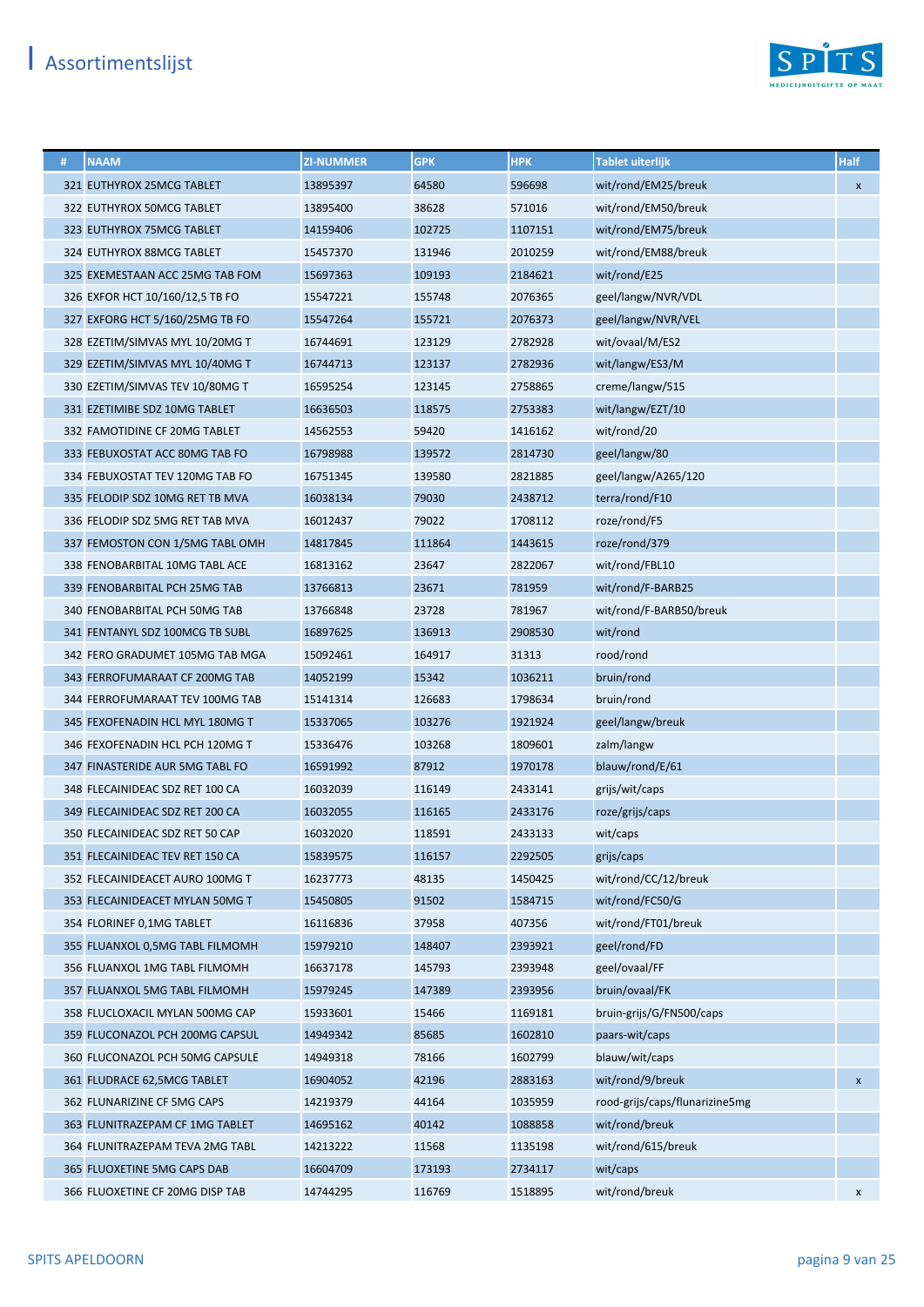

| # | <b>NAAM</b>                     | <b>ZI-NUMMER</b> | <b>GPK</b> | <b>HPK</b> | <b>Tablet uiterlijk</b>        | <b>Half</b>        |
|---|---------------------------------|------------------|------------|------------|--------------------------------|--------------------|
|   | 321 EUTHYROX 25MCG TABLET       | 13895397         | 64580      | 596698     | wit/rond/EM25/breuk            | $\pmb{\mathsf{X}}$ |
|   | 322 EUTHYROX 50MCG TABLET       | 13895400         | 38628      | 571016     | wit/rond/EM50/breuk            |                    |
|   | 323 EUTHYROX 75MCG TABLET       | 14159406         | 102725     | 1107151    | wit/rond/EM75/breuk            |                    |
|   | 324 EUTHYROX 88MCG TABLET       | 15457370         | 131946     | 2010259    | wit/rond/EM88/breuk            |                    |
|   | 325 EXEMESTAAN ACC 25MG TAB FOM | 15697363         | 109193     | 2184621    | wit/rond/E25                   |                    |
|   | 326 EXFOR HCT 10/160/12,5 TB FO | 15547221         | 155748     | 2076365    | geel/langw/NVR/VDL             |                    |
|   | 327 EXFORG HCT 5/160/25MG TB FO | 15547264         | 155721     | 2076373    | geel/langw/NVR/VEL             |                    |
|   | 328 EZETIM/SIMVAS MYL 10/20MG T | 16744691         | 123129     | 2782928    | wit/ovaal/M/ES2                |                    |
|   | 329 EZETIM/SIMVAS MYL 10/40MG T | 16744713         | 123137     | 2782936    | wit/langw/ES3/M                |                    |
|   | 330 EZETIM/SIMVAS TEV 10/80MG T | 16595254         | 123145     | 2758865    | creme/langw/515                |                    |
|   | 331 EZETIMIBE SDZ 10MG TABLET   | 16636503         | 118575     | 2753383    | wit/langw/EZT/10               |                    |
|   | 332 FAMOTIDINE CF 20MG TABLET   | 14562553         | 59420      | 1416162    | wit/rond/20                    |                    |
|   | 333 FEBUXOSTAT ACC 80MG TAB FO  | 16798988         | 139572     | 2814730    | geel/langw/80                  |                    |
|   | 334 FEBUXOSTAT TEV 120MG TAB FO | 16751345         | 139580     | 2821885    | geel/langw/A265/120            |                    |
|   | 335 FELODIP SDZ 10MG RET TB MVA | 16038134         | 79030      | 2438712    | terra/rond/F10                 |                    |
|   | 336 FELODIP SDZ 5MG RET TAB MVA | 16012437         | 79022      | 1708112    | roze/rond/F5                   |                    |
|   | 337 FEMOSTON CON 1/5MG TABL OMH | 14817845         | 111864     | 1443615    | roze/rond/379                  |                    |
|   | 338 FENOBARBITAL 10MG TABL ACE  | 16813162         | 23647      | 2822067    | wit/rond/FBL10                 |                    |
|   | 339 FENOBARBITAL PCH 25MG TAB   | 13766813         | 23671      | 781959     | wit/rond/F-BARB25              |                    |
|   | 340 FENOBARBITAL PCH 50MG TAB   | 13766848         | 23728      | 781967     | wit/rond/F-BARB50/breuk        |                    |
|   | 341 FENTANYL SDZ 100MCG TB SUBL | 16897625         | 136913     | 2908530    | wit/rond                       |                    |
|   | 342 FERO GRADUMET 105MG TAB MGA | 15092461         | 164917     | 31313      | rood/rond                      |                    |
|   | 343 FERROFUMARAAT CF 200MG TAB  | 14052199         | 15342      | 1036211    | bruin/rond                     |                    |
|   | 344 FERROFUMARAAT TEV 100MG TAB | 15141314         | 126683     | 1798634    | bruin/rond                     |                    |
|   | 345 FEXOFENADIN HCL MYL 180MG T | 15337065         | 103276     | 1921924    | geel/langw/breuk               |                    |
|   | 346 FEXOFENADIN HCL PCH 120MG T | 15336476         | 103268     | 1809601    | zalm/langw                     |                    |
|   | 347 FINASTERIDE AUR 5MG TABL FO | 16591992         | 87912      | 1970178    | blauw/rond/E/61                |                    |
|   | 348 FLECAINIDEAC SDZ RET 100 CA | 16032039         | 116149     | 2433141    | grijs/wit/caps                 |                    |
|   | 349 FLECAINIDEAC SDZ RET 200 CA | 16032055         | 116165     | 2433176    | roze/grijs/caps                |                    |
|   | 350 FLECAINIDEAC SDZ RET 50 CAP | 16032020         | 118591     | 2433133    | wit/caps                       |                    |
|   | 351 FLECAINIDEAC TEV RET 150 CA | 15839575         | 116157     | 2292505    | grijs/caps                     |                    |
|   | 352 FLECAINIDEACET AURO 100MG T | 16237773         | 48135      | 1450425    | wit/rond/CC/12/breuk           |                    |
|   | 353 FLECAINIDEACET MYLAN 50MG T | 15450805         | 91502      | 1584715    | wit/rond/FC50/G                |                    |
|   | 354 FLORINEF 0,1MG TABLET       | 16116836         | 37958      | 407356     | wit/rond/FT01/breuk            |                    |
|   | 355 FLUANXOL 0,5MG TABL FILMOMH | 15979210         | 148407     | 2393921    | geel/rond/FD                   |                    |
|   | 356 FLUANXOL 1MG TABL FILMOMH   | 16637178         | 145793     | 2393948    | geel/ovaal/FF                  |                    |
|   | 357 FLUANXOL 5MG TABL FILMOMH   | 15979245         | 147389     | 2393956    | bruin/ovaal/FK                 |                    |
|   | 358 FLUCLOXACIL MYLAN 500MG CAP | 15933601         | 15466      | 1169181    | bruin-grijs/G/FN500/caps       |                    |
|   | 359 FLUCONAZOL PCH 200MG CAPSUL | 14949342         | 85685      | 1602810    | paars-wit/caps                 |                    |
|   | 360 FLUCONAZOL PCH 50MG CAPSULE | 14949318         | 78166      | 1602799    | blauw/wit/caps                 |                    |
|   | 361 FLUDRACE 62,5MCG TABLET     | 16904052         | 42196      | 2883163    | wit/rond/9/breuk               | $\mathsf{x}$       |
|   | 362 FLUNARIZINE CF 5MG CAPS     | 14219379         | 44164      | 1035959    | rood-grijs/caps/flunarizine5mg |                    |
|   | 363 FLUNITRAZEPAM CF 1MG TABLET | 14695162         | 40142      | 1088858    | wit/rond/breuk                 |                    |
|   | 364 FLUNITRAZEPAM TEVA 2MG TABL | 14213222         | 11568      | 1135198    | wit/rond/615/breuk             |                    |
|   | 365 FLUOXETINE 5MG CAPS DAB     | 16604709         | 173193     | 2734117    | wit/caps                       |                    |
|   | 366 FLUOXETINE CF 20MG DISP TAB | 14744295         | 116769     | 1518895    | wit/rond/breuk                 | X                  |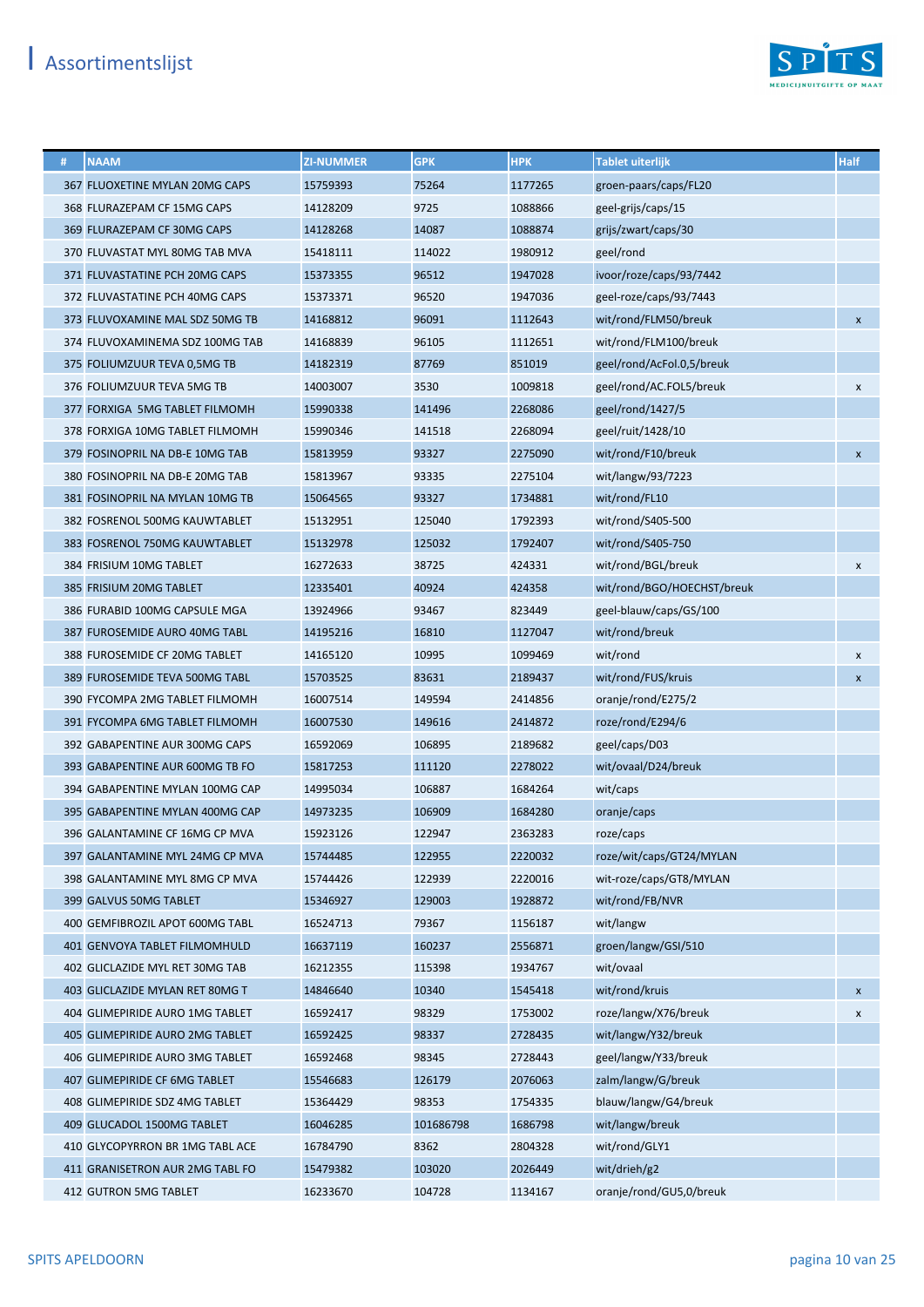Ī I

I

I

I

I

Ī



| # | <b>NAAM</b>                     | <b>ZI-NUMMER</b> | <b>GPK</b> | <b>HPK</b> | <b>Tablet uiterlijk</b>    | <b>Half</b>        |
|---|---------------------------------|------------------|------------|------------|----------------------------|--------------------|
|   | 367 FLUOXETINE MYLAN 20MG CAPS  | 15759393         | 75264      | 1177265    | groen-paars/caps/FL20      |                    |
|   | 368 FLURAZEPAM CF 15MG CAPS     | 14128209         | 9725       | 1088866    | geel-grijs/caps/15         |                    |
|   | 369 FLURAZEPAM CF 30MG CAPS     | 14128268         | 14087      | 1088874    | grijs/zwart/caps/30        |                    |
|   | 370 FLUVASTAT MYL 80MG TAB MVA  | 15418111         | 114022     | 1980912    | geel/rond                  |                    |
|   | 371 FLUVASTATINE PCH 20MG CAPS  | 15373355         | 96512      | 1947028    | ivoor/roze/caps/93/7442    |                    |
|   | 372 FLUVASTATINE PCH 40MG CAPS  | 15373371         | 96520      | 1947036    | geel-roze/caps/93/7443     |                    |
|   | 373 FLUVOXAMINE MAL SDZ 50MG TB | 14168812         | 96091      | 1112643    | wit/rond/FLM50/breuk       | $\mathsf{x}$       |
|   | 374 FLUVOXAMINEMA SDZ 100MG TAB | 14168839         | 96105      | 1112651    | wit/rond/FLM100/breuk      |                    |
|   | 375 FOLIUMZUUR TEVA 0,5MG TB    | 14182319         | 87769      | 851019     | geel/rond/AcFol.0,5/breuk  |                    |
|   | 376 FOLIUMZUUR TEVA 5MG TB      | 14003007         | 3530       | 1009818    | geel/rond/AC.FOL5/breuk    | X                  |
|   | 377 FORXIGA 5MG TABLET FILMOMH  | 15990338         | 141496     | 2268086    | geel/rond/1427/5           |                    |
|   | 378 FORXIGA 10MG TABLET FILMOMH | 15990346         | 141518     | 2268094    | geel/ruit/1428/10          |                    |
|   | 379 FOSINOPRIL NA DB-E 10MG TAB | 15813959         | 93327      | 2275090    | wit/rond/F10/breuk         | $\pmb{\mathsf{X}}$ |
|   | 380 FOSINOPRIL NA DB-E 20MG TAB | 15813967         | 93335      | 2275104    | wit/langw/93/7223          |                    |
|   | 381 FOSINOPRIL NA MYLAN 10MG TB | 15064565         | 93327      | 1734881    | wit/rond/FL10              |                    |
|   | 382 FOSRENOL 500MG KAUWTABLET   | 15132951         | 125040     | 1792393    | wit/rond/S405-500          |                    |
|   | 383 FOSRENOL 750MG KAUWTABLET   | 15132978         | 125032     | 1792407    | wit/rond/S405-750          |                    |
|   | 384 FRISIUM 10MG TABLET         | 16272633         | 38725      | 424331     | wit/rond/BGL/breuk         | X                  |
|   | 385 FRISIUM 20MG TABLET         | 12335401         | 40924      | 424358     | wit/rond/BGO/HOECHST/breuk |                    |
|   | 386 FURABID 100MG CAPSULE MGA   | 13924966         | 93467      | 823449     | geel-blauw/caps/GS/100     |                    |
|   | 387 FUROSEMIDE AURO 40MG TABL   | 14195216         | 16810      | 1127047    | wit/rond/breuk             |                    |
|   | 388 FUROSEMIDE CF 20MG TABLET   | 14165120         | 10995      | 1099469    | wit/rond                   | X                  |
|   | 389 FUROSEMIDE TEVA 500MG TABL  | 15703525         | 83631      | 2189437    | wit/rond/FUS/kruis         | X                  |
|   | 390 FYCOMPA 2MG TABLET FILMOMH  | 16007514         | 149594     | 2414856    | oranje/rond/E275/2         |                    |
|   | 391 FYCOMPA 6MG TABLET FILMOMH  | 16007530         | 149616     | 2414872    | roze/rond/E294/6           |                    |
|   | 392 GABAPENTINE AUR 300MG CAPS  | 16592069         | 106895     | 2189682    | geel/caps/D03              |                    |
|   | 393 GABAPENTINE AUR 600MG TB FO | 15817253         | 111120     | 2278022    | wit/ovaal/D24/breuk        |                    |
|   | 394 GABAPENTINE MYLAN 100MG CAP | 14995034         | 106887     | 1684264    | wit/caps                   |                    |
|   | 395 GABAPENTINE MYLAN 400MG CAP | 14973235         | 106909     | 1684280    | oranje/caps                |                    |
|   | 396 GALANTAMINE CF 16MG CP MVA  | 15923126         | 122947     | 2363283    | roze/caps                  |                    |
|   | 397 GALANTAMINE MYL 24MG CP MVA | 15744485         | 122955     | 2220032    | roze/wit/caps/GT24/MYLAN   |                    |
|   | 398 GALANTAMINE MYL 8MG CP MVA  | 15744426         | 122939     | 2220016    | wit-roze/caps/GT8/MYLAN    |                    |
|   | 399 GALVUS 50MG TABLET          | 15346927         | 129003     | 1928872    | wit/rond/FB/NVR            |                    |
|   | 400 GEMFIBROZIL APOT 600MG TABL | 16524713         | 79367      | 1156187    | wit/langw                  |                    |
|   | 401 GENVOYA TABLET FILMOMHULD   | 16637119         | 160237     | 2556871    | groen/langw/GSI/510        |                    |
|   | 402 GLICLAZIDE MYL RET 30MG TAB | 16212355         | 115398     | 1934767    | wit/ovaal                  |                    |
|   | 403 GLICLAZIDE MYLAN RET 80MG T | 14846640         | 10340      | 1545418    | wit/rond/kruis             | X                  |
|   | 404 GLIMEPIRIDE AURO 1MG TABLET | 16592417         | 98329      | 1753002    | roze/langw/X76/breuk       | x                  |
|   | 405 GLIMEPIRIDE AURO 2MG TABLET | 16592425         | 98337      | 2728435    | wit/langw/Y32/breuk        |                    |
|   | 406 GLIMEPIRIDE AURO 3MG TABLET | 16592468         | 98345      | 2728443    | geel/langw/Y33/breuk       |                    |
|   | 407 GLIMEPIRIDE CF 6MG TABLET   | 15546683         | 126179     | 2076063    | zalm/langw/G/breuk         |                    |
|   | 408 GLIMEPIRIDE SDZ 4MG TABLET  | 15364429         | 98353      | 1754335    | blauw/langw/G4/breuk       |                    |
|   | 409 GLUCADOL 1500MG TABLET      | 16046285         | 101686798  | 1686798    | wit/langw/breuk            |                    |
|   | 410 GLYCOPYRRON BR 1MG TABL ACE | 16784790         | 8362       | 2804328    | wit/rond/GLY1              |                    |
|   | 411 GRANISETRON AUR 2MG TABL FO | 15479382         | 103020     | 2026449    | wit/drieh/g2               |                    |
|   | 412 GUTRON 5MG TABLET           | 16233670         | 104728     | 1134167    | oranje/rond/GU5,0/breuk    |                    |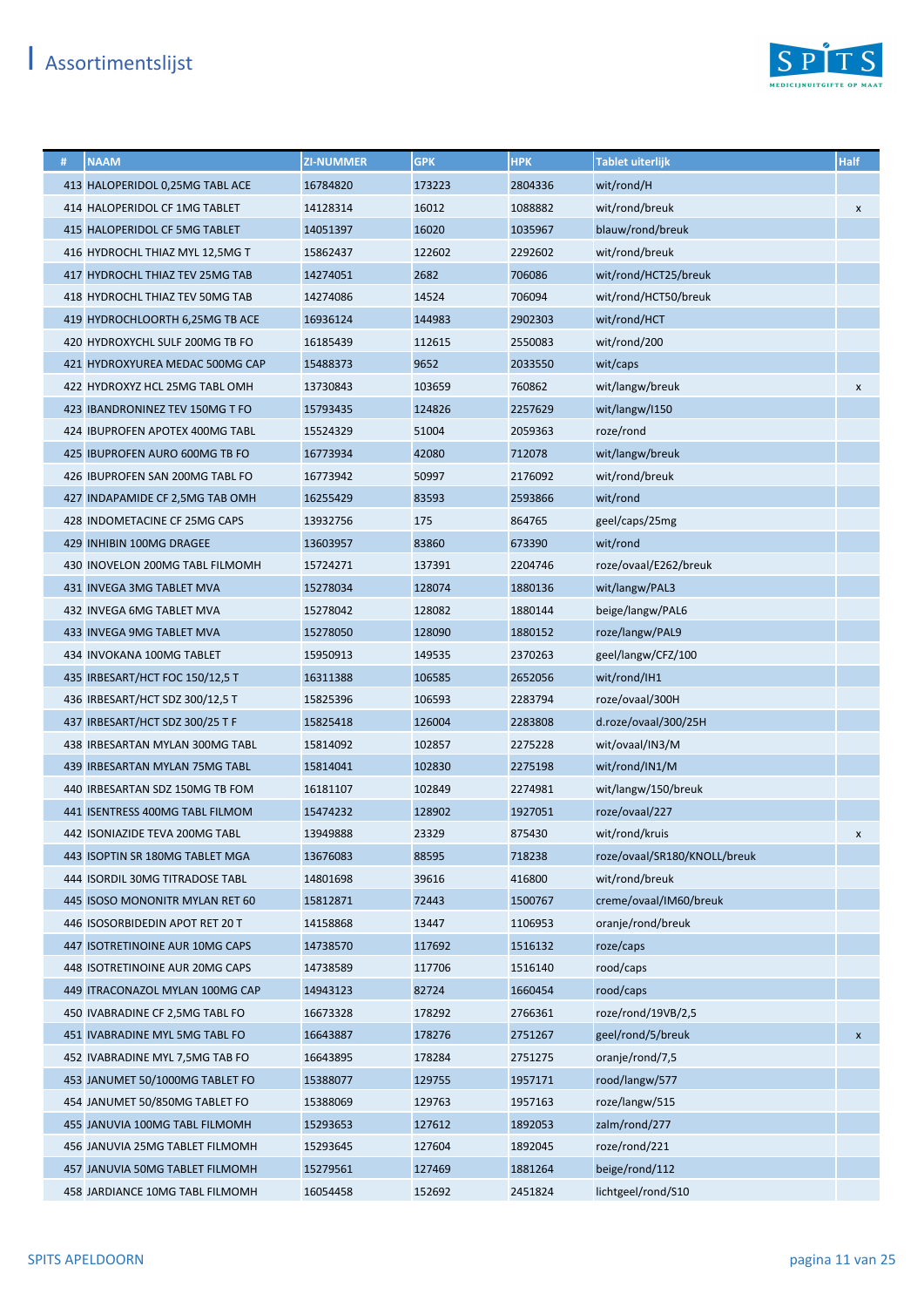

| # | <b>NAAM</b>                     | <b>ZI-NUMMER</b> | <b>GPK</b> | <b>HPK</b> | <b>Tablet uiterlijk</b>      | <b>Half</b>        |
|---|---------------------------------|------------------|------------|------------|------------------------------|--------------------|
|   | 413 HALOPERIDOL 0,25MG TABL ACE | 16784820         | 173223     | 2804336    | wit/rond/H                   |                    |
|   | 414 HALOPERIDOL CF 1MG TABLET   | 14128314         | 16012      | 1088882    | wit/rond/breuk               | X                  |
|   | 415 HALOPERIDOL CF 5MG TABLET   | 14051397         | 16020      | 1035967    | blauw/rond/breuk             |                    |
|   | 416 HYDROCHL THIAZ MYL 12,5MG T | 15862437         | 122602     | 2292602    | wit/rond/breuk               |                    |
|   | 417 HYDROCHL THIAZ TEV 25MG TAB | 14274051         | 2682       | 706086     | wit/rond/HCT25/breuk         |                    |
|   | 418 HYDROCHL THIAZ TEV 50MG TAB | 14274086         | 14524      | 706094     | wit/rond/HCT50/breuk         |                    |
|   | 419 HYDROCHLOORTH 6,25MG TB ACE | 16936124         | 144983     | 2902303    | wit/rond/HCT                 |                    |
|   | 420 HYDROXYCHL SULF 200MG TB FO | 16185439         | 112615     | 2550083    | wit/rond/200                 |                    |
|   | 421 HYDROXYUREA MEDAC 500MG CAP | 15488373         | 9652       | 2033550    | wit/caps                     |                    |
|   | 422 HYDROXYZ HCL 25MG TABL OMH  | 13730843         | 103659     | 760862     | wit/langw/breuk              | X                  |
|   | 423 IBANDRONINEZ TEV 150MG T FO | 15793435         | 124826     | 2257629    | wit/langw/I150               |                    |
|   | 424 IBUPROFEN APOTEX 400MG TABL | 15524329         | 51004      | 2059363    | roze/rond                    |                    |
|   | 425 IBUPROFEN AURO 600MG TB FO  | 16773934         | 42080      | 712078     | wit/langw/breuk              |                    |
|   | 426 IBUPROFEN SAN 200MG TABL FO | 16773942         | 50997      | 2176092    | wit/rond/breuk               |                    |
|   | 427 INDAPAMIDE CF 2,5MG TAB OMH | 16255429         | 83593      | 2593866    | wit/rond                     |                    |
|   | 428 INDOMETACINE CF 25MG CAPS   | 13932756         | 175        | 864765     | geel/caps/25mg               |                    |
|   | 429 INHIBIN 100MG DRAGEE        | 13603957         | 83860      | 673390     | wit/rond                     |                    |
|   | 430 INOVELON 200MG TABL FILMOMH | 15724271         | 137391     | 2204746    | roze/ovaal/E262/breuk        |                    |
|   | 431 INVEGA 3MG TABLET MVA       | 15278034         | 128074     | 1880136    | wit/langw/PAL3               |                    |
|   | 432 INVEGA 6MG TABLET MVA       | 15278042         | 128082     | 1880144    | beige/langw/PAL6             |                    |
|   | 433 INVEGA 9MG TABLET MVA       | 15278050         | 128090     | 1880152    | roze/langw/PAL9              |                    |
|   | 434 INVOKANA 100MG TABLET       | 15950913         | 149535     | 2370263    | geel/langw/CFZ/100           |                    |
|   | 435 IRBESART/HCT FOC 150/12,5 T | 16311388         | 106585     | 2652056    | wit/rond/IH1                 |                    |
|   | 436 IRBESART/HCT SDZ 300/12,5 T | 15825396         | 106593     | 2283794    | roze/ovaal/300H              |                    |
|   | 437 IRBESART/HCT SDZ 300/25 T F | 15825418         | 126004     | 2283808    | d.roze/ovaal/300/25H         |                    |
|   | 438 IRBESARTAN MYLAN 300MG TABL | 15814092         | 102857     | 2275228    | wit/ovaal/IN3/M              |                    |
|   | 439 IRBESARTAN MYLAN 75MG TABL  | 15814041         | 102830     | 2275198    | wit/rond/IN1/M               |                    |
|   | 440 IRBESARTAN SDZ 150MG TB FOM | 16181107         | 102849     | 2274981    | wit/langw/150/breuk          |                    |
|   | 441 ISENTRESS 400MG TABL FILMOM | 15474232         | 128902     | 1927051    | roze/ovaal/227               |                    |
|   | 442 ISONIAZIDE TEVA 200MG TABL  | 13949888         | 23329      | 875430     | wit/rond/kruis               | X                  |
|   | 443 ISOPTIN SR 180MG TABLET MGA | 13676083         | 88595      | 718238     | roze/ovaal/SR180/KNOLL/breuk |                    |
|   | 444 ISORDIL 30MG TITRADOSE TABL | 14801698         | 39616      | 416800     | wit/rond/breuk               |                    |
|   | 445 ISOSO MONONITR MYLAN RET 60 | 15812871         | 72443      | 1500767    | creme/ovaal/IM60/breuk       |                    |
|   | 446 ISOSORBIDEDIN APOT RET 20 T | 14158868         | 13447      | 1106953    | oranje/rond/breuk            |                    |
|   | 447 ISOTRETINOINE AUR 10MG CAPS | 14738570         | 117692     | 1516132    | roze/caps                    |                    |
|   | 448 ISOTRETINOINE AUR 20MG CAPS | 14738589         | 117706     | 1516140    | rood/caps                    |                    |
|   | 449 ITRACONAZOL MYLAN 100MG CAP | 14943123         | 82724      | 1660454    | rood/caps                    |                    |
|   | 450 IVABRADINE CF 2,5MG TABL FO | 16673328         | 178292     | 2766361    | roze/rond/19VB/2,5           |                    |
|   | 451 IVABRADINE MYL 5MG TABL FO  | 16643887         | 178276     | 2751267    | geel/rond/5/breuk            | $\pmb{\mathsf{x}}$ |
|   | 452 IVABRADINE MYL 7,5MG TAB FO | 16643895         | 178284     | 2751275    | oranje/rond/7,5              |                    |
|   | 453 JANUMET 50/1000MG TABLET FO | 15388077         | 129755     | 1957171    | rood/langw/577               |                    |
|   | 454 JANUMET 50/850MG TABLET FO  | 15388069         | 129763     | 1957163    | roze/langw/515               |                    |
|   | 455 JANUVIA 100MG TABL FILMOMH  | 15293653         | 127612     | 1892053    | zalm/rond/277                |                    |
|   | 456 JANUVIA 25MG TABLET FILMOMH | 15293645         | 127604     | 1892045    | roze/rond/221                |                    |
|   | 457 JANUVIA 50MG TABLET FILMOMH | 15279561         | 127469     | 1881264    | beige/rond/112               |                    |
|   | 458 JARDIANCE 10MG TABL FILMOMH | 16054458         | 152692     | 2451824    | lichtgeel/rond/S10           |                    |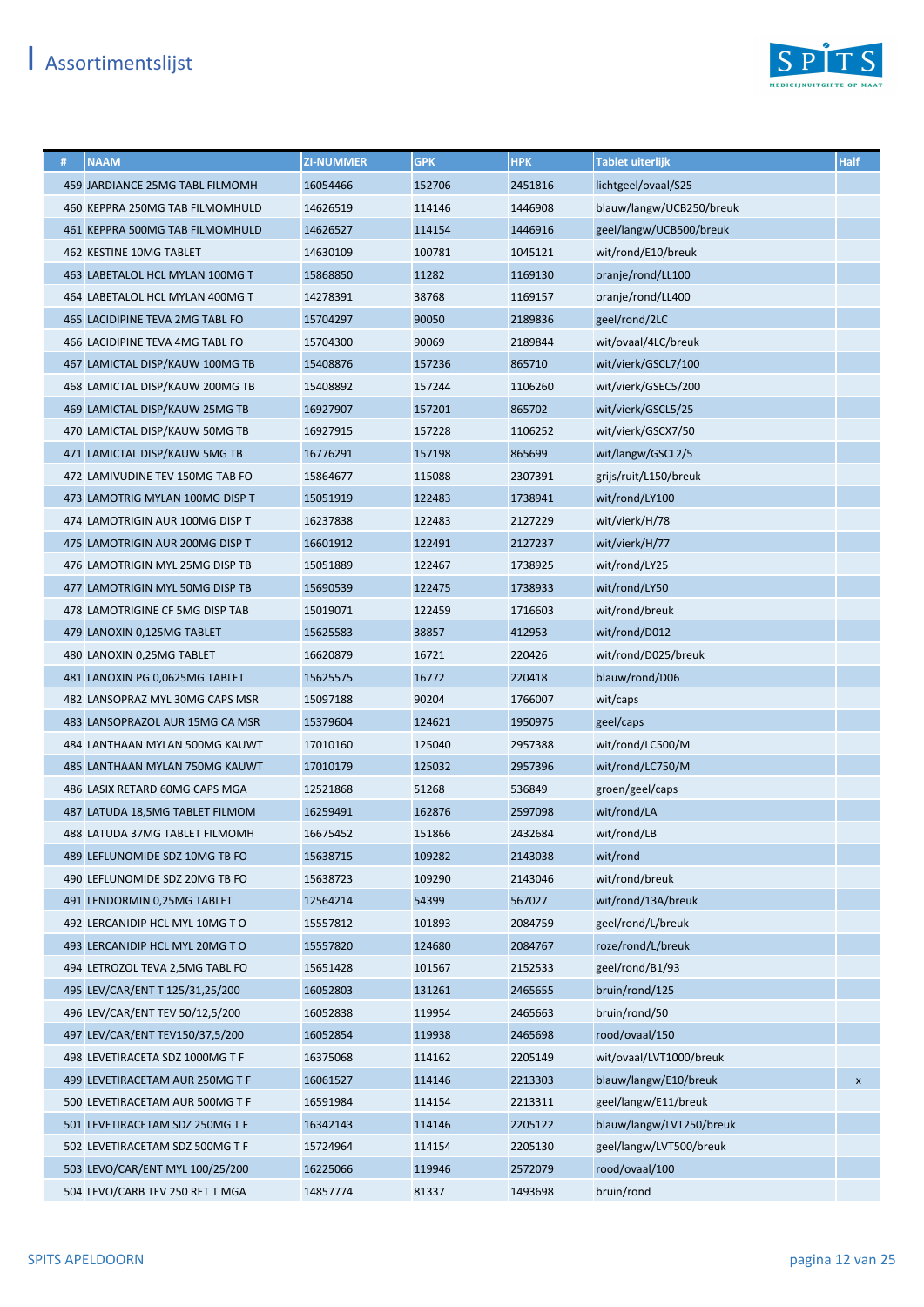

| # | <b>NAAM</b>                     | <b>ZI-NUMMER</b> | <b>GPK</b> | <b>HPK</b> | <b>Tablet uiterlijk</b>  | <b>Half</b>  |
|---|---------------------------------|------------------|------------|------------|--------------------------|--------------|
|   | 459 JARDIANCE 25MG TABL FILMOMH | 16054466         | 152706     | 2451816    | lichtgeel/ovaal/S25      |              |
|   | 460 KEPPRA 250MG TAB FILMOMHULD | 14626519         | 114146     | 1446908    | blauw/langw/UCB250/breuk |              |
|   | 461 KEPPRA 500MG TAB FILMOMHULD | 14626527         | 114154     | 1446916    | geel/langw/UCB500/breuk  |              |
|   | 462 KESTINE 10MG TABLET         | 14630109         | 100781     | 1045121    | wit/rond/E10/breuk       |              |
|   | 463 LABETALOL HCL MYLAN 100MG T | 15868850         | 11282      | 1169130    | oranje/rond/LL100        |              |
|   | 464 LABETALOL HCL MYLAN 400MG T | 14278391         | 38768      | 1169157    | oranje/rond/LL400        |              |
|   | 465 LACIDIPINE TEVA 2MG TABL FO | 15704297         | 90050      | 2189836    | geel/rond/2LC            |              |
|   | 466 LACIDIPINE TEVA 4MG TABL FO | 15704300         | 90069      | 2189844    | wit/ovaal/4LC/breuk      |              |
|   | 467 LAMICTAL DISP/KAUW 100MG TB | 15408876         | 157236     | 865710     | wit/vierk/GSCL7/100      |              |
|   | 468 LAMICTAL DISP/KAUW 200MG TB | 15408892         | 157244     | 1106260    | wit/vierk/GSEC5/200      |              |
|   | 469 LAMICTAL DISP/KAUW 25MG TB  | 16927907         | 157201     | 865702     | wit/vierk/GSCL5/25       |              |
|   | 470 LAMICTAL DISP/KAUW 50MG TB  | 16927915         | 157228     | 1106252    | wit/vierk/GSCX7/50       |              |
|   | 471 LAMICTAL DISP/KAUW 5MG TB   | 16776291         | 157198     | 865699     | wit/langw/GSCL2/5        |              |
|   | 472 LAMIVUDINE TEV 150MG TAB FO | 15864677         | 115088     | 2307391    | grijs/ruit/L150/breuk    |              |
|   | 473 LAMOTRIG MYLAN 100MG DISP T | 15051919         | 122483     | 1738941    | wit/rond/LY100           |              |
|   | 474 LAMOTRIGIN AUR 100MG DISP T | 16237838         | 122483     | 2127229    | wit/vierk/H/78           |              |
|   | 475 LAMOTRIGIN AUR 200MG DISP T | 16601912         | 122491     | 2127237    | wit/vierk/H/77           |              |
|   | 476 LAMOTRIGIN MYL 25MG DISP TB | 15051889         | 122467     | 1738925    | wit/rond/LY25            |              |
|   | 477 LAMOTRIGIN MYL 50MG DISP TB | 15690539         | 122475     | 1738933    | wit/rond/LY50            |              |
|   | 478 LAMOTRIGINE CF 5MG DISP TAB | 15019071         | 122459     | 1716603    | wit/rond/breuk           |              |
|   | 479 LANOXIN 0,125MG TABLET      | 15625583         | 38857      | 412953     | wit/rond/D012            |              |
|   | 480 LANOXIN 0,25MG TABLET       | 16620879         | 16721      | 220426     | wit/rond/D025/breuk      |              |
|   | 481 LANOXIN PG 0,0625MG TABLET  | 15625575         | 16772      | 220418     | blauw/rond/D06           |              |
|   | 482 LANSOPRAZ MYL 30MG CAPS MSR | 15097188         | 90204      | 1766007    | wit/caps                 |              |
|   | 483 LANSOPRAZOL AUR 15MG CA MSR | 15379604         | 124621     | 1950975    | geel/caps                |              |
|   | 484 LANTHAAN MYLAN 500MG KAUWT  | 17010160         | 125040     | 2957388    | wit/rond/LC500/M         |              |
|   | 485 LANTHAAN MYLAN 750MG KAUWT  | 17010179         | 125032     | 2957396    | wit/rond/LC750/M         |              |
|   | 486 LASIX RETARD 60MG CAPS MGA  | 12521868         | 51268      | 536849     | groen/geel/caps          |              |
|   | 487 LATUDA 18,5MG TABLET FILMOM | 16259491         | 162876     | 2597098    | wit/rond/LA              |              |
|   | 488 LATUDA 37MG TABLET FILMOMH  | 16675452         | 151866     | 2432684    | wit/rond/LB              |              |
|   | 489 LEFLUNOMIDE SDZ 10MG TB FO  | 15638715         | 109282     | 2143038    | wit/rond                 |              |
|   | 490 LEFLUNOMIDE SDZ 20MG TB FO  | 15638723         | 109290     | 2143046    | wit/rond/breuk           |              |
|   | 491 LENDORMIN 0,25MG TABLET     | 12564214         | 54399      | 567027     | wit/rond/13A/breuk       |              |
|   | 492 LERCANIDIP HCL MYL 10MG TO  | 15557812         | 101893     | 2084759    | geel/rond/L/breuk        |              |
|   | 493 LERCANIDIP HCL MYL 20MG TO  | 15557820         | 124680     | 2084767    | roze/rond/L/breuk        |              |
|   | 494 LETROZOL TEVA 2,5MG TABL FO | 15651428         | 101567     | 2152533    | geel/rond/B1/93          |              |
|   | 495 LEV/CAR/ENT T 125/31,25/200 | 16052803         | 131261     | 2465655    | bruin/rond/125           |              |
|   | 496 LEV/CAR/ENT TEV 50/12,5/200 | 16052838         | 119954     | 2465663    | bruin/rond/50            |              |
|   | 497 LEV/CAR/ENT TEV150/37,5/200 | 16052854         | 119938     | 2465698    | rood/ovaal/150           |              |
|   | 498 LEVETIRACETA SDZ 1000MG T F | 16375068         | 114162     | 2205149    | wit/ovaal/LVT1000/breuk  |              |
|   | 499 LEVETIRACETAM AUR 250MG T F | 16061527         | 114146     | 2213303    | blauw/langw/E10/breuk    | $\mathsf{x}$ |
|   | 500 LEVETIRACETAM AUR 500MG T F | 16591984         | 114154     | 2213311    | geel/langw/E11/breuk     |              |
|   | 501 LEVETIRACETAM SDZ 250MG T F | 16342143         | 114146     | 2205122    | blauw/langw/LVT250/breuk |              |
|   | 502 LEVETIRACETAM SDZ 500MG T F | 15724964         | 114154     | 2205130    | geel/langw/LVT500/breuk  |              |
|   | 503 LEVO/CAR/ENT MYL 100/25/200 | 16225066         | 119946     | 2572079    | rood/ovaal/100           |              |
|   | 504 LEVO/CARB TEV 250 RET T MGA | 14857774         | 81337      | 1493698    | bruin/rond               |              |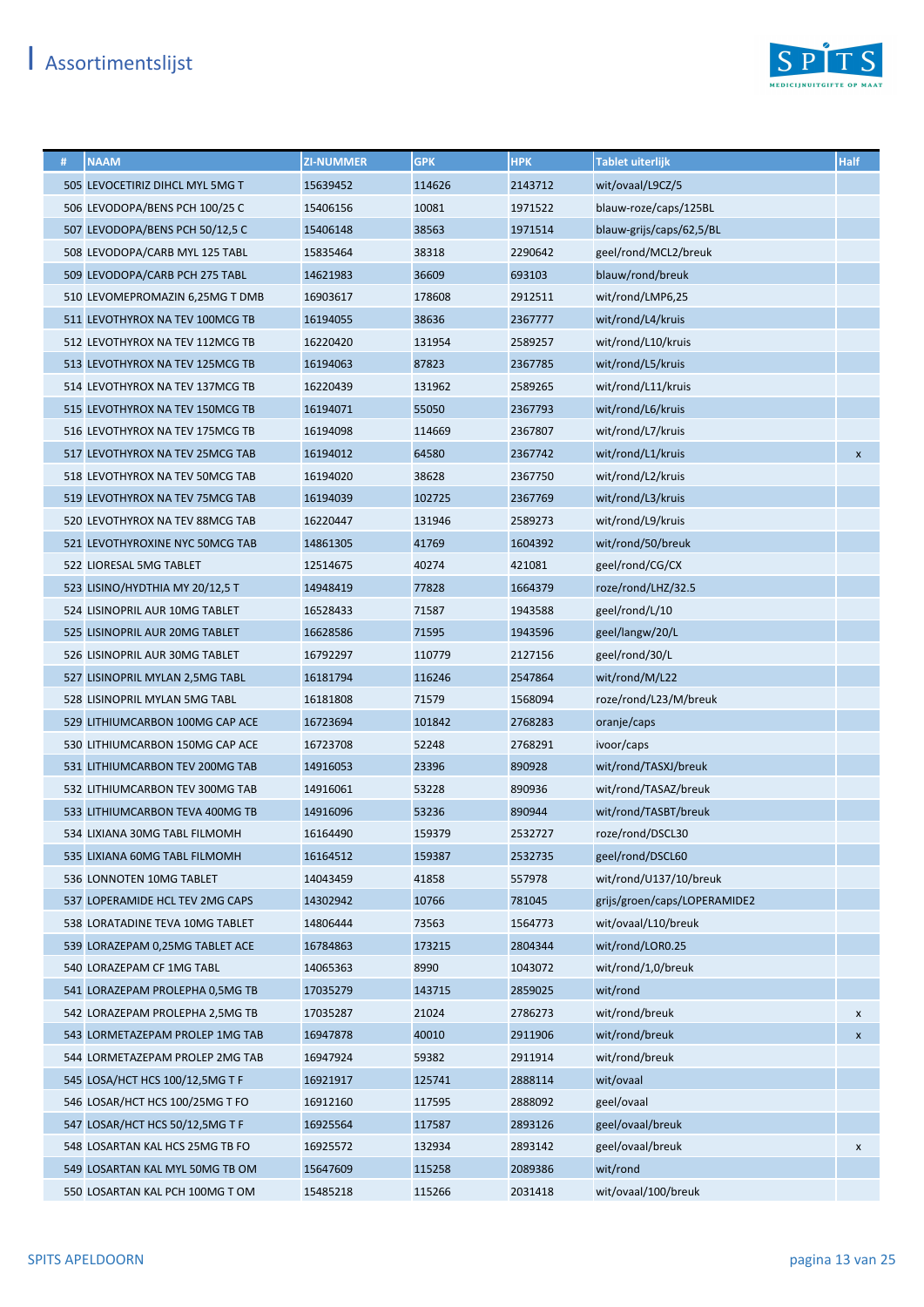

| # | <b>NAAM</b>                     | <b>ZI-NUMMER</b> | <b>GPK</b> | <b>HPK</b> | <b>Tablet uiterlijk</b>      | <b>Half</b> |
|---|---------------------------------|------------------|------------|------------|------------------------------|-------------|
|   | 505 LEVOCETIRIZ DIHCL MYL 5MG T | 15639452         | 114626     | 2143712    | wit/ovaal/L9CZ/5             |             |
|   | 506 LEVODOPA/BENS PCH 100/25 C  | 15406156         | 10081      | 1971522    | blauw-roze/caps/125BL        |             |
|   | 507 LEVODOPA/BENS PCH 50/12,5 C | 15406148         | 38563      | 1971514    | blauw-grijs/caps/62,5/BL     |             |
|   | 508 LEVODOPA/CARB MYL 125 TABL  | 15835464         | 38318      | 2290642    | geel/rond/MCL2/breuk         |             |
|   | 509 LEVODOPA/CARB PCH 275 TABL  | 14621983         | 36609      | 693103     | blauw/rond/breuk             |             |
|   | 510 LEVOMEPROMAZIN 6,25MG T DMB | 16903617         | 178608     | 2912511    | wit/rond/LMP6,25             |             |
|   | 511 LEVOTHYROX NA TEV 100MCG TB | 16194055         | 38636      | 2367777    | wit/rond/L4/kruis            |             |
|   | 512 LEVOTHYROX NA TEV 112MCG TB | 16220420         | 131954     | 2589257    | wit/rond/L10/kruis           |             |
|   | 513 LEVOTHYROX NA TEV 125MCG TB | 16194063         | 87823      | 2367785    | wit/rond/L5/kruis            |             |
|   | 514 LEVOTHYROX NA TEV 137MCG TB | 16220439         | 131962     | 2589265    | wit/rond/L11/kruis           |             |
|   | 515 LEVOTHYROX NA TEV 150MCG TB | 16194071         | 55050      | 2367793    | wit/rond/L6/kruis            |             |
|   | 516 LEVOTHYROX NA TEV 175MCG TB | 16194098         | 114669     | 2367807    | wit/rond/L7/kruis            |             |
|   | 517 LEVOTHYROX NA TEV 25MCG TAB | 16194012         | 64580      | 2367742    | wit/rond/L1/kruis            | X           |
|   | 518 LEVOTHYROX NA TEV 50MCG TAB | 16194020         | 38628      | 2367750    | wit/rond/L2/kruis            |             |
|   | 519 LEVOTHYROX NA TEV 75MCG TAB | 16194039         | 102725     | 2367769    | wit/rond/L3/kruis            |             |
|   | 520 LEVOTHYROX NA TEV 88MCG TAB | 16220447         | 131946     | 2589273    | wit/rond/L9/kruis            |             |
|   | 521 LEVOTHYROXINE NYC 50MCG TAB | 14861305         | 41769      | 1604392    | wit/rond/50/breuk            |             |
|   | 522 LIORESAL 5MG TABLET         | 12514675         | 40274      | 421081     | geel/rond/CG/CX              |             |
|   | 523 LISINO/HYDTHIA MY 20/12,5 T | 14948419         | 77828      | 1664379    | roze/rond/LHZ/32.5           |             |
|   | 524 LISINOPRIL AUR 10MG TABLET  | 16528433         | 71587      | 1943588    | geel/rond/L/10               |             |
|   | 525 LISINOPRIL AUR 20MG TABLET  | 16628586         | 71595      | 1943596    | geel/langw/20/L              |             |
|   | 526 LISINOPRIL AUR 30MG TABLET  | 16792297         | 110779     | 2127156    | geel/rond/30/L               |             |
|   | 527 LISINOPRIL MYLAN 2,5MG TABL | 16181794         | 116246     | 2547864    | wit/rond/M/L22               |             |
|   | 528 LISINOPRIL MYLAN 5MG TABL   | 16181808         | 71579      | 1568094    | roze/rond/L23/M/breuk        |             |
|   | 529 LITHIUMCARBON 100MG CAP ACE | 16723694         | 101842     | 2768283    | oranje/caps                  |             |
|   | 530 LITHIUMCARBON 150MG CAP ACE | 16723708         | 52248      | 2768291    | ivoor/caps                   |             |
|   | 531 LITHIUMCARBON TEV 200MG TAB | 14916053         | 23396      | 890928     | wit/rond/TASXJ/breuk         |             |
|   | 532 LITHIUMCARBON TEV 300MG TAB | 14916061         | 53228      | 890936     | wit/rond/TASAZ/breuk         |             |
|   | 533 LITHIUMCARBON TEVA 400MG TB | 14916096         | 53236      | 890944     | wit/rond/TASBT/breuk         |             |
|   | 534 LIXIANA 30MG TABL FILMOMH   | 16164490         | 159379     | 2532727    | roze/rond/DSCL30             |             |
|   | 535 LIXIANA 60MG TABL FILMOMH   | 16164512         | 159387     | 2532735    | geel/rond/DSCL60             |             |
|   | 536 LONNOTEN 10MG TABLET        | 14043459         | 41858      | 557978     | wit/rond/U137/10/breuk       |             |
|   | 537 LOPERAMIDE HCL TEV 2MG CAPS | 14302942         | 10766      | 781045     | grijs/groen/caps/LOPERAMIDE2 |             |
|   | 538 LORATADINE TEVA 10MG TABLET | 14806444         | 73563      | 1564773    | wit/ovaal/L10/breuk          |             |
|   | 539 LORAZEPAM 0,25MG TABLET ACE | 16784863         | 173215     | 2804344    | wit/rond/LOR0.25             |             |
|   | 540 LORAZEPAM CF 1MG TABL       | 14065363         | 8990       | 1043072    | wit/rond/1,0/breuk           |             |
|   | 541 LORAZEPAM PROLEPHA 0,5MG TB | 17035279         | 143715     | 2859025    | wit/rond                     |             |
|   | 542 LORAZEPAM PROLEPHA 2,5MG TB | 17035287         | 21024      | 2786273    | wit/rond/breuk               | x           |
|   | 543 LORMETAZEPAM PROLEP 1MG TAB | 16947878         | 40010      | 2911906    | wit/rond/breuk               | X           |
|   | 544 LORMETAZEPAM PROLEP 2MG TAB | 16947924         | 59382      | 2911914    | wit/rond/breuk               |             |
|   | 545 LOSA/HCT HCS 100/12,5MG T F | 16921917         | 125741     | 2888114    | wit/ovaal                    |             |
|   | 546 LOSAR/HCT HCS 100/25MG T FO | 16912160         | 117595     | 2888092    | geel/ovaal                   |             |
|   | 547 LOSAR/HCT HCS 50/12,5MG T F | 16925564         | 117587     | 2893126    | geel/ovaal/breuk             |             |
|   | 548 LOSARTAN KAL HCS 25MG TB FO | 16925572         | 132934     | 2893142    | geel/ovaal/breuk             | x           |
|   | 549 LOSARTAN KAL MYL 50MG TB OM | 15647609         | 115258     | 2089386    | wit/rond                     |             |
|   | 550 LOSARTAN KAL PCH 100MG TOM  | 15485218         | 115266     | 2031418    | wit/ovaal/100/breuk          |             |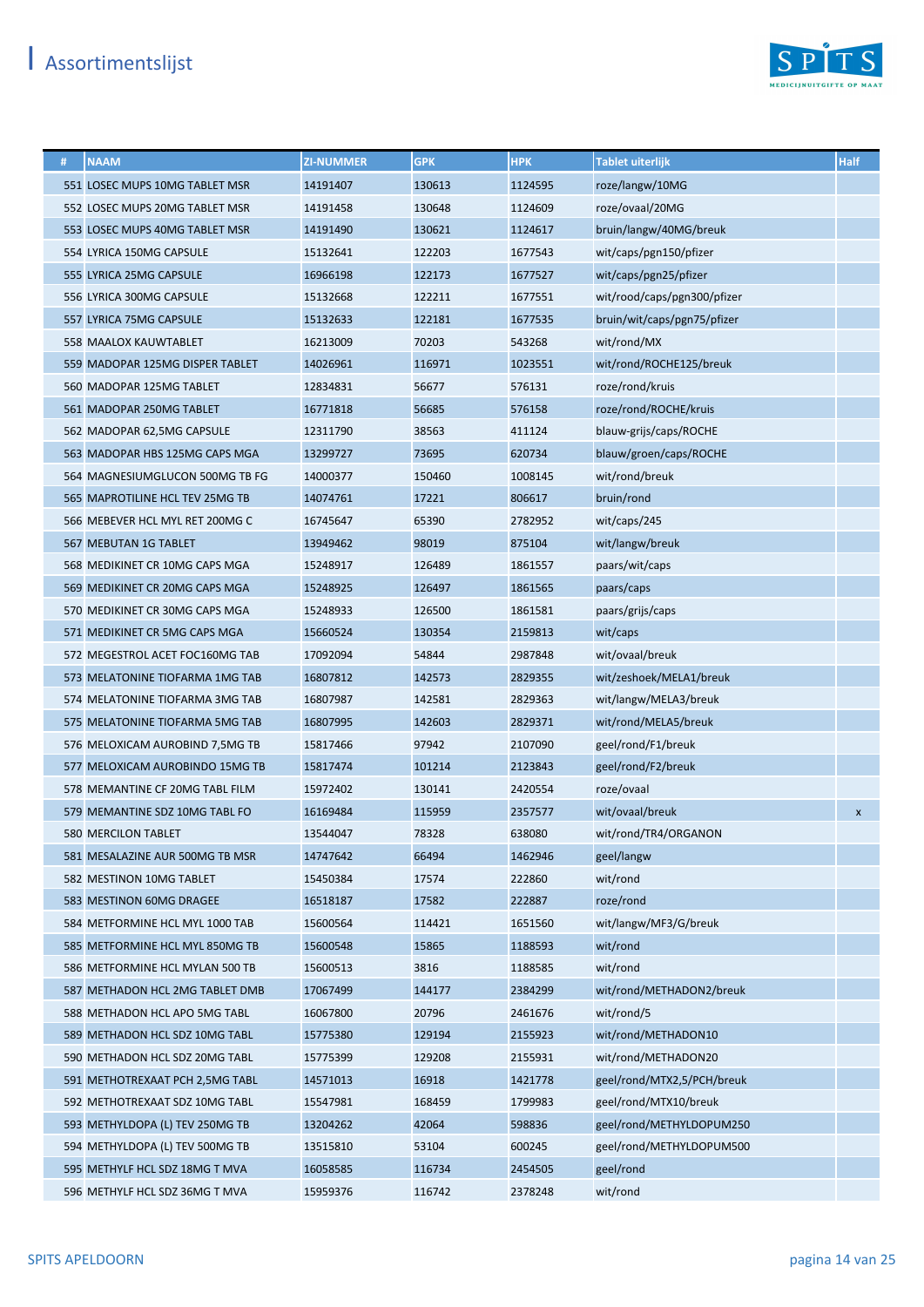

| # | <b>NAAM</b>                     | <b>ZI-NUMMER</b> | <b>GPK</b> | <b>HPK</b> | <b>Tablet uiterlijk</b>     | <b>Half</b> |
|---|---------------------------------|------------------|------------|------------|-----------------------------|-------------|
|   | 551 LOSEC MUPS 10MG TABLET MSR  | 14191407         | 130613     | 1124595    | roze/langw/10MG             |             |
|   | 552 LOSEC MUPS 20MG TABLET MSR  | 14191458         | 130648     | 1124609    | roze/ovaal/20MG             |             |
|   | 553 LOSEC MUPS 40MG TABLET MSR  | 14191490         | 130621     | 1124617    | bruin/langw/40MG/breuk      |             |
|   | 554 LYRICA 150MG CAPSULE        | 15132641         | 122203     | 1677543    | wit/caps/pgn150/pfizer      |             |
|   | 555 LYRICA 25MG CAPSULE         | 16966198         | 122173     | 1677527    | wit/caps/pgn25/pfizer       |             |
|   | 556 LYRICA 300MG CAPSULE        | 15132668         | 122211     | 1677551    | wit/rood/caps/pgn300/pfizer |             |
|   | 557 LYRICA 75MG CAPSULE         | 15132633         | 122181     | 1677535    | bruin/wit/caps/pgn75/pfizer |             |
|   | 558 MAALOX KAUWTABLET           | 16213009         | 70203      | 543268     | wit/rond/MX                 |             |
|   | 559 MADOPAR 125MG DISPER TABLET | 14026961         | 116971     | 1023551    | wit/rond/ROCHE125/breuk     |             |
|   | 560 MADOPAR 125MG TABLET        | 12834831         | 56677      | 576131     | roze/rond/kruis             |             |
|   | 561 MADOPAR 250MG TABLET        | 16771818         | 56685      | 576158     | roze/rond/ROCHE/kruis       |             |
|   | 562 MADOPAR 62,5MG CAPSULE      | 12311790         | 38563      | 411124     | blauw-grijs/caps/ROCHE      |             |
|   | 563 MADOPAR HBS 125MG CAPS MGA  | 13299727         | 73695      | 620734     | blauw/groen/caps/ROCHE      |             |
|   | 564 MAGNESIUMGLUCON 500MG TB FG | 14000377         | 150460     | 1008145    | wit/rond/breuk              |             |
|   | 565 MAPROTILINE HCL TEV 25MG TB | 14074761         | 17221      | 806617     | bruin/rond                  |             |
|   | 566 MEBEVER HCL MYL RET 200MG C | 16745647         | 65390      | 2782952    | wit/caps/245                |             |
|   | 567 MEBUTAN 1G TABLET           | 13949462         | 98019      | 875104     | wit/langw/breuk             |             |
|   | 568 MEDIKINET CR 10MG CAPS MGA  | 15248917         | 126489     | 1861557    | paars/wit/caps              |             |
|   | 569 MEDIKINET CR 20MG CAPS MGA  | 15248925         | 126497     | 1861565    | paars/caps                  |             |
|   | 570 MEDIKINET CR 30MG CAPS MGA  | 15248933         | 126500     | 1861581    | paars/grijs/caps            |             |
|   | 571 MEDIKINET CR 5MG CAPS MGA   | 15660524         | 130354     | 2159813    | wit/caps                    |             |
|   | 572 MEGESTROL ACET FOC160MG TAB | 17092094         | 54844      | 2987848    | wit/ovaal/breuk             |             |
|   | 573 MELATONINE TIOFARMA 1MG TAB | 16807812         | 142573     | 2829355    | wit/zeshoek/MELA1/breuk     |             |
|   | 574 MELATONINE TIOFARMA 3MG TAB | 16807987         | 142581     | 2829363    | wit/langw/MELA3/breuk       |             |
|   | 575 MELATONINE TIOFARMA 5MG TAB | 16807995         | 142603     | 2829371    | wit/rond/MELA5/breuk        |             |
|   | 576 MELOXICAM AUROBIND 7,5MG TB | 15817466         | 97942      | 2107090    | geel/rond/F1/breuk          |             |
|   | 577 MELOXICAM AUROBINDO 15MG TB | 15817474         | 101214     | 2123843    | geel/rond/F2/breuk          |             |
|   | 578 MEMANTINE CF 20MG TABL FILM | 15972402         | 130141     | 2420554    | roze/ovaal                  |             |
|   | 579 MEMANTINE SDZ 10MG TABL FO  | 16169484         | 115959     | 2357577    | wit/ovaal/breuk             | X           |
|   | <b>580 MERCILON TABLET</b>      | 13544047         | 78328      | 638080     | wit/rond/TR4/ORGANON        |             |
|   | 581 MESALAZINE AUR 500MG TB MSR | 14747642         | 66494      | 1462946    | geel/langw                  |             |
|   | 582 MESTINON 10MG TABLET        | 15450384         | 17574      | 222860     | wit/rond                    |             |
|   | 583 MESTINON 60MG DRAGEE        | 16518187         | 17582      | 222887     | roze/rond                   |             |
|   | 584 METFORMINE HCL MYL 1000 TAB | 15600564         | 114421     | 1651560    | wit/langw/MF3/G/breuk       |             |
|   | 585 METFORMINE HCL MYL 850MG TB | 15600548         | 15865      | 1188593    | wit/rond                    |             |
|   | 586 METFORMINE HCL MYLAN 500 TB | 15600513         | 3816       | 1188585    | wit/rond                    |             |
|   | 587 METHADON HCL 2MG TABLET DMB | 17067499         | 144177     | 2384299    | wit/rond/METHADON2/breuk    |             |
|   | 588 METHADON HCL APO 5MG TABL   | 16067800         | 20796      | 2461676    | wit/rond/5                  |             |
|   | 589 METHADON HCL SDZ 10MG TABL  | 15775380         | 129194     | 2155923    | wit/rond/METHADON10         |             |
|   | 590 METHADON HCL SDZ 20MG TABL  | 15775399         | 129208     | 2155931    | wit/rond/METHADON20         |             |
|   | 591 METHOTREXAAT PCH 2,5MG TABL | 14571013         | 16918      | 1421778    | geel/rond/MTX2,5/PCH/breuk  |             |
|   | 592 METHOTREXAAT SDZ 10MG TABL  | 15547981         | 168459     | 1799983    | geel/rond/MTX10/breuk       |             |
|   | 593 METHYLDOPA (L) TEV 250MG TB | 13204262         | 42064      | 598836     | geel/rond/METHYLDOPUM250    |             |
|   | 594 METHYLDOPA (L) TEV 500MG TB | 13515810         | 53104      | 600245     | geel/rond/METHYLDOPUM500    |             |
|   | 595 METHYLF HCL SDZ 18MG T MVA  | 16058585         | 116734     | 2454505    | geel/rond                   |             |
|   | 596 METHYLF HCL SDZ 36MG T MVA  | 15959376         | 116742     | 2378248    | wit/rond                    |             |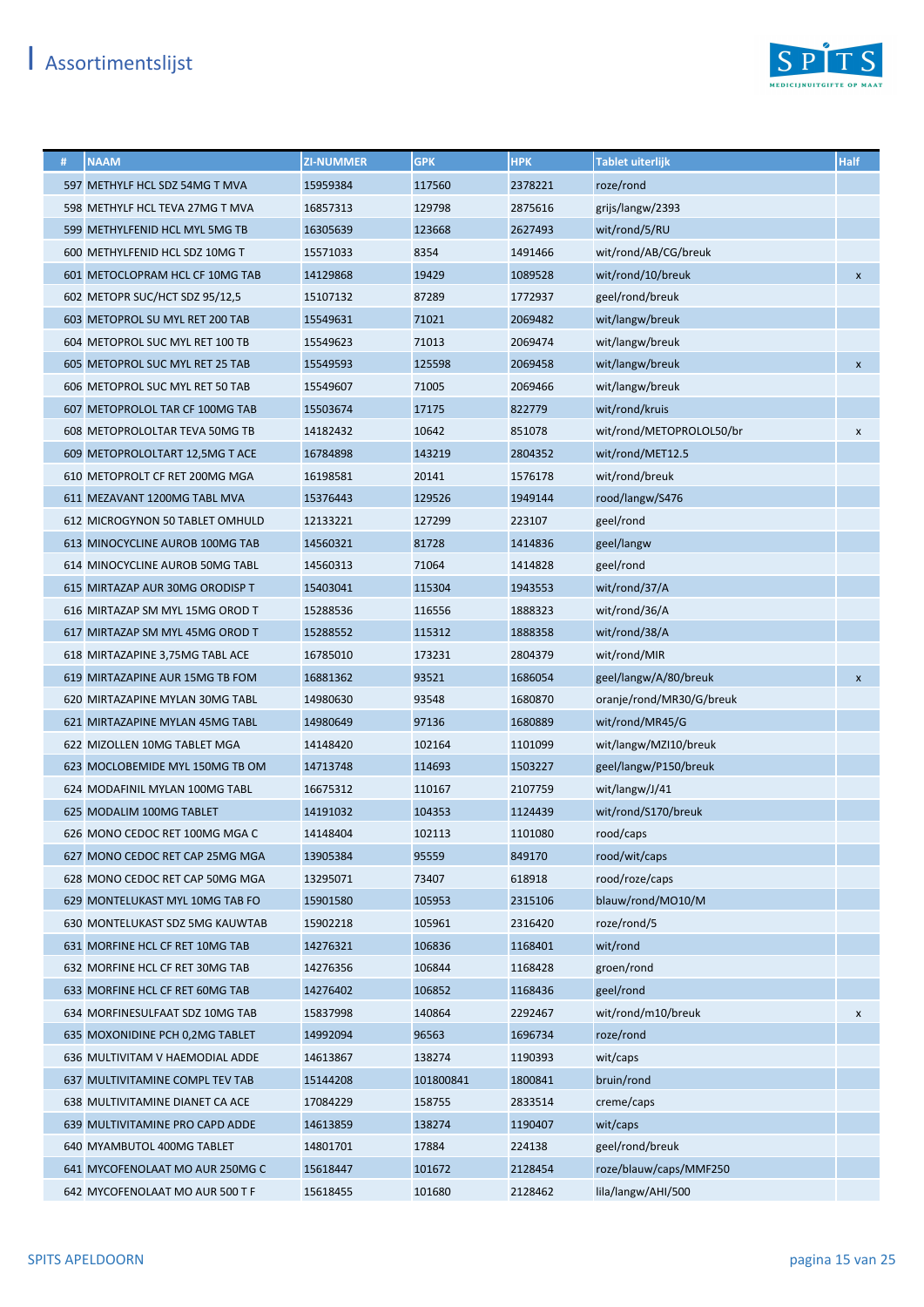

| # | <b>NAAM</b>                     | <b>ZI-NUMMER</b> | <b>GPK</b> | <b>HPK</b> | <b>Tablet uiterlijk</b>  | Half         |
|---|---------------------------------|------------------|------------|------------|--------------------------|--------------|
|   | 597 METHYLF HCL SDZ 54MG T MVA  | 15959384         | 117560     | 2378221    | roze/rond                |              |
|   | 598 METHYLF HCL TEVA 27MG T MVA | 16857313         | 129798     | 2875616    | grijs/langw/2393         |              |
|   | 599 METHYLFENID HCL MYL 5MG TB  | 16305639         | 123668     | 2627493    | wit/rond/5/RU            |              |
|   | 600 METHYLFENID HCL SDZ 10MG T  | 15571033         | 8354       | 1491466    | wit/rond/AB/CG/breuk     |              |
|   | 601 METOCLOPRAM HCL CF 10MG TAB | 14129868         | 19429      | 1089528    | wit/rond/10/breuk        | $\mathsf{x}$ |
|   | 602 METOPR SUC/HCT SDZ 95/12,5  | 15107132         | 87289      | 1772937    | geel/rond/breuk          |              |
|   | 603 METOPROL SU MYL RET 200 TAB | 15549631         | 71021      | 2069482    | wit/langw/breuk          |              |
|   | 604 METOPROL SUC MYL RET 100 TB | 15549623         | 71013      | 2069474    | wit/langw/breuk          |              |
|   | 605 METOPROL SUC MYL RET 25 TAB | 15549593         | 125598     | 2069458    | wit/langw/breuk          | $\mathsf{x}$ |
|   | 606 METOPROL SUC MYL RET 50 TAB | 15549607         | 71005      | 2069466    | wit/langw/breuk          |              |
|   | 607 METOPROLOL TAR CF 100MG TAB | 15503674         | 17175      | 822779     | wit/rond/kruis           |              |
|   | 608 METOPROLOLTAR TEVA 50MG TB  | 14182432         | 10642      | 851078     | wit/rond/METOPROLOL50/br | X            |
|   | 609 METOPROLOLTART 12,5MG T ACE | 16784898         | 143219     | 2804352    | wit/rond/MET12.5         |              |
|   | 610 METOPROLT CF RET 200MG MGA  | 16198581         | 20141      | 1576178    | wit/rond/breuk           |              |
|   | 611 MEZAVANT 1200MG TABL MVA    | 15376443         | 129526     | 1949144    | rood/langw/S476          |              |
|   | 612 MICROGYNON 50 TABLET OMHULD | 12133221         | 127299     | 223107     | geel/rond                |              |
|   | 613 MINOCYCLINE AUROB 100MG TAB | 14560321         | 81728      | 1414836    | geel/langw               |              |
|   | 614 MINOCYCLINE AUROB 50MG TABL | 14560313         | 71064      | 1414828    | geel/rond                |              |
|   | 615 MIRTAZAP AUR 30MG ORODISP T | 15403041         | 115304     | 1943553    | wit/rond/37/A            |              |
|   | 616 MIRTAZAP SM MYL 15MG OROD T | 15288536         | 116556     | 1888323    | wit/rond/36/A            |              |
|   | 617 MIRTAZAP SM MYL 45MG OROD T | 15288552         | 115312     | 1888358    | wit/rond/38/A            |              |
|   | 618 MIRTAZAPINE 3,75MG TABL ACE | 16785010         | 173231     | 2804379    | wit/rond/MIR             |              |
|   | 619 MIRTAZAPINE AUR 15MG TB FOM | 16881362         | 93521      | 1686054    | geel/langw/A/80/breuk    | X            |
|   | 620 MIRTAZAPINE MYLAN 30MG TABL | 14980630         | 93548      | 1680870    | oranje/rond/MR30/G/breuk |              |
|   | 621 MIRTAZAPINE MYLAN 45MG TABL | 14980649         | 97136      | 1680889    | wit/rond/MR45/G          |              |
|   | 622 MIZOLLEN 10MG TABLET MGA    | 14148420         | 102164     | 1101099    | wit/langw/MZI10/breuk    |              |
|   | 623 MOCLOBEMIDE MYL 150MG TB OM | 14713748         | 114693     | 1503227    | geel/langw/P150/breuk    |              |
|   | 624 MODAFINIL MYLAN 100MG TABL  | 16675312         | 110167     | 2107759    | wit/langw/J/41           |              |
|   | 625 MODALIM 100MG TABLET        | 14191032         | 104353     | 1124439    | wit/rond/S170/breuk      |              |
|   | 626 MONO CEDOC RET 100MG MGA C  | 14148404         | 102113     | 1101080    | rood/caps                |              |
|   | 627 MONO CEDOC RET CAP 25MG MGA | 13905384         | 95559      | 849170     | rood/wit/caps            |              |
|   | 628 MONO CEDOC RET CAP 50MG MGA | 13295071         | 73407      | 618918     | rood/roze/caps           |              |
|   | 629 MONTELUKAST MYL 10MG TAB FO | 15901580         | 105953     | 2315106    | blauw/rond/MO10/M        |              |
|   | 630 MONTELUKAST SDZ 5MG KAUWTAB | 15902218         | 105961     | 2316420    | roze/rond/5              |              |
|   | 631 MORFINE HCL CF RET 10MG TAB | 14276321         | 106836     | 1168401    | wit/rond                 |              |
|   | 632 MORFINE HCL CF RET 30MG TAB | 14276356         | 106844     | 1168428    | groen/rond               |              |
|   | 633 MORFINE HCL CF RET 60MG TAB | 14276402         | 106852     | 1168436    | geel/rond                |              |
|   | 634 MORFINESULFAAT SDZ 10MG TAB | 15837998         | 140864     | 2292467    | wit/rond/m10/breuk       | X            |
|   | 635 MOXONIDINE PCH 0,2MG TABLET | 14992094         | 96563      | 1696734    | roze/rond                |              |
|   | 636 MULTIVITAM V HAEMODIAL ADDE | 14613867         | 138274     | 1190393    | wit/caps                 |              |
|   | 637 MULTIVITAMINE COMPL TEV TAB | 15144208         | 101800841  | 1800841    | bruin/rond               |              |
|   | 638 MULTIVITAMINE DIANET CA ACE | 17084229         | 158755     | 2833514    | creme/caps               |              |
|   | 639 MULTIVITAMINE PRO CAPD ADDE | 14613859         | 138274     | 1190407    | wit/caps                 |              |
|   | 640 MYAMBUTOL 400MG TABLET      | 14801701         | 17884      | 224138     | geel/rond/breuk          |              |
|   | 641 MYCOFENOLAAT MO AUR 250MG C | 15618447         | 101672     | 2128454    | roze/blauw/caps/MMF250   |              |
|   | 642 MYCOFENOLAAT MO AUR 500 T F | 15618455         | 101680     | 2128462    | lila/langw/AHI/500       |              |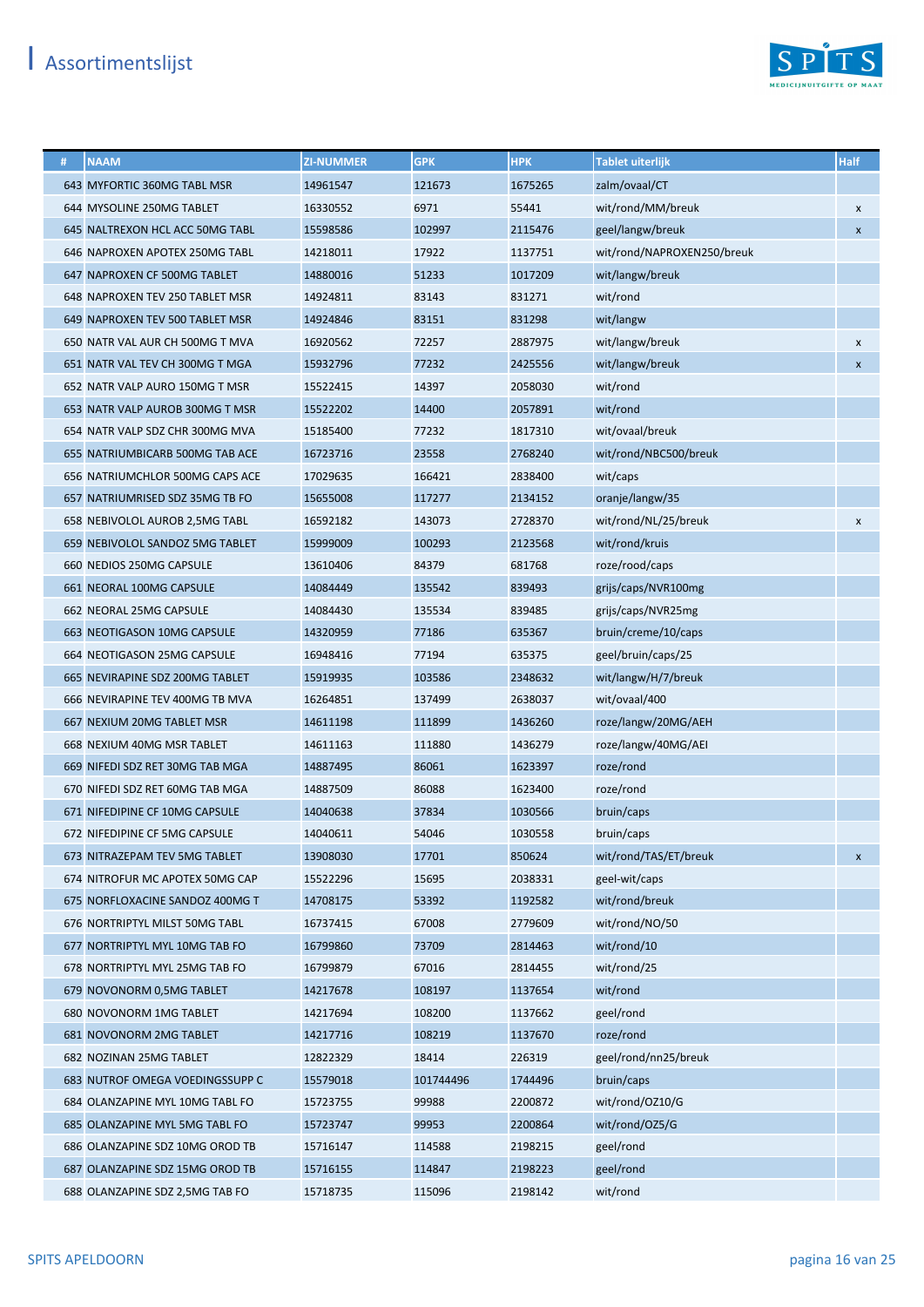

| # | <b>NAAM</b>                     | <b>ZI-NUMMER</b> | <b>GPK</b> | <b>HPK</b> | Tablet uiterlijk           | <b>Half</b> |
|---|---------------------------------|------------------|------------|------------|----------------------------|-------------|
|   | 643 MYFORTIC 360MG TABL MSR     | 14961547         | 121673     | 1675265    | zalm/ovaal/CT              |             |
|   | 644 MYSOLINE 250MG TABLET       | 16330552         | 6971       | 55441      | wit/rond/MM/breuk          | X           |
|   | 645 NALTREXON HCL ACC 50MG TABL | 15598586         | 102997     | 2115476    | geel/langw/breuk           | X           |
|   | 646 NAPROXEN APOTEX 250MG TABL  | 14218011         | 17922      | 1137751    | wit/rond/NAPROXEN250/breuk |             |
|   | 647 NAPROXEN CF 500MG TABLET    | 14880016         | 51233      | 1017209    | wit/langw/breuk            |             |
|   | 648 NAPROXEN TEV 250 TABLET MSR | 14924811         | 83143      | 831271     | wit/rond                   |             |
|   | 649 NAPROXEN TEV 500 TABLET MSR | 14924846         | 83151      | 831298     | wit/langw                  |             |
|   | 650 NATR VAL AUR CH 500MG T MVA | 16920562         | 72257      | 2887975    | wit/langw/breuk            | x           |
|   | 651 NATR VAL TEV CH 300MG T MGA | 15932796         | 77232      | 2425556    | wit/langw/breuk            | X           |
|   | 652 NATR VALP AURO 150MG T MSR  | 15522415         | 14397      | 2058030    | wit/rond                   |             |
|   | 653 NATR VALP AUROB 300MG T MSR | 15522202         | 14400      | 2057891    | wit/rond                   |             |
|   | 654 NATR VALP SDZ CHR 300MG MVA | 15185400         | 77232      | 1817310    | wit/ovaal/breuk            |             |
|   | 655 NATRIUMBICARB 500MG TAB ACE | 16723716         | 23558      | 2768240    | wit/rond/NBC500/breuk      |             |
|   | 656 NATRIUMCHLOR 500MG CAPS ACE | 17029635         | 166421     | 2838400    | wit/caps                   |             |
|   | 657 NATRIUMRISED SDZ 35MG TB FO | 15655008         | 117277     | 2134152    | oranje/langw/35            |             |
|   | 658 NEBIVOLOL AUROB 2,5MG TABL  | 16592182         | 143073     | 2728370    | wit/rond/NL/25/breuk       | x           |
|   | 659 NEBIVOLOL SANDOZ 5MG TABLET | 15999009         | 100293     | 2123568    | wit/rond/kruis             |             |
|   | 660 NEDIOS 250MG CAPSULE        | 13610406         | 84379      | 681768     | roze/rood/caps             |             |
|   | 661 NEORAL 100MG CAPSULE        | 14084449         | 135542     | 839493     | grijs/caps/NVR100mg        |             |
|   | 662 NEORAL 25MG CAPSULE         | 14084430         | 135534     | 839485     | grijs/caps/NVR25mg         |             |
|   | 663 NEOTIGASON 10MG CAPSULE     | 14320959         | 77186      | 635367     | bruin/creme/10/caps        |             |
|   | 664 NEOTIGASON 25MG CAPSULE     | 16948416         | 77194      | 635375     | geel/bruin/caps/25         |             |
|   | 665 NEVIRAPINE SDZ 200MG TABLET | 15919935         | 103586     | 2348632    | wit/langw/H/7/breuk        |             |
|   | 666 NEVIRAPINE TEV 400MG TB MVA | 16264851         | 137499     | 2638037    | wit/ovaal/400              |             |
|   | 667 NEXIUM 20MG TABLET MSR      | 14611198         | 111899     | 1436260    | roze/langw/20MG/AEH        |             |
|   | 668 NEXIUM 40MG MSR TABLET      | 14611163         | 111880     | 1436279    | roze/langw/40MG/AEI        |             |
|   | 669 NIFEDI SDZ RET 30MG TAB MGA | 14887495         | 86061      | 1623397    | roze/rond                  |             |
|   | 670 NIFEDI SDZ RET 60MG TAB MGA | 14887509         | 86088      | 1623400    | roze/rond                  |             |
|   | 671 NIFEDIPINE CF 10MG CAPSULE  | 14040638         | 37834      | 1030566    | bruin/caps                 |             |
|   | 672 NIFEDIPINE CF 5MG CAPSULE   | 14040611         | 54046      | 1030558    | bruin/caps                 |             |
|   | 673 NITRAZEPAM TEV 5MG TABLET   | 13908030         | 17701      | 850624     | wit/rond/TAS/ET/breuk      | X           |
|   | 674 NITROFUR MC APOTEX 50MG CAP | 15522296         | 15695      | 2038331    | geel-wit/caps              |             |
|   | 675 NORFLOXACINE SANDOZ 400MG T | 14708175         | 53392      | 1192582    | wit/rond/breuk             |             |
|   | 676 NORTRIPTYL MILST 50MG TABL  | 16737415         | 67008      | 2779609    | wit/rond/NO/50             |             |
|   | 677 NORTRIPTYL MYL 10MG TAB FO  | 16799860         | 73709      | 2814463    | wit/rond/10                |             |
|   | 678 NORTRIPTYL MYL 25MG TAB FO  | 16799879         | 67016      | 2814455    | wit/rond/25                |             |
|   | 679 NOVONORM 0,5MG TABLET       | 14217678         | 108197     | 1137654    | wit/rond                   |             |
|   | 680 NOVONORM 1MG TABLET         | 14217694         | 108200     | 1137662    | geel/rond                  |             |
|   | <b>681 NOVONORM 2MG TABLET</b>  | 14217716         | 108219     | 1137670    | roze/rond                  |             |
|   | 682 NOZINAN 25MG TABLET         | 12822329         | 18414      | 226319     | geel/rond/nn25/breuk       |             |
|   | 683 NUTROF OMEGA VOEDINGSSUPP C | 15579018         | 101744496  | 1744496    | bruin/caps                 |             |
|   | 684 OLANZAPINE MYL 10MG TABL FO | 15723755         | 99988      | 2200872    | wit/rond/OZ10/G            |             |
|   | 685 OLANZAPINE MYL 5MG TABL FO  | 15723747         | 99953      | 2200864    | wit/rond/OZ5/G             |             |
|   | 686 OLANZAPINE SDZ 10MG OROD TB | 15716147         | 114588     | 2198215    | geel/rond                  |             |
|   | 687 OLANZAPINE SDZ 15MG OROD TB | 15716155         | 114847     | 2198223    | geel/rond                  |             |
|   | 688 OLANZAPINE SDZ 2,5MG TAB FO | 15718735         | 115096     | 2198142    | wit/rond                   |             |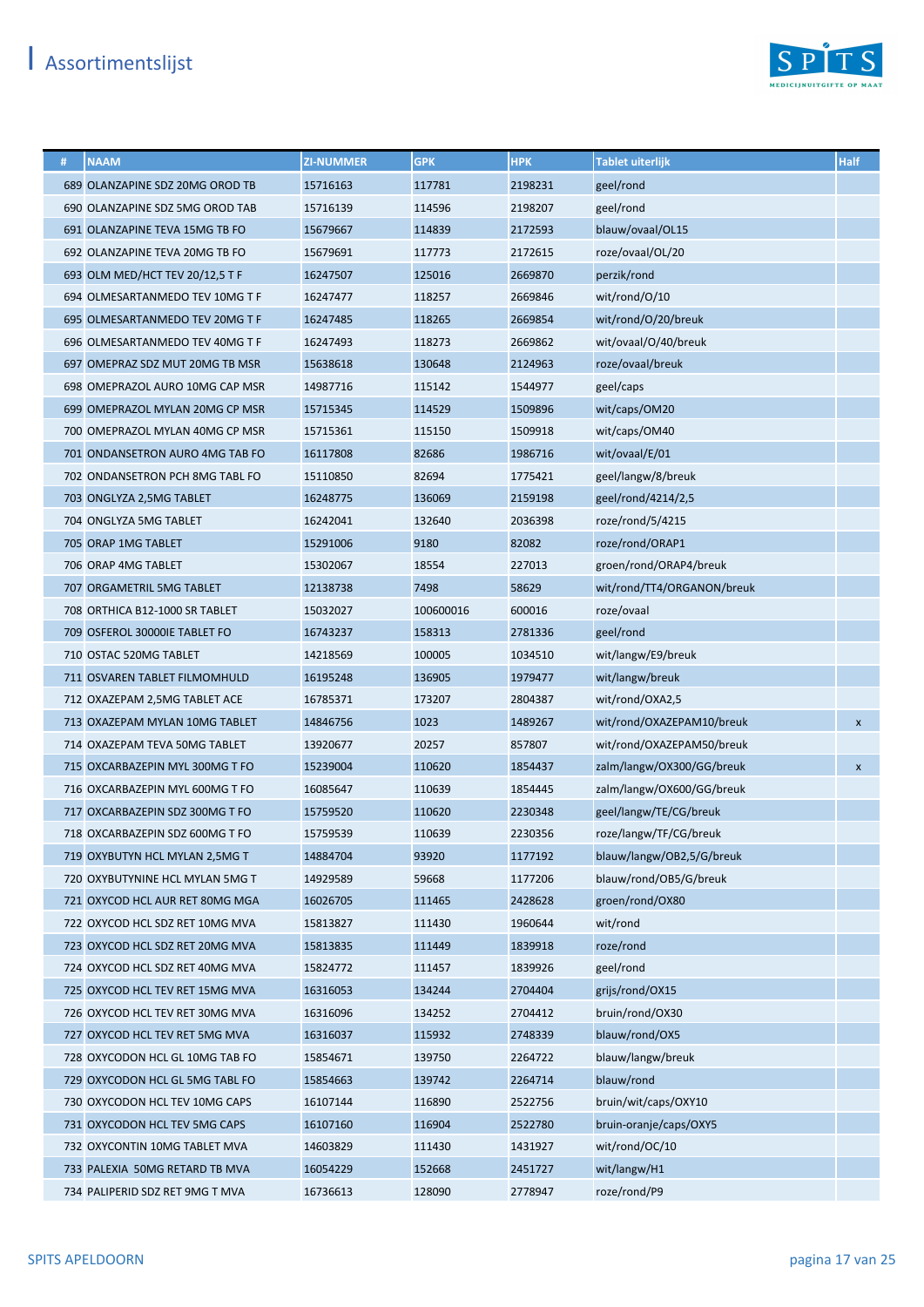

| # | <b>NAAM</b>                     | <b>ZI-NUMMER</b> | <b>GPK</b> | <b>HPK</b> | <b>Tablet uiterlijk</b>    | <b>Half</b>      |
|---|---------------------------------|------------------|------------|------------|----------------------------|------------------|
|   | 689 OLANZAPINE SDZ 20MG OROD TB | 15716163         | 117781     | 2198231    | geel/rond                  |                  |
|   | 690 OLANZAPINE SDZ 5MG OROD TAB | 15716139         | 114596     | 2198207    | geel/rond                  |                  |
|   | 691 OLANZAPINE TEVA 15MG TB FO  | 15679667         | 114839     | 2172593    | blauw/ovaal/OL15           |                  |
|   | 692 OLANZAPINE TEVA 20MG TB FO  | 15679691         | 117773     | 2172615    | roze/ovaal/OL/20           |                  |
|   | 693 OLM MED/HCT TEV 20/12,5 T F | 16247507         | 125016     | 2669870    | perzik/rond                |                  |
|   | 694 OLMESARTANMEDO TEV 10MG T F | 16247477         | 118257     | 2669846    | wit/rond/0/10              |                  |
|   | 695 OLMESARTANMEDO TEV 20MG T F | 16247485         | 118265     | 2669854    | wit/rond/O/20/breuk        |                  |
|   | 696 OLMESARTANMEDO TEV 40MG T F | 16247493         | 118273     | 2669862    | wit/ovaal/O/40/breuk       |                  |
|   | 697 OMEPRAZ SDZ MUT 20MG TB MSR | 15638618         | 130648     | 2124963    | roze/ovaal/breuk           |                  |
|   | 698 OMEPRAZOL AURO 10MG CAP MSR | 14987716         | 115142     | 1544977    | geel/caps                  |                  |
|   | 699 OMEPRAZOL MYLAN 20MG CP MSR | 15715345         | 114529     | 1509896    | wit/caps/OM20              |                  |
|   | 700 OMEPRAZOL MYLAN 40MG CP MSR | 15715361         | 115150     | 1509918    | wit/caps/OM40              |                  |
|   | 701 ONDANSETRON AURO 4MG TAB FO | 16117808         | 82686      | 1986716    | wit/ovaal/E/01             |                  |
|   | 702 ONDANSETRON PCH 8MG TABL FO | 15110850         | 82694      | 1775421    | geel/langw/8/breuk         |                  |
|   | 703 ONGLYZA 2,5MG TABLET        | 16248775         | 136069     | 2159198    | geel/rond/4214/2,5         |                  |
|   | 704 ONGLYZA 5MG TABLET          | 16242041         | 132640     | 2036398    | roze/rond/5/4215           |                  |
|   | 705 ORAP 1MG TABLET             | 15291006         | 9180       | 82082      | roze/rond/ORAP1            |                  |
|   | 706 ORAP 4MG TABLET             | 15302067         | 18554      | 227013     | groen/rond/ORAP4/breuk     |                  |
|   | 707 ORGAMETRIL 5MG TABLET       | 12138738         | 7498       | 58629      | wit/rond/TT4/ORGANON/breuk |                  |
|   | 708 ORTHICA B12-1000 SR TABLET  | 15032027         | 100600016  | 600016     | roze/ovaal                 |                  |
|   | 709 OSFEROL 30000IE TABLET FO   | 16743237         | 158313     | 2781336    | geel/rond                  |                  |
|   | 710 OSTAC 520MG TABLET          | 14218569         | 100005     | 1034510    | wit/langw/E9/breuk         |                  |
|   | 711 OSVAREN TABLET FILMOMHULD   | 16195248         | 136905     | 1979477    | wit/langw/breuk            |                  |
|   | 712 OXAZEPAM 2,5MG TABLET ACE   | 16785371         | 173207     | 2804387    | wit/rond/OXA2,5            |                  |
|   | 713 OXAZEPAM MYLAN 10MG TABLET  | 14846756         | 1023       | 1489267    | wit/rond/OXAZEPAM10/breuk  | X                |
|   | 714 OXAZEPAM TEVA 50MG TABLET   | 13920677         | 20257      | 857807     | wit/rond/OXAZEPAM50/breuk  |                  |
|   | 715 OXCARBAZEPIN MYL 300MG T FO | 15239004         | 110620     | 1854437    | zalm/langw/OX300/GG/breuk  | $\boldsymbol{x}$ |
|   | 716 OXCARBAZEPIN MYL 600MG T FO | 16085647         | 110639     | 1854445    | zalm/langw/OX600/GG/breuk  |                  |
|   | 717 OXCARBAZEPIN SDZ 300MG T FO | 15759520         | 110620     | 2230348    | geel/langw/TE/CG/breuk     |                  |
|   | 718 OXCARBAZEPIN SDZ 600MG T FO | 15759539         | 110639     | 2230356    | roze/langw/TF/CG/breuk     |                  |
|   | 719 OXYBUTYN HCL MYLAN 2,5MG T  | 14884704         | 93920      | 1177192    | blauw/langw/OB2,5/G/breuk  |                  |
|   | 720 OXYBUTYNINE HCL MYLAN 5MG T | 14929589         | 59668      | 1177206    | blauw/rond/OB5/G/breuk     |                  |
|   | 721 OXYCOD HCL AUR RET 80MG MGA | 16026705         | 111465     | 2428628    | groen/rond/OX80            |                  |
|   | 722 OXYCOD HCL SDZ RET 10MG MVA | 15813827         | 111430     | 1960644    | wit/rond                   |                  |
|   | 723 OXYCOD HCL SDZ RET 20MG MVA | 15813835         | 111449     | 1839918    | roze/rond                  |                  |
|   | 724 OXYCOD HCL SDZ RET 40MG MVA | 15824772         | 111457     | 1839926    | geel/rond                  |                  |
|   | 725 OXYCOD HCL TEV RET 15MG MVA | 16316053         | 134244     | 2704404    | grijs/rond/OX15            |                  |
|   | 726 OXYCOD HCL TEV RET 30MG MVA | 16316096         | 134252     | 2704412    | bruin/rond/OX30            |                  |
|   | 727 OXYCOD HCL TEV RET 5MG MVA  | 16316037         | 115932     | 2748339    | blauw/rond/OX5             |                  |
|   | 728 OXYCODON HCL GL 10MG TAB FO | 15854671         | 139750     | 2264722    | blauw/langw/breuk          |                  |
|   | 729 OXYCODON HCL GL 5MG TABL FO | 15854663         | 139742     | 2264714    | blauw/rond                 |                  |
|   | 730 OXYCODON HCL TEV 10MG CAPS  | 16107144         | 116890     | 2522756    | bruin/wit/caps/OXY10       |                  |
|   | 731 OXYCODON HCL TEV 5MG CAPS   | 16107160         | 116904     | 2522780    | bruin-oranje/caps/OXY5     |                  |
|   | 732 OXYCONTIN 10MG TABLET MVA   | 14603829         | 111430     | 1431927    | wit/rond/OC/10             |                  |
|   | 733 PALEXIA 50MG RETARD TB MVA  | 16054229         | 152668     | 2451727    | wit/langw/H1               |                  |
|   | 734 PALIPERID SDZ RET 9MG T MVA | 16736613         | 128090     | 2778947    | roze/rond/P9               |                  |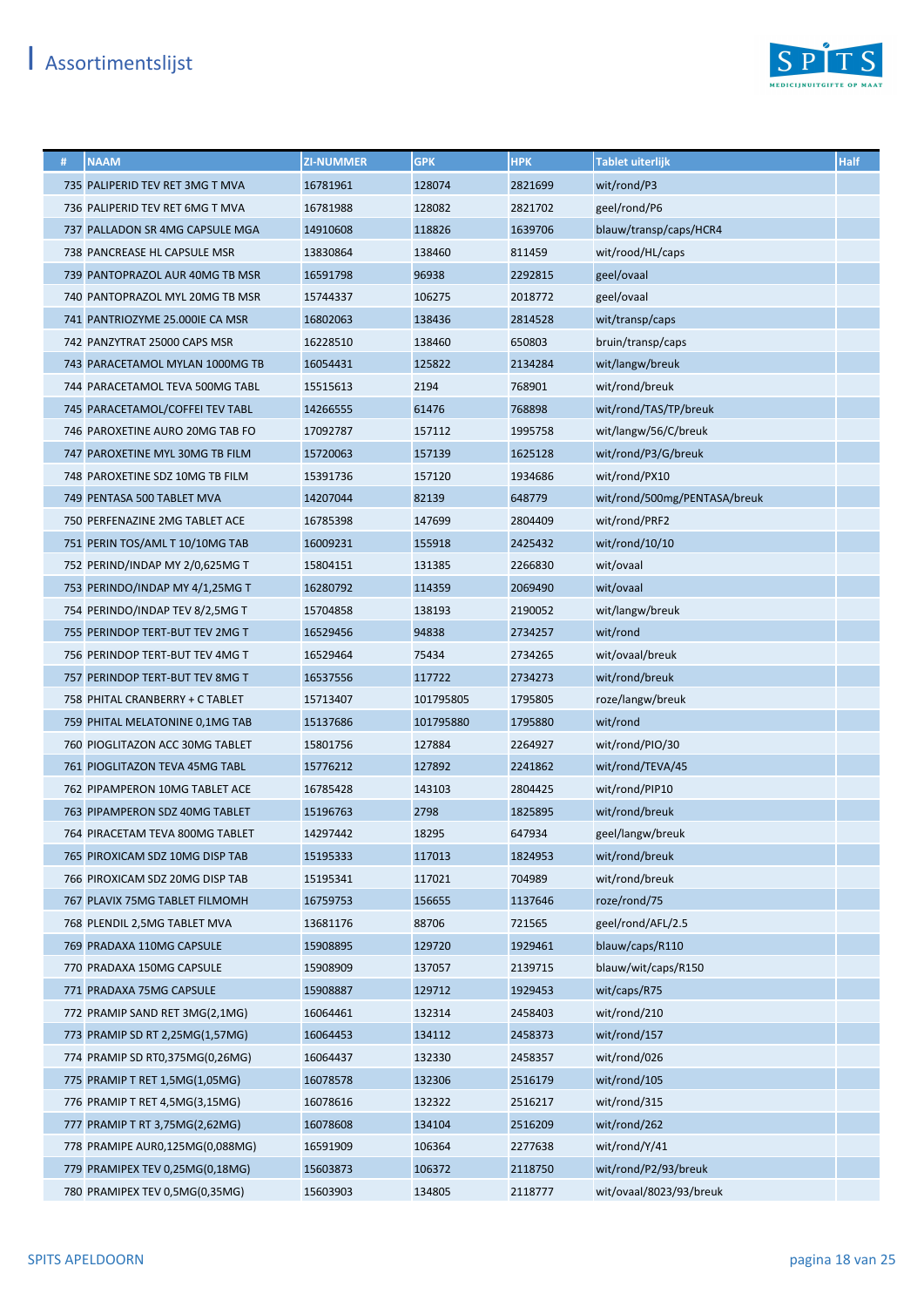

| # | <b>NAAM</b>                     | <b>ZI-NUMMER</b> | <b>GPK</b> | <b>HPK</b> | Tablet uiterlijk             | <b>Half</b> |
|---|---------------------------------|------------------|------------|------------|------------------------------|-------------|
|   | 735 PALIPERID TEV RET 3MG T MVA | 16781961         | 128074     | 2821699    | wit/rond/P3                  |             |
|   | 736 PALIPERID TEV RET 6MG T MVA | 16781988         | 128082     | 2821702    | geel/rond/P6                 |             |
|   | 737 PALLADON SR 4MG CAPSULE MGA | 14910608         | 118826     | 1639706    | blauw/transp/caps/HCR4       |             |
|   | 738 PANCREASE HL CAPSULE MSR    | 13830864         | 138460     | 811459     | wit/rood/HL/caps             |             |
|   | 739 PANTOPRAZOL AUR 40MG TB MSR | 16591798         | 96938      | 2292815    | geel/ovaal                   |             |
|   | 740 PANTOPRAZOL MYL 20MG TB MSR | 15744337         | 106275     | 2018772    | geel/ovaal                   |             |
|   | 741 PANTRIOZYME 25.000IE CA MSR | 16802063         | 138436     | 2814528    | wit/transp/caps              |             |
|   | 742 PANZYTRAT 25000 CAPS MSR    | 16228510         | 138460     | 650803     | bruin/transp/caps            |             |
|   | 743 PARACETAMOL MYLAN 1000MG TB | 16054431         | 125822     | 2134284    | wit/langw/breuk              |             |
|   | 744 PARACETAMOL TEVA 500MG TABL | 15515613         | 2194       | 768901     | wit/rond/breuk               |             |
|   | 745 PARACETAMOL/COFFEI TEV TABL | 14266555         | 61476      | 768898     | wit/rond/TAS/TP/breuk        |             |
|   | 746 PAROXETINE AURO 20MG TAB FO | 17092787         | 157112     | 1995758    | wit/langw/56/C/breuk         |             |
|   | 747 PAROXETINE MYL 30MG TB FILM | 15720063         | 157139     | 1625128    | wit/rond/P3/G/breuk          |             |
|   | 748 PAROXETINE SDZ 10MG TB FILM | 15391736         | 157120     | 1934686    | wit/rond/PX10                |             |
|   | 749 PENTASA 500 TABLET MVA      | 14207044         | 82139      | 648779     | wit/rond/500mg/PENTASA/breuk |             |
|   | 750 PERFENAZINE 2MG TABLET ACE  | 16785398         | 147699     | 2804409    | wit/rond/PRF2                |             |
|   | 751 PERIN TOS/AML T 10/10MG TAB | 16009231         | 155918     | 2425432    | wit/rond/10/10               |             |
|   | 752 PERIND/INDAP MY 2/0,625MG T | 15804151         | 131385     | 2266830    | wit/ovaal                    |             |
|   | 753 PERINDO/INDAP MY 4/1,25MG T | 16280792         | 114359     | 2069490    | wit/ovaal                    |             |
|   | 754 PERINDO/INDAP TEV 8/2,5MG T | 15704858         | 138193     | 2190052    | wit/langw/breuk              |             |
|   | 755 PERINDOP TERT-BUT TEV 2MG T | 16529456         | 94838      | 2734257    | wit/rond                     |             |
|   | 756 PERINDOP TERT-BUT TEV 4MG T | 16529464         | 75434      | 2734265    | wit/ovaal/breuk              |             |
|   | 757 PERINDOP TERT-BUT TEV 8MG T | 16537556         | 117722     | 2734273    | wit/rond/breuk               |             |
|   | 758 PHITAL CRANBERRY + C TABLET | 15713407         | 101795805  | 1795805    | roze/langw/breuk             |             |
|   | 759 PHITAL MELATONINE 0,1MG TAB | 15137686         | 101795880  | 1795880    | wit/rond                     |             |
|   | 760 PIOGLITAZON ACC 30MG TABLET | 15801756         | 127884     | 2264927    | wit/rond/PIO/30              |             |
|   | 761 PIOGLITAZON TEVA 45MG TABL  | 15776212         | 127892     | 2241862    | wit/rond/TEVA/45             |             |
|   | 762 PIPAMPERON 10MG TABLET ACE  | 16785428         | 143103     | 2804425    | wit/rond/PIP10               |             |
|   | 763 PIPAMPERON SDZ 40MG TABLET  | 15196763         | 2798       | 1825895    | wit/rond/breuk               |             |
|   | 764 PIRACETAM TEVA 800MG TABLET | 14297442         | 18295      | 647934     | geel/langw/breuk             |             |
|   | 765 PIROXICAM SDZ 10MG DISP TAB | 15195333         | 117013     | 1824953    | wit/rond/breuk               |             |
|   | 766 PIROXICAM SDZ 20MG DISP TAB | 15195341         | 117021     | 704989     | wit/rond/breuk               |             |
|   | 767 PLAVIX 75MG TABLET FILMOMH  | 16759753         | 156655     | 1137646    | roze/rond/75                 |             |
|   | 768 PLENDIL 2,5MG TABLET MVA    | 13681176         | 88706      | 721565     | geel/rond/AFL/2.5            |             |
|   | 769 PRADAXA 110MG CAPSULE       | 15908895         | 129720     | 1929461    | blauw/caps/R110              |             |
|   | 770 PRADAXA 150MG CAPSULE       | 15908909         | 137057     | 2139715    | blauw/wit/caps/R150          |             |
|   | 771 PRADAXA 75MG CAPSULE        | 15908887         | 129712     | 1929453    | wit/caps/R75                 |             |
|   | 772 PRAMIP SAND RET 3MG(2,1MG)  | 16064461         | 132314     | 2458403    | wit/rond/210                 |             |
|   | 773 PRAMIP SD RT 2,25MG(1,57MG) | 16064453         | 134112     | 2458373    | wit/rond/157                 |             |
|   | 774 PRAMIP SD RT0,375MG(0,26MG) | 16064437         | 132330     | 2458357    | wit/rond/026                 |             |
|   | 775 PRAMIP T RET 1,5MG(1,05MG)  | 16078578         | 132306     | 2516179    | wit/rond/105                 |             |
|   | 776 PRAMIP T RET 4,5MG(3,15MG)  | 16078616         | 132322     | 2516217    | wit/rond/315                 |             |
|   | 777 PRAMIP T RT 3,75MG(2,62MG)  | 16078608         | 134104     | 2516209    | wit/rond/262                 |             |
|   | 778 PRAMIPE AUR0,125MG(0,088MG) | 16591909         | 106364     | 2277638    | wit/rond/Y/41                |             |
|   | 779 PRAMIPEX TEV 0,25MG(0,18MG) | 15603873         | 106372     | 2118750    | wit/rond/P2/93/breuk         |             |
|   | 780 PRAMIPEX TEV 0,5MG(0,35MG)  | 15603903         | 134805     | 2118777    | wit/ovaal/8023/93/breuk      |             |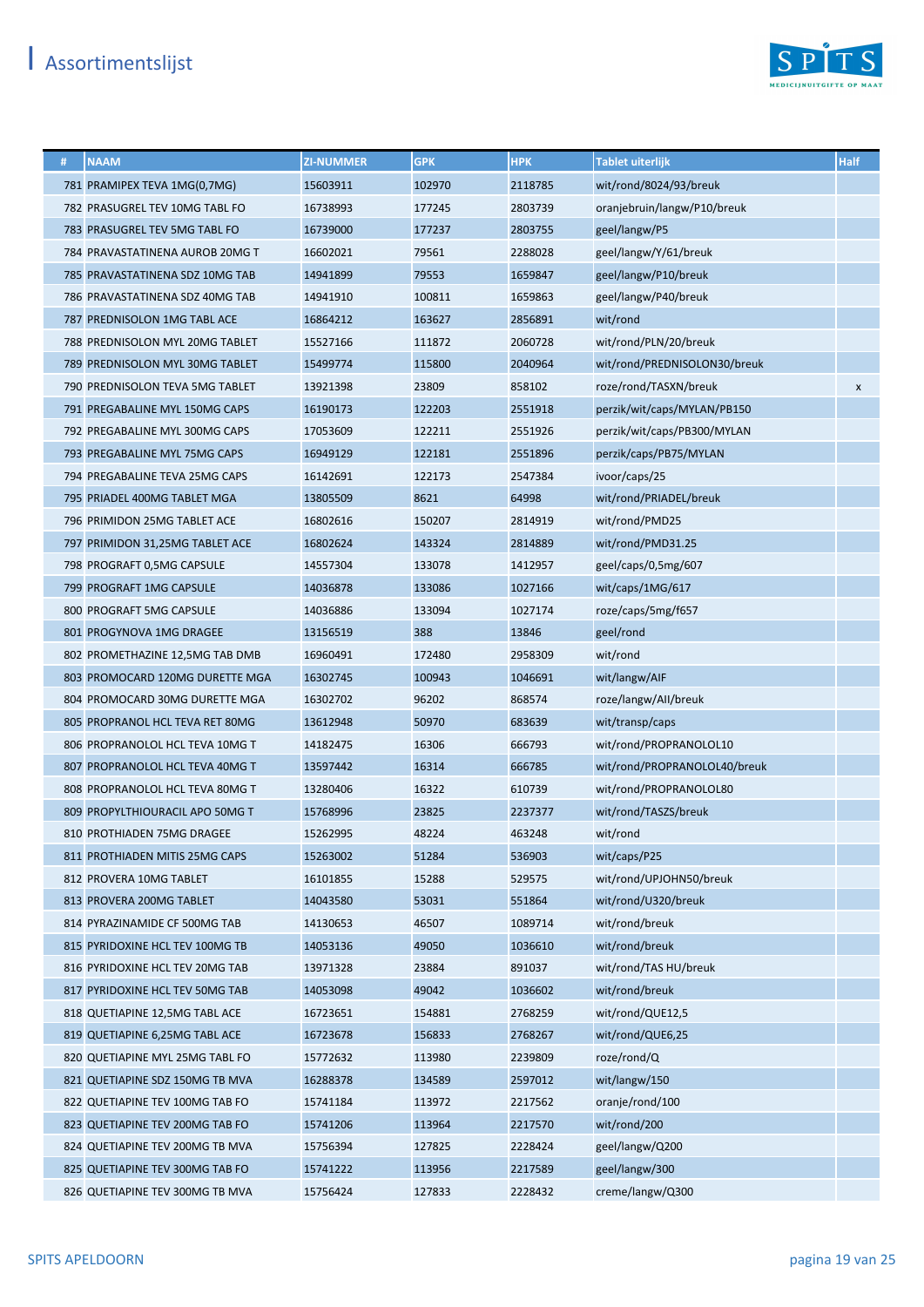

| # | <b>NAAM</b>                     | <b>ZI-NUMMER</b> | <b>GPK</b> | <b>HPK</b> | Tablet uiterlijk             | <b>Half</b> |
|---|---------------------------------|------------------|------------|------------|------------------------------|-------------|
|   | 781 PRAMIPEX TEVA 1MG(0,7MG)    | 15603911         | 102970     | 2118785    | wit/rond/8024/93/breuk       |             |
|   | 782 PRASUGREL TEV 10MG TABL FO  | 16738993         | 177245     | 2803739    | oranjebruin/langw/P10/breuk  |             |
|   | 783 PRASUGREL TEV 5MG TABL FO   | 16739000         | 177237     | 2803755    | geel/langw/P5                |             |
|   | 784 PRAVASTATINENA AUROB 20MG T | 16602021         | 79561      | 2288028    | geel/langw/Y/61/breuk        |             |
|   | 785 PRAVASTATINENA SDZ 10MG TAB | 14941899         | 79553      | 1659847    | geel/langw/P10/breuk         |             |
|   | 786 PRAVASTATINENA SDZ 40MG TAB | 14941910         | 100811     | 1659863    | geel/langw/P40/breuk         |             |
|   | 787 PREDNISOLON 1MG TABL ACE    | 16864212         | 163627     | 2856891    | wit/rond                     |             |
|   | 788 PREDNISOLON MYL 20MG TABLET | 15527166         | 111872     | 2060728    | wit/rond/PLN/20/breuk        |             |
|   | 789 PREDNISOLON MYL 30MG TABLET | 15499774         | 115800     | 2040964    | wit/rond/PREDNISOLON30/breuk |             |
|   | 790 PREDNISOLON TEVA 5MG TABLET | 13921398         | 23809      | 858102     | roze/rond/TASXN/breuk        | x           |
|   | 791 PREGABALINE MYL 150MG CAPS  | 16190173         | 122203     | 2551918    | perzik/wit/caps/MYLAN/PB150  |             |
|   | 792 PREGABALINE MYL 300MG CAPS  | 17053609         | 122211     | 2551926    | perzik/wit/caps/PB300/MYLAN  |             |
|   | 793 PREGABALINE MYL 75MG CAPS   | 16949129         | 122181     | 2551896    | perzik/caps/PB75/MYLAN       |             |
|   | 794 PREGABALINE TEVA 25MG CAPS  | 16142691         | 122173     | 2547384    | ivoor/caps/25                |             |
|   | 795 PRIADEL 400MG TABLET MGA    | 13805509         | 8621       | 64998      | wit/rond/PRIADEL/breuk       |             |
|   | 796 PRIMIDON 25MG TABLET ACE    | 16802616         | 150207     | 2814919    | wit/rond/PMD25               |             |
|   | 797 PRIMIDON 31,25MG TABLET ACE | 16802624         | 143324     | 2814889    | wit/rond/PMD31.25            |             |
|   | 798 PROGRAFT 0,5MG CAPSULE      | 14557304         | 133078     | 1412957    | geel/caps/0,5mg/607          |             |
|   | 799 PROGRAFT 1MG CAPSULE        | 14036878         | 133086     | 1027166    | wit/caps/1MG/617             |             |
|   | 800 PROGRAFT 5MG CAPSULE        | 14036886         | 133094     | 1027174    | roze/caps/5mg/f657           |             |
|   | 801 PROGYNOVA 1MG DRAGEE        | 13156519         | 388        | 13846      | geel/rond                    |             |
|   | 802 PROMETHAZINE 12,5MG TAB DMB | 16960491         | 172480     | 2958309    | wit/rond                     |             |
|   | 803 PROMOCARD 120MG DURETTE MGA | 16302745         | 100943     | 1046691    | wit/langw/AIF                |             |
|   | 804 PROMOCARD 30MG DURETTE MGA  | 16302702         | 96202      | 868574     | roze/langw/All/breuk         |             |
|   | 805 PROPRANOL HCL TEVA RET 80MG | 13612948         | 50970      | 683639     | wit/transp/caps              |             |
|   | 806 PROPRANOLOL HCL TEVA 10MG T | 14182475         | 16306      | 666793     | wit/rond/PROPRANOLOL10       |             |
|   | 807 PROPRANOLOL HCL TEVA 40MG T | 13597442         | 16314      | 666785     | wit/rond/PROPRANOLOL40/breuk |             |
|   | 808 PROPRANOLOL HCL TEVA 80MG T | 13280406         | 16322      | 610739     | wit/rond/PROPRANOLOL80       |             |
|   | 809 PROPYLTHIOURACIL APO 50MG T | 15768996         | 23825      | 2237377    | wit/rond/TASZS/breuk         |             |
|   | 810 PROTHIADEN 75MG DRAGEE      | 15262995         | 48224      | 463248     | wit/rond                     |             |
|   | 811 PROTHIADEN MITIS 25MG CAPS  | 15263002         | 51284      | 536903     | wit/caps/P25                 |             |
|   | 812 PROVERA 10MG TABLET         | 16101855         | 15288      | 529575     | wit/rond/UPJOHN50/breuk      |             |
|   | 813 PROVERA 200MG TABLET        | 14043580         | 53031      | 551864     | wit/rond/U320/breuk          |             |
|   | 814 PYRAZINAMIDE CF 500MG TAB   | 14130653         | 46507      | 1089714    | wit/rond/breuk               |             |
|   | 815 PYRIDOXINE HCL TEV 100MG TB | 14053136         | 49050      | 1036610    | wit/rond/breuk               |             |
|   | 816 PYRIDOXINE HCL TEV 20MG TAB | 13971328         | 23884      | 891037     | wit/rond/TAS HU/breuk        |             |
|   | 817 PYRIDOXINE HCL TEV 50MG TAB | 14053098         | 49042      | 1036602    | wit/rond/breuk               |             |
|   | 818 QUETIAPINE 12,5MG TABL ACE  | 16723651         | 154881     | 2768259    | wit/rond/QUE12,5             |             |
|   | 819 QUETIAPINE 6,25MG TABL ACE  | 16723678         | 156833     | 2768267    | wit/rond/QUE6,25             |             |
|   | 820 QUETIAPINE MYL 25MG TABL FO | 15772632         | 113980     | 2239809    | roze/rond/Q                  |             |
|   | 821 QUETIAPINE SDZ 150MG TB MVA | 16288378         | 134589     | 2597012    | wit/langw/150                |             |
|   | 822 QUETIAPINE TEV 100MG TAB FO | 15741184         | 113972     | 2217562    | oranje/rond/100              |             |
|   | 823 QUETIAPINE TEV 200MG TAB FO | 15741206         | 113964     | 2217570    | wit/rond/200                 |             |
|   | 824 QUETIAPINE TEV 200MG TB MVA | 15756394         | 127825     | 2228424    | geel/langw/Q200              |             |
|   | 825 QUETIAPINE TEV 300MG TAB FO | 15741222         | 113956     | 2217589    | geel/langw/300               |             |
|   | 826 QUETIAPINE TEV 300MG TB MVA | 15756424         | 127833     | 2228432    | creme/langw/Q300             |             |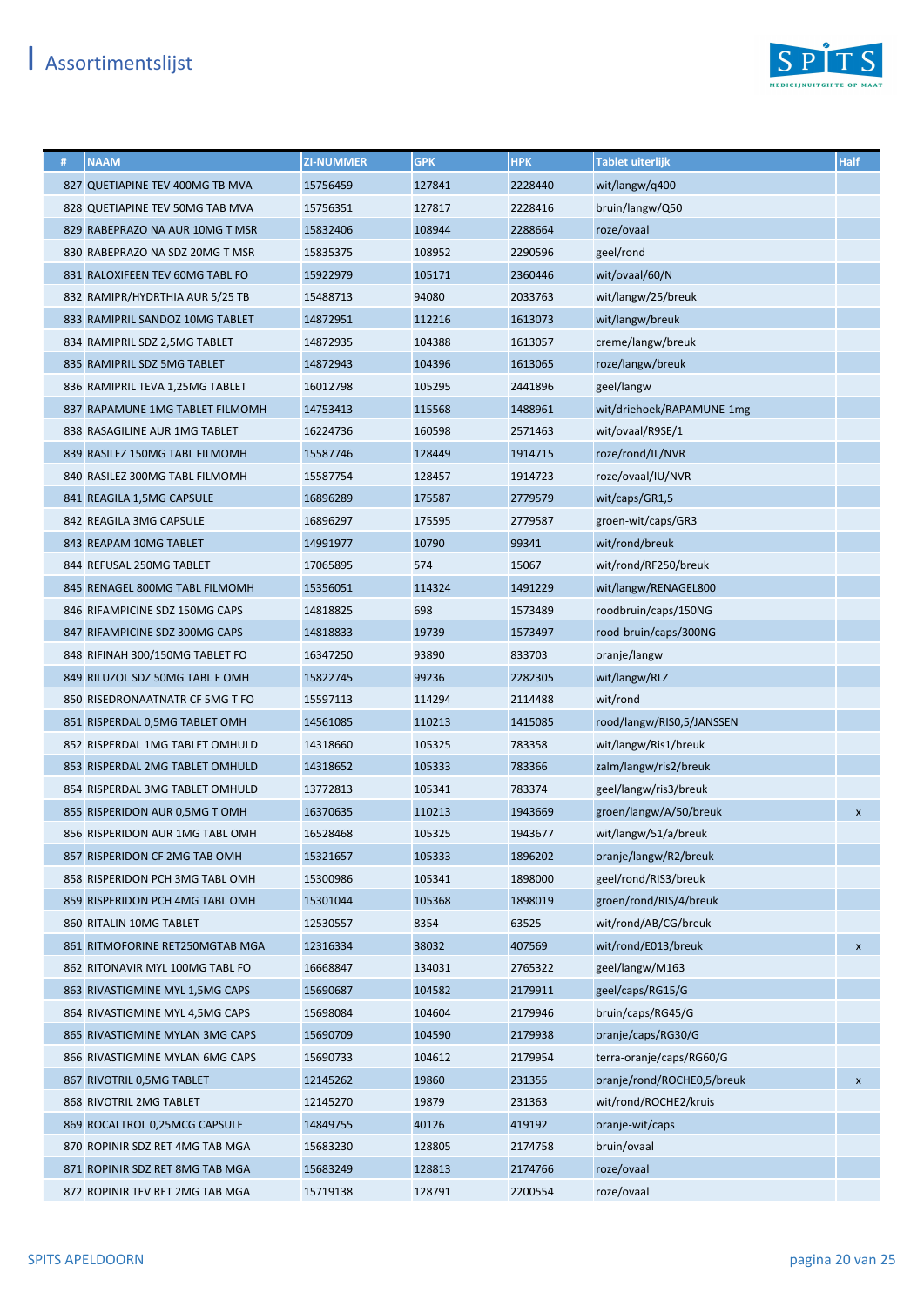

| # | <b>NAAM</b>                     | <b>ZI-NUMMER</b> | <b>GPK</b> | <b>HPK</b> | <b>Tablet uiterlijk</b>    | Half               |
|---|---------------------------------|------------------|------------|------------|----------------------------|--------------------|
|   | 827 QUETIAPINE TEV 400MG TB MVA | 15756459         | 127841     | 2228440    | wit/langw/g400             |                    |
|   | 828 QUETIAPINE TEV 50MG TAB MVA | 15756351         | 127817     | 2228416    | bruin/langw/Q50            |                    |
|   | 829 RABEPRAZO NA AUR 10MG T MSR | 15832406         | 108944     | 2288664    | roze/ovaal                 |                    |
|   | 830 RABEPRAZO NA SDZ 20MG T MSR | 15835375         | 108952     | 2290596    | geel/rond                  |                    |
|   | 831 RALOXIFEEN TEV 60MG TABL FO | 15922979         | 105171     | 2360446    | wit/ovaal/60/N             |                    |
|   | 832 RAMIPR/HYDRTHIA AUR 5/25 TB | 15488713         | 94080      | 2033763    | wit/langw/25/breuk         |                    |
|   | 833 RAMIPRIL SANDOZ 10MG TABLET | 14872951         | 112216     | 1613073    | wit/langw/breuk            |                    |
|   | 834 RAMIPRIL SDZ 2,5MG TABLET   | 14872935         | 104388     | 1613057    | creme/langw/breuk          |                    |
|   | 835 RAMIPRIL SDZ 5MG TABLET     | 14872943         | 104396     | 1613065    | roze/langw/breuk           |                    |
|   | 836 RAMIPRIL TEVA 1,25MG TABLET | 16012798         | 105295     | 2441896    | geel/langw                 |                    |
|   | 837 RAPAMUNE 1MG TABLET FILMOMH | 14753413         | 115568     | 1488961    | wit/driehoek/RAPAMUNE-1mg  |                    |
|   | 838 RASAGILINE AUR 1MG TABLET   | 16224736         | 160598     | 2571463    | wit/ovaal/R9SE/1           |                    |
|   | 839 RASILEZ 150MG TABL FILMOMH  | 15587746         | 128449     | 1914715    | roze/rond/IL/NVR           |                    |
|   | 840 RASILEZ 300MG TABL FILMOMH  | 15587754         | 128457     | 1914723    | roze/ovaal/IU/NVR          |                    |
|   | 841 REAGILA 1,5MG CAPSULE       | 16896289         | 175587     | 2779579    | wit/caps/GR1,5             |                    |
|   | 842 REAGILA 3MG CAPSULE         | 16896297         | 175595     | 2779587    | groen-wit/caps/GR3         |                    |
|   | 843 REAPAM 10MG TABLET          | 14991977         | 10790      | 99341      | wit/rond/breuk             |                    |
|   | 844 REFUSAL 250MG TABLET        | 17065895         | 574        | 15067      | wit/rond/RF250/breuk       |                    |
|   | 845 RENAGEL 800MG TABL FILMOMH  | 15356051         | 114324     | 1491229    | wit/langw/RENAGEL800       |                    |
|   | 846 RIFAMPICINE SDZ 150MG CAPS  | 14818825         | 698        | 1573489    | roodbruin/caps/150NG       |                    |
|   | 847 RIFAMPICINE SDZ 300MG CAPS  | 14818833         | 19739      | 1573497    | rood-bruin/caps/300NG      |                    |
|   | 848 RIFINAH 300/150MG TABLET FO | 16347250         | 93890      | 833703     | oranje/langw               |                    |
|   | 849 RILUZOL SDZ 50MG TABL F OMH | 15822745         | 99236      | 2282305    | wit/langw/RLZ              |                    |
|   | 850 RISEDRONAATNATR CF 5MG T FO | 15597113         | 114294     | 2114488    | wit/rond                   |                    |
|   | 851 RISPERDAL 0,5MG TABLET OMH  | 14561085         | 110213     | 1415085    | rood/langw/RIS0,5/JANSSEN  |                    |
|   | 852 RISPERDAL 1MG TABLET OMHULD | 14318660         | 105325     | 783358     | wit/langw/Ris1/breuk       |                    |
|   | 853 RISPERDAL 2MG TABLET OMHULD | 14318652         | 105333     | 783366     | zalm/langw/ris2/breuk      |                    |
|   | 854 RISPERDAL 3MG TABLET OMHULD | 13772813         | 105341     | 783374     | geel/langw/ris3/breuk      |                    |
|   | 855 RISPERIDON AUR 0,5MG TOMH   | 16370635         | 110213     | 1943669    | groen/langw/A/50/breuk     | $\mathsf{x}$       |
|   | 856 RISPERIDON AUR 1MG TABL OMH | 16528468         | 105325     | 1943677    | wit/langw/51/a/breuk       |                    |
|   | 857 RISPERIDON CF 2MG TAB OMH   | 15321657         | 105333     | 1896202    | oranje/langw/R2/breuk      |                    |
|   | 858 RISPERIDON PCH 3MG TABL OMH | 15300986         | 105341     | 1898000    | geel/rond/RIS3/breuk       |                    |
|   | 859 RISPERIDON PCH 4MG TABL OMH | 15301044         | 105368     | 1898019    | groen/rond/RIS/4/breuk     |                    |
|   | 860 RITALIN 10MG TABLET         | 12530557         | 8354       | 63525      | wit/rond/AB/CG/breuk       |                    |
|   | 861 RITMOFORINE RET250MGTAB MGA | 12316334         | 38032      | 407569     | wit/rond/E013/breuk        | $\pmb{\mathsf{x}}$ |
|   | 862 RITONAVIR MYL 100MG TABL FO | 16668847         | 134031     | 2765322    | geel/langw/M163            |                    |
|   | 863 RIVASTIGMINE MYL 1,5MG CAPS | 15690687         | 104582     | 2179911    | geel/caps/RG15/G           |                    |
|   | 864 RIVASTIGMINE MYL 4,5MG CAPS | 15698084         | 104604     | 2179946    | bruin/caps/RG45/G          |                    |
|   | 865 RIVASTIGMINE MYLAN 3MG CAPS | 15690709         | 104590     | 2179938    | oranje/caps/RG30/G         |                    |
|   | 866 RIVASTIGMINE MYLAN 6MG CAPS | 15690733         | 104612     | 2179954    | terra-oranje/caps/RG60/G   |                    |
|   | 867 RIVOTRIL 0,5MG TABLET       | 12145262         | 19860      | 231355     | oranje/rond/ROCHE0,5/breuk | X                  |
|   | 868 RIVOTRIL 2MG TABLET         | 12145270         | 19879      | 231363     | wit/rond/ROCHE2/kruis      |                    |
|   | 869 ROCALTROL 0,25MCG CAPSULE   | 14849755         | 40126      | 419192     | oranje-wit/caps            |                    |
|   | 870 ROPINIR SDZ RET 4MG TAB MGA | 15683230         | 128805     | 2174758    | bruin/ovaal                |                    |
|   | 871 ROPINIR SDZ RET 8MG TAB MGA | 15683249         | 128813     | 2174766    | roze/ovaal                 |                    |
|   | 872 ROPINIR TEV RET 2MG TAB MGA | 15719138         | 128791     | 2200554    | roze/ovaal                 |                    |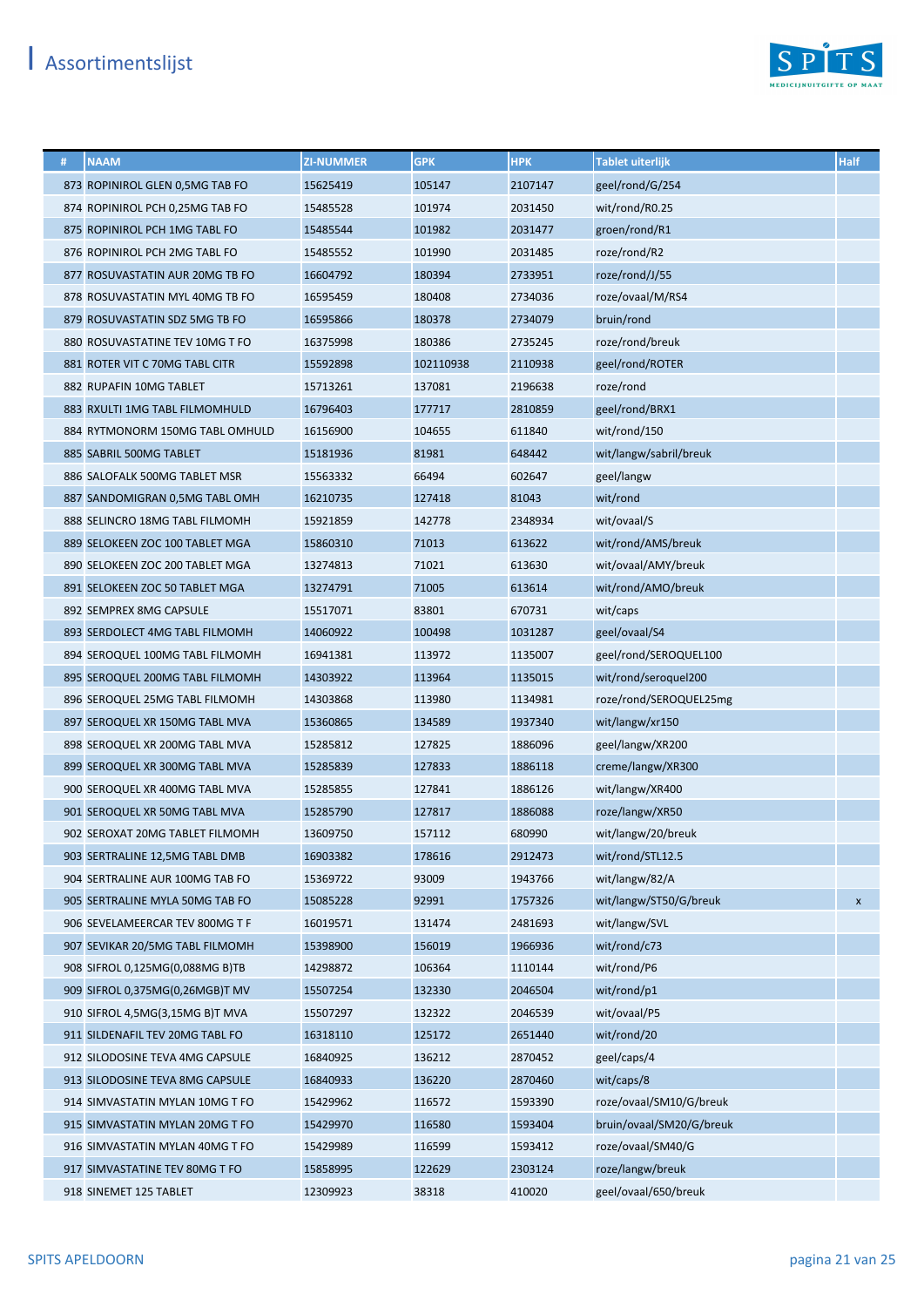

| # | <b>NAAM</b>                     | <b>ZI-NUMMER</b> | <b>GPK</b> | <b>HPK</b> | <b>Tablet uiterlijk</b>  | Half |
|---|---------------------------------|------------------|------------|------------|--------------------------|------|
|   | 873 ROPINIROL GLEN 0,5MG TAB FO | 15625419         | 105147     | 2107147    | geel/rond/G/254          |      |
|   | 874 ROPINIROL PCH 0,25MG TAB FO | 15485528         | 101974     | 2031450    | wit/rond/R0.25           |      |
|   | 875 ROPINIROL PCH 1MG TABL FO   | 15485544         | 101982     | 2031477    | groen/rond/R1            |      |
|   | 876 ROPINIROL PCH 2MG TABL FO   | 15485552         | 101990     | 2031485    | roze/rond/R2             |      |
|   | 877 ROSUVASTATIN AUR 20MG TB FO | 16604792         | 180394     | 2733951    | roze/rond/J/55           |      |
|   | 878 ROSUVASTATIN MYL 40MG TB FO | 16595459         | 180408     | 2734036    | roze/ovaal/M/RS4         |      |
|   | 879 ROSUVASTATIN SDZ 5MG TB FO  | 16595866         | 180378     | 2734079    | bruin/rond               |      |
|   | 880 ROSUVASTATINE TEV 10MG T FO | 16375998         | 180386     | 2735245    | roze/rond/breuk          |      |
|   | 881 ROTER VIT C 70MG TABL CITR  | 15592898         | 102110938  | 2110938    | geel/rond/ROTER          |      |
|   | 882 RUPAFIN 10MG TABLET         | 15713261         | 137081     | 2196638    | roze/rond                |      |
|   | 883 RXULTI 1MG TABL FILMOMHULD  | 16796403         | 177717     | 2810859    | geel/rond/BRX1           |      |
|   | 884 RYTMONORM 150MG TABL OMHULD | 16156900         | 104655     | 611840     | wit/rond/150             |      |
|   | 885 SABRIL 500MG TABLET         | 15181936         | 81981      | 648442     | wit/langw/sabril/breuk   |      |
|   | 886 SALOFALK 500MG TABLET MSR   | 15563332         | 66494      | 602647     | geel/langw               |      |
|   | 887 SANDOMIGRAN 0,5MG TABL OMH  | 16210735         | 127418     | 81043      | wit/rond                 |      |
|   | 888 SELINCRO 18MG TABL FILMOMH  | 15921859         | 142778     | 2348934    | wit/ovaal/S              |      |
|   | 889 SELOKEEN ZOC 100 TABLET MGA | 15860310         | 71013      | 613622     | wit/rond/AMS/breuk       |      |
|   | 890 SELOKEEN ZOC 200 TABLET MGA | 13274813         | 71021      | 613630     | wit/ovaal/AMY/breuk      |      |
|   | 891 SELOKEEN ZOC 50 TABLET MGA  | 13274791         | 71005      | 613614     | wit/rond/AMO/breuk       |      |
|   | 892 SEMPREX 8MG CAPSULE         | 15517071         | 83801      | 670731     | wit/caps                 |      |
|   | 893 SERDOLECT 4MG TABL FILMOMH  | 14060922         | 100498     | 1031287    | geel/ovaal/S4            |      |
|   | 894 SEROQUEL 100MG TABL FILMOMH | 16941381         | 113972     | 1135007    | geel/rond/SEROQUEL100    |      |
|   | 895 SEROQUEL 200MG TABL FILMOMH | 14303922         | 113964     | 1135015    | wit/rond/seroquel200     |      |
|   | 896 SEROQUEL 25MG TABL FILMOMH  | 14303868         | 113980     | 1134981    | roze/rond/SEROQUEL25mg   |      |
|   | 897 SEROQUEL XR 150MG TABL MVA  | 15360865         | 134589     | 1937340    | wit/langw/xr150          |      |
|   | 898 SEROQUEL XR 200MG TABL MVA  | 15285812         | 127825     | 1886096    | geel/langw/XR200         |      |
|   | 899 SEROQUEL XR 300MG TABL MVA  | 15285839         | 127833     | 1886118    | creme/langw/XR300        |      |
|   | 900 SEROQUEL XR 400MG TABL MVA  | 15285855         | 127841     | 1886126    | wit/langw/XR400          |      |
|   | 901 SEROQUEL XR 50MG TABL MVA   | 15285790         | 127817     | 1886088    | roze/langw/XR50          |      |
|   | 902 SEROXAT 20MG TABLET FILMOMH | 13609750         | 157112     | 680990     | wit/langw/20/breuk       |      |
|   | 903 SERTRALINE 12,5MG TABL DMB  | 16903382         | 178616     | 2912473    | wit/rond/STL12.5         |      |
|   | 904 SERTRALINE AUR 100MG TAB FO | 15369722         | 93009      | 1943766    | wit/langw/82/A           |      |
|   | 905 SERTRALINE MYLA 50MG TAB FO | 15085228         | 92991      | 1757326    | wit/langw/ST50/G/breuk   | X    |
|   | 906 SEVELAMEERCAR TEV 800MG T F | 16019571         | 131474     | 2481693    | wit/langw/SVL            |      |
|   | 907 SEVIKAR 20/5MG TABL FILMOMH | 15398900         | 156019     | 1966936    | wit/rond/c73             |      |
|   | 908 SIFROL 0,125MG(0,088MG B)TB | 14298872         | 106364     | 1110144    | wit/rond/P6              |      |
|   | 909 SIFROL 0,375MG(0,26MGB)T MV | 15507254         | 132330     | 2046504    | wit/rond/p1              |      |
|   | 910 SIFROL 4,5MG(3,15MG B)T MVA | 15507297         | 132322     | 2046539    | wit/ovaal/P5             |      |
|   | 911 SILDENAFIL TEV 20MG TABL FO | 16318110         | 125172     | 2651440    | wit/rond/20              |      |
|   | 912 SILODOSINE TEVA 4MG CAPSULE | 16840925         | 136212     | 2870452    | geel/caps/4              |      |
|   | 913 SILODOSINE TEVA 8MG CAPSULE | 16840933         | 136220     | 2870460    | wit/caps/8               |      |
|   | 914 SIMVASTATIN MYLAN 10MG T FO | 15429962         | 116572     | 1593390    | roze/ovaal/SM10/G/breuk  |      |
|   | 915 SIMVASTATIN MYLAN 20MG T FO | 15429970         | 116580     | 1593404    | bruin/ovaal/SM20/G/breuk |      |
|   | 916 SIMVASTATIN MYLAN 40MG T FO | 15429989         | 116599     | 1593412    | roze/ovaal/SM40/G        |      |
|   | 917 SIMVASTATINE TEV 80MG T FO  | 15858995         | 122629     | 2303124    | roze/langw/breuk         |      |
|   | 918 SINEMET 125 TABLET          | 12309923         | 38318      | 410020     | geel/ovaal/650/breuk     |      |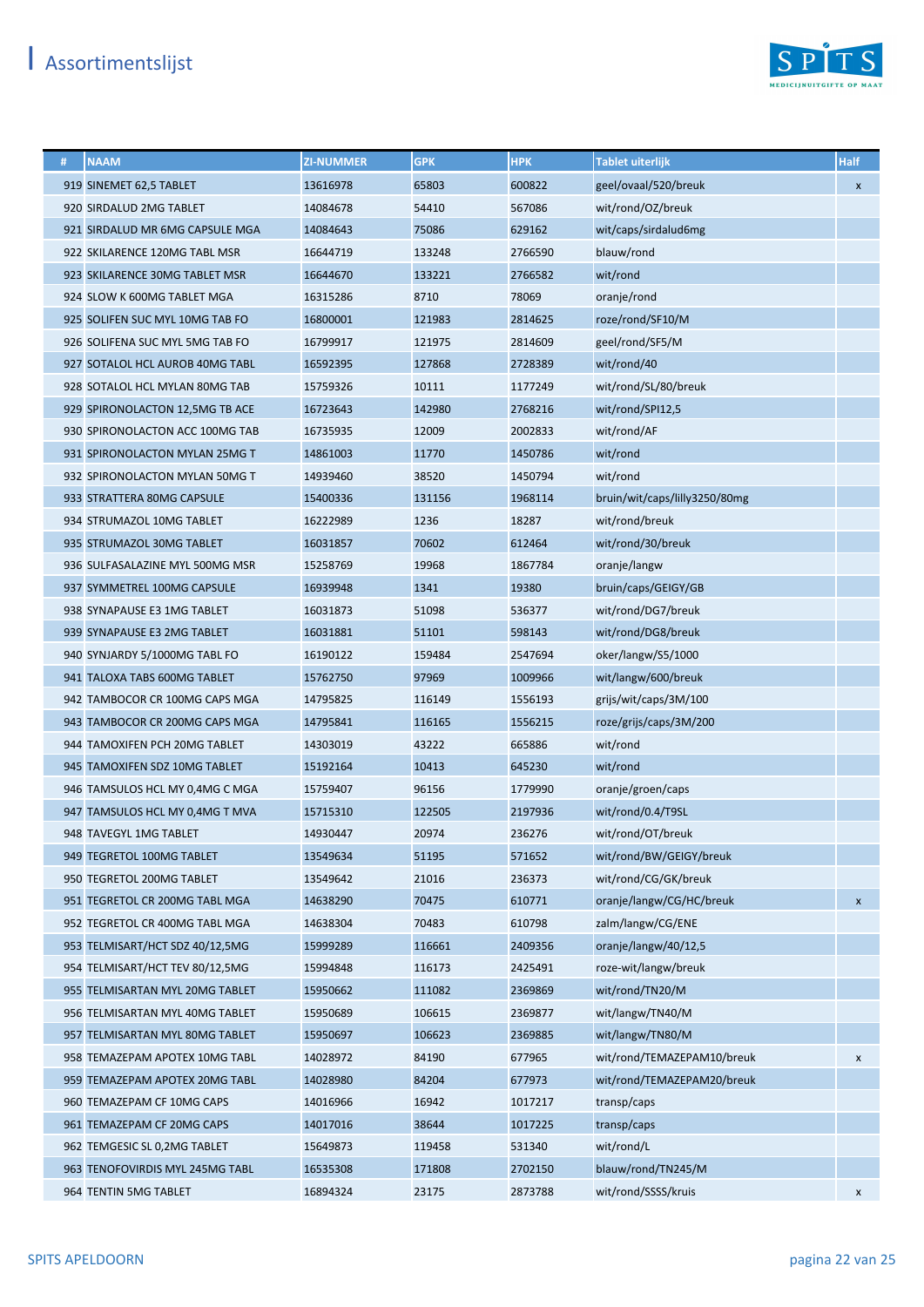

| # | <b>NAAM</b>                     | <b>ZI-NUMMER</b> | <b>GPK</b> | <b>HPK</b> | <b>Tablet uiterlijk</b>       | Half |
|---|---------------------------------|------------------|------------|------------|-------------------------------|------|
|   | 919 SINEMET 62,5 TABLET         | 13616978         | 65803      | 600822     | geel/ovaal/520/breuk          | X    |
|   | 920 SIRDALUD 2MG TABLET         | 14084678         | 54410      | 567086     | wit/rond/OZ/breuk             |      |
|   | 921 SIRDALUD MR 6MG CAPSULE MGA | 14084643         | 75086      | 629162     | wit/caps/sirdalud6mg          |      |
|   | 922 SKILARENCE 120MG TABL MSR   | 16644719         | 133248     | 2766590    | blauw/rond                    |      |
|   | 923 SKILARENCE 30MG TABLET MSR  | 16644670         | 133221     | 2766582    | wit/rond                      |      |
|   | 924 SLOW K 600MG TABLET MGA     | 16315286         | 8710       | 78069      | oranje/rond                   |      |
|   | 925 SOLIFEN SUC MYL 10MG TAB FO | 16800001         | 121983     | 2814625    | roze/rond/SF10/M              |      |
|   | 926 SOLIFENA SUC MYL 5MG TAB FO | 16799917         | 121975     | 2814609    | geel/rond/SF5/M               |      |
|   | 927 SOTALOL HCL AUROB 40MG TABL | 16592395         | 127868     | 2728389    | wit/rond/40                   |      |
|   | 928 SOTALOL HCL MYLAN 80MG TAB  | 15759326         | 10111      | 1177249    | wit/rond/SL/80/breuk          |      |
|   | 929 SPIRONOLACTON 12,5MG TB ACE | 16723643         | 142980     | 2768216    | wit/rond/SPI12,5              |      |
|   | 930 SPIRONOLACTON ACC 100MG TAB | 16735935         | 12009      | 2002833    | wit/rond/AF                   |      |
|   | 931 SPIRONOLACTON MYLAN 25MG T  | 14861003         | 11770      | 1450786    | wit/rond                      |      |
|   | 932 SPIRONOLACTON MYLAN 50MG T  | 14939460         | 38520      | 1450794    | wit/rond                      |      |
|   | 933 STRATTERA 80MG CAPSULE      | 15400336         | 131156     | 1968114    | bruin/wit/caps/lilly3250/80mg |      |
|   | 934 STRUMAZOL 10MG TABLET       | 16222989         | 1236       | 18287      | wit/rond/breuk                |      |
|   | 935 STRUMAZOL 30MG TABLET       | 16031857         | 70602      | 612464     | wit/rond/30/breuk             |      |
|   | 936 SULFASALAZINE MYL 500MG MSR | 15258769         | 19968      | 1867784    | oranje/langw                  |      |
|   | 937 SYMMETREL 100MG CAPSULE     | 16939948         | 1341       | 19380      | bruin/caps/GEIGY/GB           |      |
|   | 938 SYNAPAUSE E3 1MG TABLET     | 16031873         | 51098      | 536377     | wit/rond/DG7/breuk            |      |
|   | 939 SYNAPAUSE E3 2MG TABLET     | 16031881         | 51101      | 598143     | wit/rond/DG8/breuk            |      |
|   | 940 SYNJARDY 5/1000MG TABL FO   | 16190122         | 159484     | 2547694    | oker/langw/S5/1000            |      |
|   | 941 TALOXA TABS 600MG TABLET    | 15762750         | 97969      | 1009966    | wit/langw/600/breuk           |      |
|   | 942 TAMBOCOR CR 100MG CAPS MGA  | 14795825         | 116149     | 1556193    | grijs/wit/caps/3M/100         |      |
|   | 943 TAMBOCOR CR 200MG CAPS MGA  | 14795841         | 116165     | 1556215    | roze/grijs/caps/3M/200        |      |
|   | 944 TAMOXIFEN PCH 20MG TABLET   | 14303019         | 43222      | 665886     | wit/rond                      |      |
|   | 945 TAMOXIFEN SDZ 10MG TABLET   | 15192164         | 10413      | 645230     | wit/rond                      |      |
|   | 946 TAMSULOS HCL MY 0,4MG C MGA | 15759407         | 96156      | 1779990    | oranje/groen/caps             |      |
|   | 947 TAMSULOS HCL MY 0,4MG T MVA | 15715310         | 122505     | 2197936    | wit/rond/0.4/T9SL             |      |
|   | 948 TAVEGYL 1MG TABLET          | 14930447         | 20974      | 236276     | wit/rond/OT/breuk             |      |
|   | 949 TEGRETOL 100MG TABLET       | 13549634         | 51195      | 571652     | wit/rond/BW/GEIGY/breuk       |      |
|   | 950 TEGRETOL 200MG TABLET       | 13549642         | 21016      | 236373     | wit/rond/CG/GK/breuk          |      |
|   | 951 TEGRETOL CR 200MG TABL MGA  | 14638290         | 70475      | 610771     | oranje/langw/CG/HC/breuk      | X    |
|   | 952 TEGRETOL CR 400MG TABL MGA  | 14638304         | 70483      | 610798     | zalm/langw/CG/ENE             |      |
|   | 953 TELMISART/HCT SDZ 40/12,5MG | 15999289         | 116661     | 2409356    | oranje/langw/40/12,5          |      |
|   | 954 TELMISART/HCT TEV 80/12,5MG | 15994848         | 116173     | 2425491    | roze-wit/langw/breuk          |      |
|   | 955 TELMISARTAN MYL 20MG TABLET | 15950662         | 111082     | 2369869    | wit/rond/TN20/M               |      |
|   | 956 TELMISARTAN MYL 40MG TABLET | 15950689         | 106615     | 2369877    | wit/langw/TN40/M              |      |
|   | 957 TELMISARTAN MYL 80MG TABLET | 15950697         | 106623     | 2369885    | wit/langw/TN80/M              |      |
|   | 958 TEMAZEPAM APOTEX 10MG TABL  | 14028972         | 84190      | 677965     | wit/rond/TEMAZEPAM10/breuk    | X    |
|   | 959 TEMAZEPAM APOTEX 20MG TABL  | 14028980         | 84204      | 677973     | wit/rond/TEMAZEPAM20/breuk    |      |
|   | 960 TEMAZEPAM CF 10MG CAPS      | 14016966         | 16942      | 1017217    | transp/caps                   |      |
|   | 961 TEMAZEPAM CF 20MG CAPS      | 14017016         | 38644      | 1017225    | transp/caps                   |      |
|   | 962 TEMGESIC SL 0,2MG TABLET    | 15649873         | 119458     | 531340     | wit/rond/L                    |      |
|   | 963 TENOFOVIRDIS MYL 245MG TABL | 16535308         | 171808     | 2702150    | blauw/rond/TN245/M            |      |
|   | 964 TENTIN 5MG TABLET           | 16894324         | 23175      | 2873788    | wit/rond/SSSS/kruis           | X    |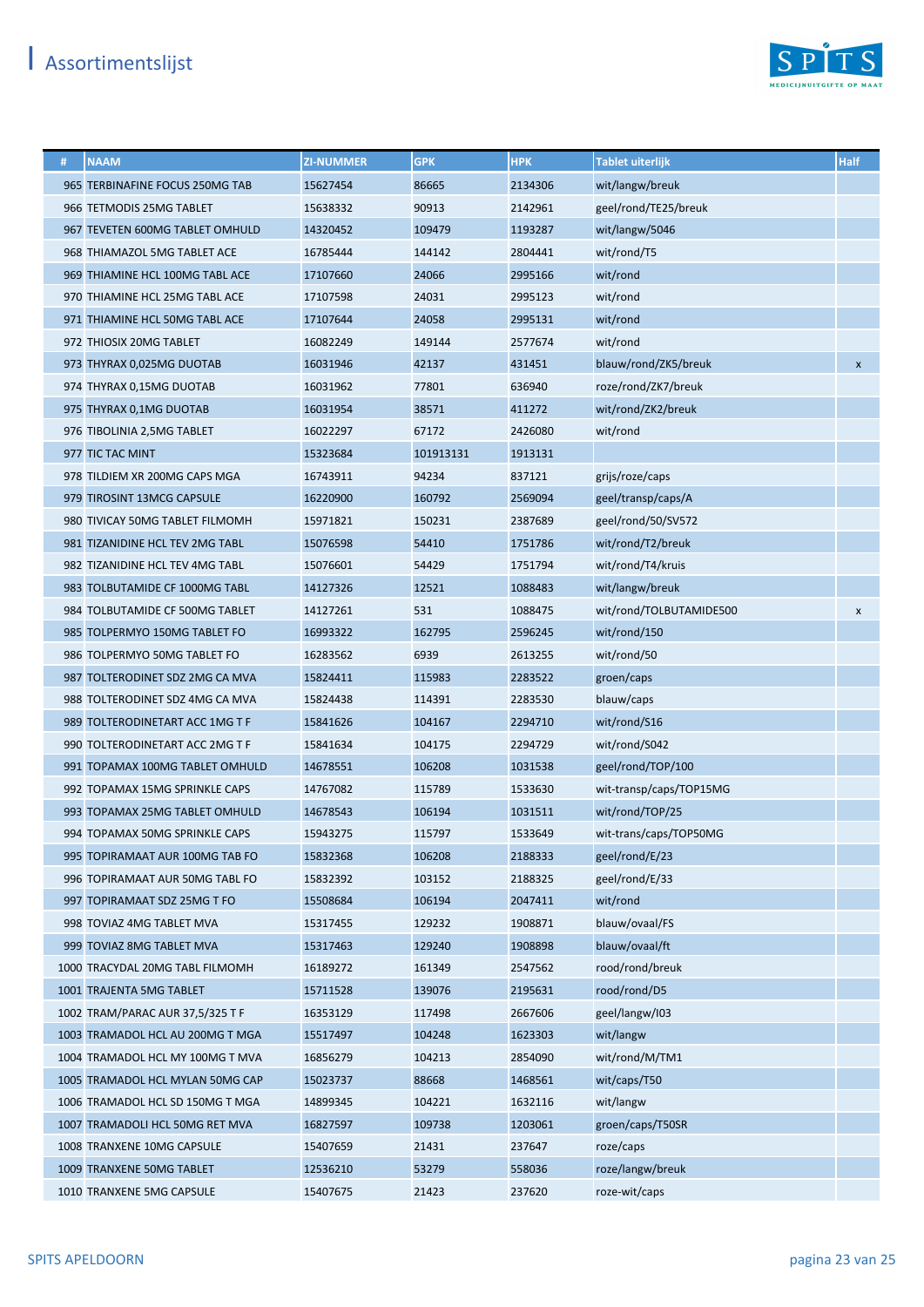

| # | <b>NAAM</b>                      | <b>ZI-NUMMER</b> | <b>GPK</b> | <b>HPK</b> | Tablet uiterlijk        | <b>Half</b>  |
|---|----------------------------------|------------------|------------|------------|-------------------------|--------------|
|   | 965 TERBINAFINE FOCUS 250MG TAB  | 15627454         | 86665      | 2134306    | wit/langw/breuk         |              |
|   | 966 TETMODIS 25MG TABLET         | 15638332         | 90913      | 2142961    | geel/rond/TE25/breuk    |              |
|   | 967 TEVETEN 600MG TABLET OMHULD  | 14320452         | 109479     | 1193287    | wit/langw/5046          |              |
|   | 968 THIAMAZOL 5MG TABLET ACE     | 16785444         | 144142     | 2804441    | wit/rond/T5             |              |
|   | 969 THIAMINE HCL 100MG TABL ACE  | 17107660         | 24066      | 2995166    | wit/rond                |              |
|   | 970 THIAMINE HCL 25MG TABL ACE   | 17107598         | 24031      | 2995123    | wit/rond                |              |
|   | 971 THIAMINE HCL 50MG TABL ACE   | 17107644         | 24058      | 2995131    | wit/rond                |              |
|   | 972 THIOSIX 20MG TABLET          | 16082249         | 149144     | 2577674    | wit/rond                |              |
|   | 973 THYRAX 0,025MG DUOTAB        | 16031946         | 42137      | 431451     | blauw/rond/ZK5/breuk    | $\mathsf{x}$ |
|   | 974 THYRAX 0,15MG DUOTAB         | 16031962         | 77801      | 636940     | roze/rond/ZK7/breuk     |              |
|   | 975 THYRAX 0,1MG DUOTAB          | 16031954         | 38571      | 411272     | wit/rond/ZK2/breuk      |              |
|   | 976 TIBOLINIA 2,5MG TABLET       | 16022297         | 67172      | 2426080    | wit/rond                |              |
|   | 977 TIC TAC MINT                 | 15323684         | 101913131  | 1913131    |                         |              |
|   | 978 TILDIEM XR 200MG CAPS MGA    | 16743911         | 94234      | 837121     | grijs/roze/caps         |              |
|   | 979 TIROSINT 13MCG CAPSULE       | 16220900         | 160792     | 2569094    | geel/transp/caps/A      |              |
|   | 980 TIVICAY 50MG TABLET FILMOMH  | 15971821         | 150231     | 2387689    | geel/rond/50/SV572      |              |
|   | 981 TIZANIDINE HCL TEV 2MG TABL  | 15076598         | 54410      | 1751786    | wit/rond/T2/breuk       |              |
|   | 982 TIZANIDINE HCL TEV 4MG TABL  | 15076601         | 54429      | 1751794    | wit/rond/T4/kruis       |              |
|   | 983 TOLBUTAMIDE CF 1000MG TABL   | 14127326         | 12521      | 1088483    | wit/langw/breuk         |              |
|   | 984 TOLBUTAMIDE CF 500MG TABLET  | 14127261         | 531        | 1088475    | wit/rond/TOLBUTAMIDE500 | X            |
|   | 985 TOLPERMYO 150MG TABLET FO    | 16993322         | 162795     | 2596245    | wit/rond/150            |              |
|   | 986 TOLPERMYO 50MG TABLET FO     | 16283562         | 6939       | 2613255    | wit/rond/50             |              |
|   | 987 TOLTERODINET SDZ 2MG CA MVA  | 15824411         | 115983     | 2283522    | groen/caps              |              |
|   | 988 TOLTERODINET SDZ 4MG CA MVA  | 15824438         | 114391     | 2283530    | blauw/caps              |              |
|   | 989 TOLTERODINETART ACC 1MG T F  | 15841626         | 104167     | 2294710    | wit/rond/S16            |              |
|   | 990 TOLTERODINETART ACC 2MG T F  | 15841634         | 104175     | 2294729    | wit/rond/S042           |              |
|   | 991 TOPAMAX 100MG TABLET OMHULD  | 14678551         | 106208     | 1031538    | geel/rond/TOP/100       |              |
|   | 992 TOPAMAX 15MG SPRINKLE CAPS   | 14767082         | 115789     | 1533630    | wit-transp/caps/TOP15MG |              |
|   | 993 TOPAMAX 25MG TABLET OMHULD   | 14678543         | 106194     | 1031511    | wit/rond/TOP/25         |              |
|   | 994 TOPAMAX 50MG SPRINKLE CAPS   | 15943275         | 115797     | 1533649    | wit-trans/caps/TOP50MG  |              |
|   | 995 TOPIRAMAAT AUR 100MG TAB FO  | 15832368         | 106208     | 2188333    | geel/rond/E/23          |              |
|   | 996 TOPIRAMAAT AUR 50MG TABL FO  | 15832392         | 103152     | 2188325    | geel/rond/E/33          |              |
|   | 997 TOPIRAMAAT SDZ 25MG T FO     | 15508684         | 106194     | 2047411    | wit/rond                |              |
|   | 998 TOVIAZ 4MG TABLET MVA        | 15317455         | 129232     | 1908871    | blauw/ovaal/FS          |              |
|   | 999 TOVIAZ 8MG TABLET MVA        | 15317463         | 129240     | 1908898    | blauw/ovaal/ft          |              |
|   | 1000 TRACYDAL 20MG TABL FILMOMH  | 16189272         | 161349     | 2547562    | rood/rond/breuk         |              |
|   | 1001 TRAJENTA 5MG TABLET         | 15711528         | 139076     | 2195631    | rood/rond/D5            |              |
|   | 1002 TRAM/PARAC AUR 37,5/325 T F | 16353129         | 117498     | 2667606    | geel/langw/I03          |              |
|   | 1003 TRAMADOL HCL AU 200MG T MGA | 15517497         | 104248     | 1623303    | wit/langw               |              |
|   | 1004 TRAMADOL HCL MY 100MG T MVA | 16856279         | 104213     | 2854090    | wit/rond/M/TM1          |              |
|   | 1005 TRAMADOL HCL MYLAN 50MG CAP | 15023737         | 88668      | 1468561    | wit/caps/T50            |              |
|   | 1006 TRAMADOL HCL SD 150MG T MGA | 14899345         | 104221     | 1632116    | wit/langw               |              |
|   | 1007 TRAMADOLI HCL 50MG RET MVA  | 16827597         | 109738     | 1203061    | groen/caps/T50SR        |              |
|   | 1008 TRANXENE 10MG CAPSULE       | 15407659         | 21431      | 237647     | roze/caps               |              |
|   | 1009 TRANXENE 50MG TABLET        | 12536210         | 53279      | 558036     | roze/langw/breuk        |              |
|   | 1010 TRANXENE 5MG CAPSULE        | 15407675         | 21423      | 237620     | roze-wit/caps           |              |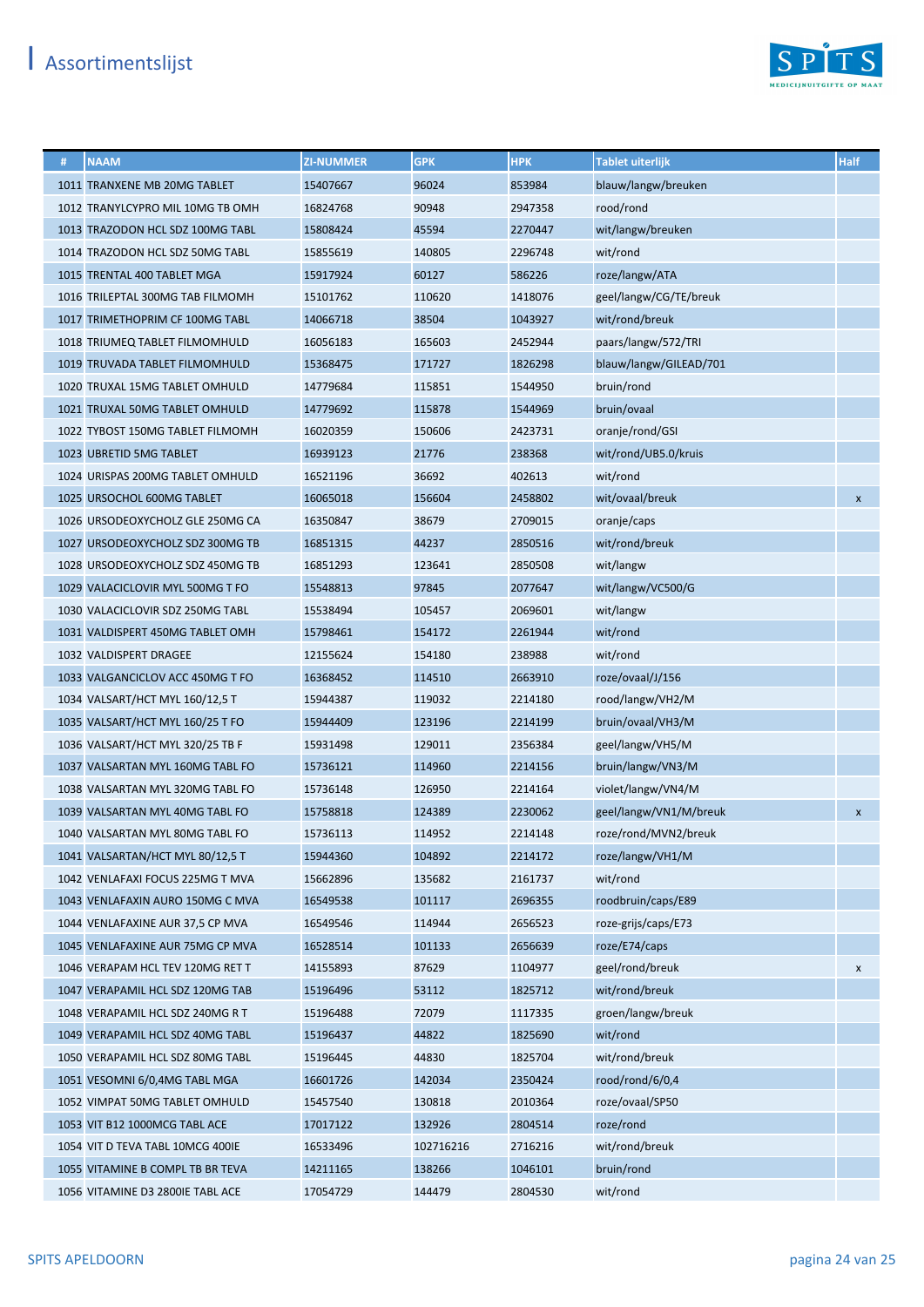

| # | <b>NAAM</b>                      | <b>ZI-NUMMER</b> | <b>GPK</b> | <b>HPK</b> | <b>Tablet uiterlijk</b> | <b>Half</b>        |
|---|----------------------------------|------------------|------------|------------|-------------------------|--------------------|
|   | 1011 TRANXENE MB 20MG TABLET     | 15407667         | 96024      | 853984     | blauw/langw/breuken     |                    |
|   | 1012 TRANYLCYPRO MIL 10MG TB OMH | 16824768         | 90948      | 2947358    | rood/rond               |                    |
|   | 1013 TRAZODON HCL SDZ 100MG TABL | 15808424         | 45594      | 2270447    | wit/langw/breuken       |                    |
|   | 1014 TRAZODON HCL SDZ 50MG TABL  | 15855619         | 140805     | 2296748    | wit/rond                |                    |
|   | 1015 TRENTAL 400 TABLET MGA      | 15917924         | 60127      | 586226     | roze/langw/ATA          |                    |
|   | 1016 TRILEPTAL 300MG TAB FILMOMH | 15101762         | 110620     | 1418076    | geel/langw/CG/TE/breuk  |                    |
|   | 1017 TRIMETHOPRIM CF 100MG TABL  | 14066718         | 38504      | 1043927    | wit/rond/breuk          |                    |
|   | 1018 TRIUMEQ TABLET FILMOMHULD   | 16056183         | 165603     | 2452944    | paars/langw/572/TRI     |                    |
|   | 1019 TRUVADA TABLET FILMOMHULD   | 15368475         | 171727     | 1826298    | blauw/langw/GILEAD/701  |                    |
|   | 1020 TRUXAL 15MG TABLET OMHULD   | 14779684         | 115851     | 1544950    | bruin/rond              |                    |
|   | 1021 TRUXAL 50MG TABLET OMHULD   | 14779692         | 115878     | 1544969    | bruin/ovaal             |                    |
|   | 1022 TYBOST 150MG TABLET FILMOMH | 16020359         | 150606     | 2423731    | oranje/rond/GSI         |                    |
|   | 1023 UBRETID 5MG TABLET          | 16939123         | 21776      | 238368     | wit/rond/UB5.0/kruis    |                    |
|   | 1024 URISPAS 200MG TABLET OMHULD | 16521196         | 36692      | 402613     | wit/rond                |                    |
|   | 1025 URSOCHOL 600MG TABLET       | 16065018         | 156604     | 2458802    | wit/ovaal/breuk         | $\boldsymbol{x}$   |
|   | 1026 URSODEOXYCHOLZ GLE 250MG CA | 16350847         | 38679      | 2709015    | oranje/caps             |                    |
|   | 1027 URSODEOXYCHOLZ SDZ 300MG TB | 16851315         | 44237      | 2850516    | wit/rond/breuk          |                    |
|   | 1028 URSODEOXYCHOLZ SDZ 450MG TB | 16851293         | 123641     | 2850508    | wit/langw               |                    |
|   | 1029 VALACICLOVIR MYL 500MG T FO | 15548813         | 97845      | 2077647    | wit/langw/VC500/G       |                    |
|   | 1030 VALACICLOVIR SDZ 250MG TABL | 15538494         | 105457     | 2069601    | wit/langw               |                    |
|   | 1031 VALDISPERT 450MG TABLET OMH | 15798461         | 154172     | 2261944    | wit/rond                |                    |
|   | 1032 VALDISPERT DRAGEE           | 12155624         | 154180     | 238988     | wit/rond                |                    |
|   | 1033 VALGANCICLOV ACC 450MG T FO | 16368452         | 114510     | 2663910    | roze/ovaal/J/156        |                    |
|   | 1034 VALSART/HCT MYL 160/12,5 T  | 15944387         | 119032     | 2214180    | rood/langw/VH2/M        |                    |
|   | 1035 VALSART/HCT MYL 160/25 T FO | 15944409         | 123196     | 2214199    | bruin/ovaal/VH3/M       |                    |
|   | 1036 VALSART/HCT MYL 320/25 TB F | 15931498         | 129011     | 2356384    | geel/langw/VH5/M        |                    |
|   | 1037 VALSARTAN MYL 160MG TABL FO | 15736121         | 114960     | 2214156    | bruin/langw/VN3/M       |                    |
|   | 1038 VALSARTAN MYL 320MG TABL FO | 15736148         | 126950     | 2214164    | violet/langw/VN4/M      |                    |
|   | 1039 VALSARTAN MYL 40MG TABL FO  | 15758818         | 124389     | 2230062    | geel/langw/VN1/M/breuk  | $\pmb{\mathsf{x}}$ |
|   | 1040 VALSARTAN MYL 80MG TABL FO  | 15736113         | 114952     | 2214148    | roze/rond/MVN2/breuk    |                    |
|   | 1041 VALSARTAN/HCT MYL 80/12,5 T | 15944360         | 104892     | 2214172    | roze/langw/VH1/M        |                    |
|   | 1042 VENLAFAXI FOCUS 225MG T MVA | 15662896         | 135682     | 2161737    | wit/rond                |                    |
|   | 1043 VENLAFAXIN AURO 150MG C MVA | 16549538         | 101117     | 2696355    | roodbruin/caps/E89      |                    |
|   | 1044 VENLAFAXINE AUR 37,5 CP MVA | 16549546         | 114944     | 2656523    | roze-grijs/caps/E73     |                    |
|   | 1045 VENLAFAXINE AUR 75MG CP MVA | 16528514         | 101133     | 2656639    | roze/E74/caps           |                    |
|   | 1046 VERAPAM HCL TEV 120MG RET T | 14155893         | 87629      | 1104977    | geel/rond/breuk         | X                  |
|   | 1047 VERAPAMIL HCL SDZ 120MG TAB | 15196496         | 53112      | 1825712    | wit/rond/breuk          |                    |
|   | 1048 VERAPAMIL HCL SDZ 240MG R T | 15196488         | 72079      | 1117335    | groen/langw/breuk       |                    |
|   | 1049 VERAPAMIL HCL SDZ 40MG TABL | 15196437         | 44822      | 1825690    | wit/rond                |                    |
|   | 1050 VERAPAMIL HCL SDZ 80MG TABL | 15196445         | 44830      | 1825704    | wit/rond/breuk          |                    |
|   | 1051 VESOMNI 6/0,4MG TABL MGA    | 16601726         | 142034     | 2350424    | rood/rond/6/0,4         |                    |
|   | 1052 VIMPAT 50MG TABLET OMHULD   | 15457540         | 130818     | 2010364    | roze/ovaal/SP50         |                    |
|   | 1053 VIT B12 1000MCG TABL ACE    | 17017122         | 132926     | 2804514    | roze/rond               |                    |
|   | 1054 VIT D TEVA TABL 10MCG 400IE | 16533496         | 102716216  | 2716216    | wit/rond/breuk          |                    |
|   | 1055 VITAMINE B COMPL TB BR TEVA | 14211165         | 138266     | 1046101    | bruin/rond              |                    |
|   | 1056 VITAMINE D3 2800IE TABL ACE | 17054729         | 144479     | 2804530    | wit/rond                |                    |